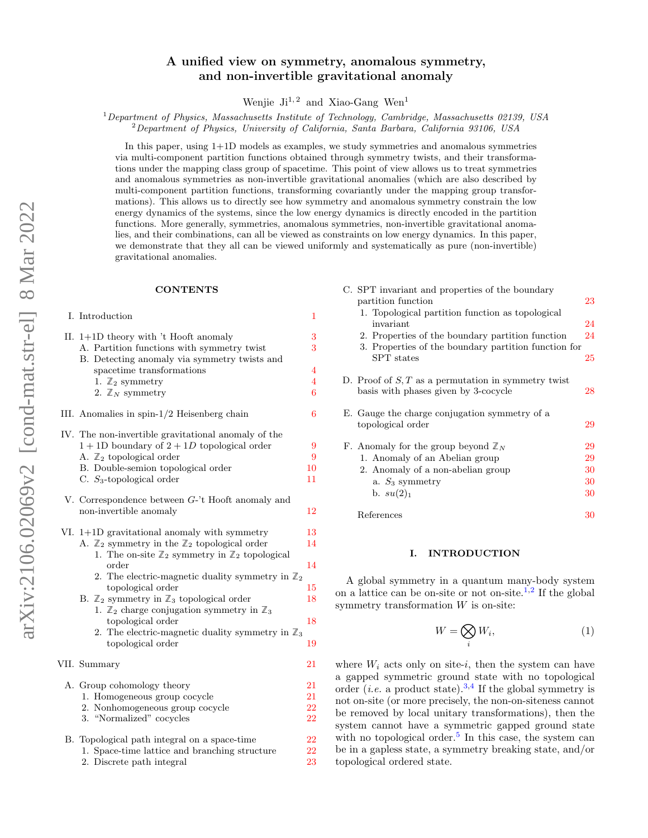# A unified view on symmetry, anomalous symmetry, and non-invertible gravitational anomaly

Wenjie  $Ji^{1,2}$  and Xiao-Gang Wen<sup>1</sup>

 $1$ Department of Physics, Massachusetts Institute of Technology, Cambridge, Massachusetts 02139, USA  ${}^{2}$ Department of Physics, University of California, Santa Barbara, California 93106, USA

In this paper, using 1+1D models as examples, we study symmetries and anomalous symmetries via multi-component partition functions obtained through symmetry twists, and their transformations under the mapping class group of spacetime. This point of view allows us to treat symmetries and anomalous symmetries as non-invertible gravitational anomalies (which are also described by multi-component partition functions, transforming covariantly under the mapping group transformations). This allows us to directly see how symmetry and anomalous symmetry constrain the low energy dynamics of the systems, since the low energy dynamics is directly encoded in the partition functions. More generally, symmetries, anomalous symmetries, non-invertible gravitational anomalies, and their combinations, can all be viewed as constraints on low energy dynamics. In this paper, we demonstrate that they all can be viewed uniformly and systematically as pure (non-invertible) gravitational anomalies.

#### **CONTENTS**

| I. Introduction                                                                                                                   | 1                   |
|-----------------------------------------------------------------------------------------------------------------------------------|---------------------|
| II. $1+1D$ theory with 't Hooft anomaly<br>A. Partition functions with symmetry twist                                             | 3<br>3              |
| B. Detecting anomaly via symmetry twists and                                                                                      |                     |
| spacetime transformations                                                                                                         | $\overline{4}$      |
| 1. $\mathbb{Z}_2$ symmetry<br>2. $\mathbb{Z}_N$ symmetry                                                                          | $\overline{4}$<br>6 |
|                                                                                                                                   |                     |
| III. Anomalies in spin-1/2 Heisenberg chain                                                                                       | 6                   |
| IV. The non-invertible gravitational anomaly of the                                                                               |                     |
| $1+1D$ boundary of $2+1D$ topological order                                                                                       | 9                   |
| A. $\mathbb{Z}_2$ topological order                                                                                               | 9                   |
| B. Double-semion topological order                                                                                                | 10                  |
| C. $S_3$ -topological order                                                                                                       | 11                  |
| V. Correspondence between $G$ -'t Hooft anomaly and                                                                               |                     |
| non-invertible anomaly                                                                                                            | 12                  |
| VI. $1+1D$ gravitational anomaly with symmetry                                                                                    | 13                  |
| A. $\mathbb{Z}_2$ symmetry in the $\mathbb{Z}_2$ topological order                                                                | 14                  |
| 1. The on-site $\mathbb{Z}_2$ symmetry in $\mathbb{Z}_2$ topological                                                              |                     |
| order                                                                                                                             | 14                  |
| 2. The electric-magnetic duality symmetry in $\mathbb{Z}_2$                                                                       |                     |
| topological order                                                                                                                 | 15                  |
| B. $\mathbb{Z}_2$ symmetry in $\mathbb{Z}_3$ topological order<br>1. $\mathbb{Z}_2$ charge conjugation symmetry in $\mathbb{Z}_3$ | 18                  |
| topological order                                                                                                                 | 18                  |
| 2. The electric-magnetic duality symmetry in $\mathbb{Z}_3$                                                                       |                     |
| topological order                                                                                                                 | 19                  |
|                                                                                                                                   |                     |
| VII. Summary                                                                                                                      | 21                  |
| A. Group cohomology theory                                                                                                        | 21                  |
| 1. Homogeneous group cocycle                                                                                                      | 21                  |
| 2. Nonhomogeneous group cocycle                                                                                                   | 22                  |
| 3. "Normalized" cocycles                                                                                                          | 22                  |
| B. Topological path integral on a space-time                                                                                      | $^{22}$             |

|  |  |  | 1. Space-time lattice and branching structure | 22 |
|--|--|--|-----------------------------------------------|----|
|  |  |  |                                               |    |

2. Discrete path integral [23](#page-22-0)

| C. SPT invariant and properties of the boundary                                               |    |
|-----------------------------------------------------------------------------------------------|----|
| partition function                                                                            | 23 |
| 1. Topological partition function as topological                                              |    |
| invariant                                                                                     | 24 |
| 2. Properties of the boundary partition function                                              | 24 |
| 3. Properties of the boundary partition function for                                          |    |
| <b>SPT</b> states                                                                             | 25 |
| D. Proof of $S, T$ as a permutation in symmetry twist<br>basis with phases given by 3-cocycle | 28 |
| E. Gauge the charge conjugation symmetry of a<br>topological order                            | 29 |
| F. Anomaly for the group beyond $\mathbb{Z}_N$                                                | 29 |
| 1. Anomaly of an Abelian group                                                                | 29 |
| 2. Anomaly of a non-abelian group                                                             | 30 |
| a. $S_3$ symmetry                                                                             | 30 |
| b. $su(2)_1$                                                                                  | 30 |
| References                                                                                    | 30 |

### <span id="page-0-0"></span>I. INTRODUCTION

A global symmetry in a quantum many-body system on a lattice can be on-site or not on-site.<sup>[1](#page-29-4)[,2](#page-29-5)</sup> If the global symmetry transformation  $W$  is on-site:

$$
W = \bigotimes_i W_i,\tag{1}
$$

where  $W_i$  acts only on site-i, then the system can have a gapped symmetric ground state with no topological order (*i.e.* a product state).<sup>[3](#page-30-0)[,4](#page-30-1)</sup> If the global symmetry is not on-site (or more precisely, the non-on-siteness cannot be removed by local unitary transformations), then the system cannot have a symmetric gapped ground state with no topological order.<sup>[5](#page-30-2)</sup> In this case, the system can be in a gapless state, a symmetry breaking state, and/or topological ordered state.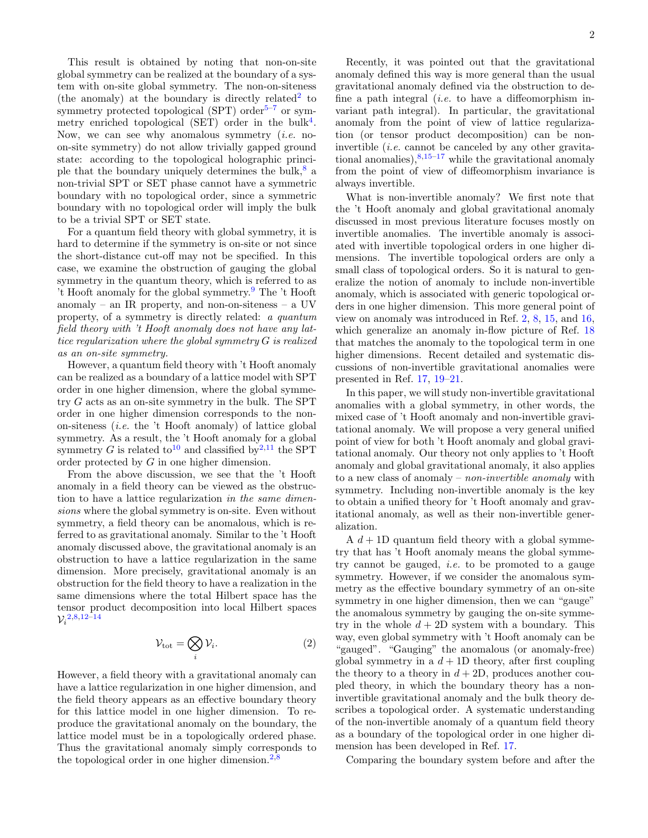This result is obtained by noting that non-on-site global symmetry can be realized at the boundary of a system with on-site global symmetry. The non-on-siteness (the anomaly) at the boundary is directly related<sup>[2](#page-29-5)</sup> to symmetry protected topological (SPT) order<sup>[5–](#page-30-2)[7](#page-30-3)</sup> or sym-metry enriched topological (SET) order in the bulk<sup>[4](#page-30-1)</sup>. Now, we can see why anomalous symmetry  $(i.e.$  noon-site symmetry) do not allow trivially gapped ground state: according to the topological holographic principle that the boundary uniquely determines the bulk, $\frac{8}{3}$  $\frac{8}{3}$  $\frac{8}{3}$  a non-trivial SPT or SET phase cannot have a symmetric boundary with no topological order, since a symmetric boundary with no topological order will imply the bulk to be a trivial SPT or SET state.

For a quantum field theory with global symmetry, it is hard to determine if the symmetry is on-site or not since the short-distance cut-off may not be specified. In this case, we examine the obstruction of gauging the global symmetry in the quantum theory, which is referred to as 't Hooft anomaly for the global symmetry.[9](#page-30-5) The 't Hooft anomaly – an IR property, and non-on-siteness – a UV property, of a symmetry is directly related: a quantum field theory with 't Hooft anomaly does not have any lattice regularization where the global symmetry G is realized as an on-site symmetry.

However, a quantum field theory with 't Hooft anomaly can be realized as a boundary of a lattice model with SPT order in one higher dimension, where the global symmetry G acts as an on-site symmetry in the bulk. The SPT order in one higher dimension corresponds to the nonon-siteness (i.e. the 't Hooft anomaly) of lattice global symmetry. As a result, the 't Hooft anomaly for a global symmetry G is related to<sup>[10](#page-30-6)</sup> and classified by<sup>[2](#page-29-5)[,11](#page-30-7)</sup> the SPT order protected by G in one higher dimension.

From the above discussion, we see that the 't Hooft anomaly in a field theory can be viewed as the obstruction to have a lattice regularization in the same dimensions where the global symmetry is on-site. Even without symmetry, a field theory can be anomalous, which is referred to as gravitational anomaly. Similar to the 't Hooft anomaly discussed above, the gravitational anomaly is an obstruction to have a lattice regularization in the same dimension. More precisely, gravitational anomaly is an obstruction for the field theory to have a realization in the same dimensions where the total Hilbert space has the tensor product decomposition into local Hilbert spaces  $\mathcal{V}^{\, 2,8,12-14}_i$  $\mathcal{V}^{\, 2,8,12-14}_i$  $\mathcal{V}^{\, 2,8,12-14}_i$  $\mathcal{V}^{\, 2,8,12-14}_i$  $\mathcal{V}^{\, 2,8,12-14}_i$  $\mathcal{V}^{\, 2,8,12-14}_i$ 

$$
\mathcal{V}_{\text{tot}} = \bigotimes_{i} \mathcal{V}_{i}.\tag{2}
$$

However, a field theory with a gravitational anomaly can have a lattice regularization in one higher dimension, and the field theory appears as an effective boundary theory for this lattice model in one higher dimension. To reproduce the gravitational anomaly on the boundary, the lattice model must be in a topologically ordered phase. Thus the gravitational anomaly simply corresponds to the topological order in one higher dimension.<sup>[2,](#page-29-5)[8](#page-30-4)</sup>

Recently, it was pointed out that the gravitational anomaly defined this way is more general than the usual gravitational anomaly defined via the obstruction to define a path integral (*i.e.* to have a diffeomorphism invariant path integral). In particular, the gravitational anomaly from the point of view of lattice regularization (or tensor product decomposition) can be noninvertible *(i.e.* cannot be canceled by any other gravitational anomalies),  $8,15-17$  $8,15-17$  $8,15-17$  while the gravitational anomaly from the point of view of diffeomorphism invariance is always invertible.

What is non-invertible anomaly? We first note that the 't Hooft anomaly and global gravitational anomaly discussed in most previous literature focuses mostly on invertible anomalies. The invertible anomaly is associated with invertible topological orders in one higher dimensions. The invertible topological orders are only a small class of topological orders. So it is natural to generalize the notion of anomaly to include non-invertible anomaly, which is associated with generic topological orders in one higher dimension. This more general point of view on anomaly was introduced in Ref. [2,](#page-29-5) [8,](#page-30-4) [15,](#page-30-10) and [16,](#page-30-12) which generalize an anomaly in-flow picture of Ref.  $18$ that matches the anomaly to the topological term in one higher dimensions. Recent detailed and systematic discussions of non-invertible gravitational anomalies were presented in Ref. [17,](#page-30-11) [19](#page-30-14)[–21.](#page-30-15)

In this paper, we will study non-invertible gravitational anomalies with a global symmetry, in other words, the mixed case of 't Hooft anomaly and non-invertible gravitational anomaly. We will propose a very general unified point of view for both 't Hooft anomaly and global gravitational anomaly. Our theory not only applies to 't Hooft anomaly and global gravitational anomaly, it also applies to a new class of anomaly – *non-invertible anomaly* with symmetry. Including non-invertible anomaly is the key to obtain a unified theory for 't Hooft anomaly and gravitational anomaly, as well as their non-invertible generalization.

A  $d+1D$  quantum field theory with a global symmetry that has 't Hooft anomaly means the global symmetry cannot be gauged, *i.e.* to be promoted to a gauge symmetry. However, if we consider the anomalous symmetry as the effective boundary symmetry of an on-site symmetry in one higher dimension, then we can "gauge" the anomalous symmetry by gauging the on-site symmetry in the whole  $d + 2D$  system with a boundary. This way, even global symmetry with 't Hooft anomaly can be "gauged". "Gauging" the anomalous (or anomaly-free) global symmetry in a  $d+1D$  theory, after first coupling the theory to a theory in  $d + 2D$ , produces another coupled theory, in which the boundary theory has a noninvertible gravitational anomaly and the bulk theory describes a topological order. A systematic understanding of the non-invertible anomaly of a quantum field theory as a boundary of the topological order in one higher dimension has been developed in Ref. [17.](#page-30-11)

Comparing the boundary system before and after the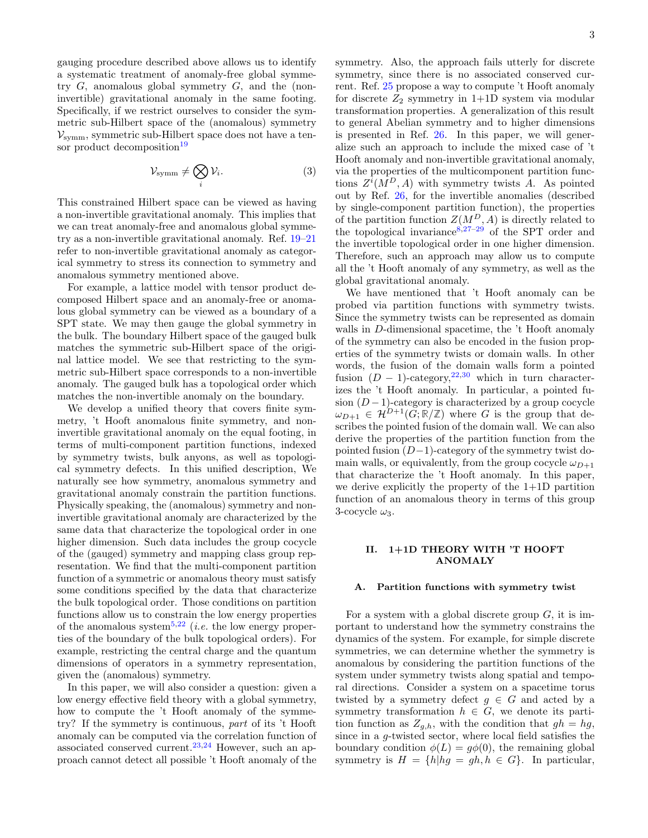gauging procedure described above allows us to identify a systematic treatment of anomaly-free global symmetry  $G$ , anomalous global symmetry  $G$ , and the (noninvertible) gravitational anomaly in the same footing. Specifically, if we restrict ourselves to consider the symmetric sub-Hilbert space of the (anomalous) symmetry  $V_{\text{symm}}$ , symmetric sub-Hilbert space does not have a ten-sor product decomposition<sup>[19](#page-30-14)</sup>

$$
\mathcal{V}_{\text{symm}} \neq \bigotimes_{i} \mathcal{V}_{i}.\tag{3}
$$

This constrained Hilbert space can be viewed as having a non-invertible gravitational anomaly. This implies that we can treat anomaly-free and anomalous global symmetry as a non-invertible gravitational anomaly. Ref. [19–](#page-30-14)[21](#page-30-15) refer to non-invertible gravitational anomaly as categorical symmetry to stress its connection to symmetry and anomalous symmetry mentioned above.

For example, a lattice model with tensor product decomposed Hilbert space and an anomaly-free or anomalous global symmetry can be viewed as a boundary of a SPT state. We may then gauge the global symmetry in the bulk. The boundary Hilbert space of the gauged bulk matches the symmetric sub-Hilbert space of the original lattice model. We see that restricting to the symmetric sub-Hilbert space corresponds to a non-invertible anomaly. The gauged bulk has a topological order which matches the non-invertible anomaly on the boundary.

We develop a unified theory that covers finite symmetry, 't Hooft anomalous finite symmetry, and noninvertible gravitational anomaly on the equal footing, in terms of multi-component partition functions, indexed by symmetry twists, bulk anyons, as well as topological symmetry defects. In this unified description, We naturally see how symmetry, anomalous symmetry and gravitational anomaly constrain the partition functions. Physically speaking, the (anomalous) symmetry and noninvertible gravitational anomaly are characterized by the same data that characterize the topological order in one higher dimension. Such data includes the group cocycle of the (gauged) symmetry and mapping class group representation. We find that the multi-component partition function of a symmetric or anomalous theory must satisfy some conditions specified by the data that characterize the bulk topological order. Those conditions on partition functions allow us to constrain the low energy properties of the anomalous system<sup>[5,](#page-30-2)[22](#page-30-16)</sup> (*i.e.* the low energy properties of the boundary of the bulk topological orders). For example, restricting the central charge and the quantum dimensions of operators in a symmetry representation, given the (anomalous) symmetry.

In this paper, we will also consider a question: given a low energy effective field theory with a global symmetry, how to compute the 't Hooft anomaly of the symmetry? If the symmetry is continuous, part of its 't Hooft anomaly can be computed via the correlation function of associated conserved current.<sup>[23](#page-30-17)[,24](#page-30-18)</sup> However, such an approach cannot detect all possible 't Hooft anomaly of the

symmetry. Also, the approach fails utterly for discrete symmetry, since there is no associated conserved current. Ref. [25](#page-30-19) propose a way to compute 't Hooft anomaly for discrete  $Z_2$  symmetry in 1+1D system via modular transformation properties. A generalization of this result to general Abelian symmetry and to higher dimensions is presented in Ref. [26.](#page-30-20) In this paper, we will generalize such an approach to include the mixed case of 't Hooft anomaly and non-invertible gravitational anomaly, via the properties of the multicomponent partition functions  $Z^{i}(M^{D}, A)$  with symmetry twists A. As pointed out by Ref. [26,](#page-30-20) for the invertible anomalies (described by single-component partition function), the properties of the partition function  $Z(M^D, A)$  is directly related to the topological invariance  $8,27-29$  $8,27-29$  $8,27-29$  of the SPT order and the invertible topological order in one higher dimension. Therefore, such an approach may allow us to compute all the 't Hooft anomaly of any symmetry, as well as the global gravitational anomaly.

We have mentioned that 't Hooft anomaly can be probed via partition functions with symmetry twists. Since the symmetry twists can be represented as domain walls in D-dimensional spacetime, the 't Hooft anomaly of the symmetry can also be encoded in the fusion properties of the symmetry twists or domain walls. In other words, the fusion of the domain walls form a pointed fusion  $(D - 1)$ -category,<sup>[22,](#page-30-16)[30](#page-30-23)</sup> which in turn characterizes the 't Hooft anomaly. In particular, a pointed fusion  $(D-1)$ -category is characterized by a group cocycle  $\omega_{D+1} \in \mathcal{H}^{D+1}(G;\mathbb{R}/\mathbb{Z})$  where G is the group that describes the pointed fusion of the domain wall. We can also derive the properties of the partition function from the pointed fusion (D−1)-category of the symmetry twist domain walls, or equivalently, from the group cocycle  $\omega_{D+1}$ that characterize the 't Hooft anomaly. In this paper, we derive explicitly the property of the 1+1D partition function of an anomalous theory in terms of this group 3-cocycle  $\omega_3$ .

# <span id="page-2-0"></span>II. 1+1D THEORY WITH 'T HOOFT ANOMALY

# <span id="page-2-1"></span>A. Partition functions with symmetry twist

For a system with a global discrete group  $G$ , it is important to understand how the symmetry constrains the dynamics of the system. For example, for simple discrete symmetries, we can determine whether the symmetry is anomalous by considering the partition functions of the system under symmetry twists along spatial and temporal directions. Consider a system on a spacetime torus twisted by a symmetry defect  $g \in G$  and acted by a symmetry transformation  $h \in G$ , we denote its partition function as  $Z_{g,h}$ , with the condition that  $gh = hg$ , since in a g-twisted sector, where local field satisfies the boundary condition  $\phi(L) = q\phi(0)$ , the remaining global symmetry is  $H = \{h | hg = gh, h \in G\}$ . In particular,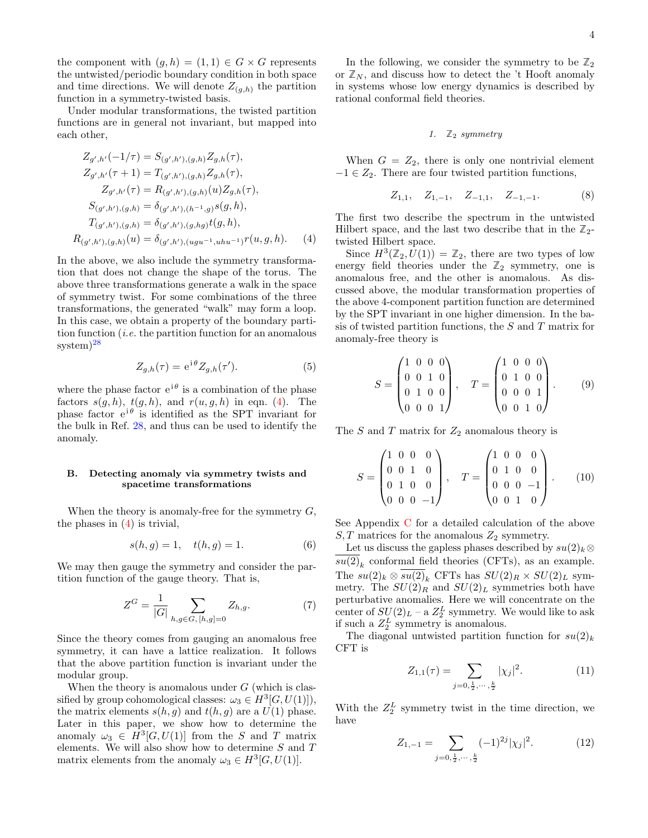the component with  $(g, h) = (1, 1) \in G \times G$  represents the untwisted/periodic boundary condition in both space and time directions. We will denote  $Z_{(g,h)}$  the partition function in a symmetry-twisted basis.

Under modular transformations, the twisted partition functions are in general not invariant, but mapped into each other,

$$
Z_{g',h'}(-1/\tau) = S_{(g',h'),(g,h)} Z_{g,h}(\tau),
$$
  
\n
$$
Z_{g',h'}(\tau+1) = T_{(g',h'),(g,h)} Z_{g,h}(\tau),
$$
  
\n
$$
Z_{g',h'}(\tau) = R_{(g',h'),(g,h)}(u) Z_{g,h}(\tau),
$$
  
\n
$$
S_{(g',h'),(g,h)} = \delta_{(g',h'),(h^{-1},g)} s(g,h),
$$
  
\n
$$
T_{(g',h'),(g,h)} = \delta_{(g',h'),(g,h,g)} t(g,h),
$$
  
\n
$$
R_{(g',h'),(g,h)}(u) = \delta_{(g',h'),(u,gu^{-1},uhu^{-1})} r(u,g,h).
$$
 (4)

In the above, we also include the symmetry transformation that does not change the shape of the torus. The above three transformations generate a walk in the space of symmetry twist. For some combinations of the three transformations, the generated "walk" may form a loop. In this case, we obtain a property of the boundary partition function (*i.e.* the partition function for an anomalous system)<sup>[28](#page-30-24)</sup>

$$
Z_{g,h}(\tau) = e^{i\theta} Z_{g,h}(\tau'). \tag{5}
$$

where the phase factor  $e^{i\theta}$  is a combination of the phase factors  $s(g, h)$ ,  $t(g, h)$ , and  $r(u, g, h)$  in eqn. [\(4\)](#page-3-2). The phase factor  $e^{i\theta}$  is identified as the SPT invariant for the bulk in Ref. [28,](#page-30-24) and thus can be used to identify the anomaly.

#### <span id="page-3-0"></span>B. Detecting anomaly via symmetry twists and spacetime transformations

When the theory is anomaly-free for the symmetry  $G$ , the phases in [\(4\)](#page-3-2) is trivial,

$$
s(h, g) = 1, \quad t(h, g) = 1.
$$
 (6)

We may then gauge the symmetry and consider the partition function of the gauge theory. That is,

$$
Z^G = \frac{1}{|G|} \sum_{h,g \in G, [h,g]=0} Z_{h,g}.
$$
 (7)

Since the theory comes from gauging an anomalous free symmetry, it can have a lattice realization. It follows that the above partition function is invariant under the modular group.

When the theory is anomalous under  $G$  (which is classified by group cohomological classes:  $\omega_3 \in H^3[G, U(1)]$ , the matrix elements  $s(h, q)$  and  $t(h, q)$  are a  $U(1)$  phase. Later in this paper, we show how to determine the anomaly  $\omega_3 \in H^3[G, U(1)]$  from the S and T matrix elements. We will also show how to determine  $S$  and  $T$ matrix elements from the anomaly  $\omega_3 \in H^3[G, U(1)].$ 

In the following, we consider the symmetry to be  $\mathbb{Z}_2$ or  $\mathbb{Z}_N$ , and discuss how to detect the 't Hooft anomaly in systems whose low energy dynamics is described by rational conformal field theories.

#### <span id="page-3-1"></span>1.  $\mathbb{Z}_2$  symmetry

When  $G = Z_2$ , there is only one nontrivial element  $-1 \in Z_2$ . There are four twisted partition functions,

$$
Z_{1,1}, \quad Z_{1,-1}, \quad Z_{-1,1}, \quad Z_{-1,-1}.\tag{8}
$$

<span id="page-3-2"></span>The first two describe the spectrum in the untwisted Hilbert space, and the last two describe that in the  $\mathbb{Z}_2$ twisted Hilbert space.

Since  $H^3(\mathbb{Z}_2, U(1)) = \mathbb{Z}_2$ , there are two types of low energy field theories under the  $\mathbb{Z}_2$  symmetry, one is anomalous free, and the other is anomalous. As discussed above, the modular transformation properties of the above 4-component partition function are determined by the SPT invariant in one higher dimension. In the basis of twisted partition functions, the  $S$  and  $T$  matrix for anomaly-free theory is

<span id="page-3-3"></span>
$$
S = \begin{pmatrix} 1 & 0 & 0 & 0 \\ 0 & 0 & 1 & 0 \\ 0 & 1 & 0 & 0 \\ 0 & 0 & 0 & 1 \end{pmatrix}, \quad T = \begin{pmatrix} 1 & 0 & 0 & 0 \\ 0 & 1 & 0 & 0 \\ 0 & 0 & 0 & 1 \\ 0 & 0 & 1 & 0 \end{pmatrix}.
$$
 (9)

The S and T matrix for  $Z_2$  anomalous theory is

<span id="page-3-4"></span>
$$
S = \begin{pmatrix} 1 & 0 & 0 & 0 \\ 0 & 0 & 1 & 0 \\ 0 & 1 & 0 & 0 \\ 0 & 0 & 0 & -1 \end{pmatrix}, \quad T = \begin{pmatrix} 1 & 0 & 0 & 0 \\ 0 & 1 & 0 & 0 \\ 0 & 0 & 0 & -1 \\ 0 & 0 & 1 & 0 \end{pmatrix}.
$$
 (10)

See Appendix [C](#page-22-1) for a detailed calculation of the above  $S, T$  matrices for the anomalous  $Z_2$  symmetry.

Let us discuss the gapless phases described by  $su(2)_k\otimes$  $su(2)_k$  conformal field theories (CFTs), as an example. The  $su(2)_k \otimes \overline{su(2)}_k$  CFTs has  $SU(2)_R \times SU(2)_L$  symmetry. The  $SU(2)_R$  and  $SU(2)_L$  symmetries both have perturbative anomalies. Here we will concentrate on the center of  $SU(2)_L$  – a  $Z_2^L$  symmetry. We would like to ask if such a  $Z_2^L$  symmetry is anomalous.

The diagonal untwisted partition function for  $su(2)_k$ CFT is

$$
Z_{1,1}(\tau) = \sum_{j=0, \frac{1}{2}, \cdots, \frac{k}{2}} |\chi_j|^2.
$$
 (11)

With the  $Z_2^L$  symmetry twist in the time direction, we have

$$
Z_{1,-1} = \sum_{j=0, \frac{1}{2}, \cdots, \frac{k}{2}} (-1)^{2j} |\chi_j|^2.
$$
 (12)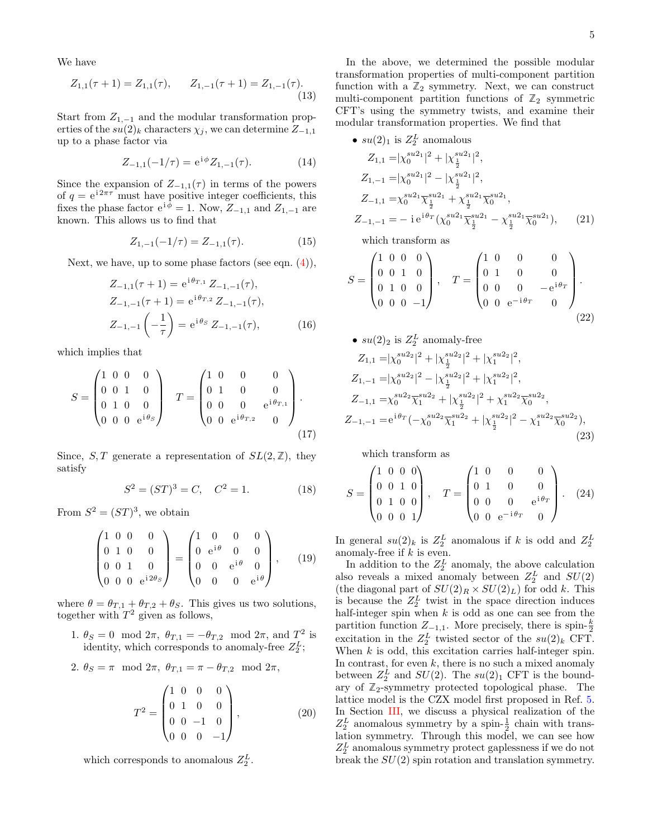We have

$$
Z_{1,1}(\tau+1) = Z_{1,1}(\tau), \qquad Z_{1,-1}(\tau+1) = Z_{1,-1}(\tau). \tag{13}
$$

Start from  $Z_{1,-1}$  and the modular transformation properties of the  $su(2)_k$  characters  $\chi_j$ , we can determine  $Z_{-1,1}$ up to a phase factor via

$$
Z_{-1,1}(-1/\tau) = e^{i\phi} Z_{1,-1}(\tau). \tag{14}
$$

Since the expansion of  $Z_{-1,1}(\tau)$  in terms of the powers of  $q = e^{i2\pi\tau}$  must have positive integer coefficients, this fixes the phase factor  $e^{i\phi} = 1$ . Now,  $Z_{-1,1}$  and  $Z_{1,-1}$  are known. This allows us to find that

$$
Z_{1,-1}(-1/\tau) = Z_{-1,1}(\tau). \tag{15}
$$

Next, we have, up to some phase factors (see eqn.  $(4)$ ),

$$
Z_{-1,1}(\tau + 1) = e^{i\theta_{T,1}} Z_{-1,-1}(\tau),
$$
  
\n
$$
Z_{-1,-1}(\tau + 1) = e^{i\theta_{T,2}} Z_{-1,-1}(\tau),
$$
  
\n
$$
Z_{-1,-1}(-\frac{1}{\tau}) = e^{i\theta_S} Z_{-1,-1}(\tau),
$$
\n(16)

which implies that

$$
S = \begin{pmatrix} 1 & 0 & 0 & 0 \\ 0 & 0 & 1 & 0 \\ 0 & 1 & 0 & 0 \\ 0 & 0 & 0 & e^{i\theta_{S}} \end{pmatrix} \quad T = \begin{pmatrix} 1 & 0 & 0 & 0 \\ 0 & 1 & 0 & 0 \\ 0 & 0 & 0 & e^{i\theta_{T,1}} \\ 0 & 0 & e^{i\theta_{T,2}} & 0 \end{pmatrix} . \tag{17}
$$

Since, S, T generate a representation of  $SL(2, \mathbb{Z})$ , they satisfy

$$
S^2 = (ST)^3 = C, \quad C^2 = 1.
$$
 (18)

From  $S^2 = (ST)^3$ , we obtain

$$
\begin{pmatrix} 1 & 0 & 0 & 0 \ 0 & 1 & 0 & 0 \ 0 & 0 & 1 & 0 \ 0 & 0 & e^{i2\theta s} \end{pmatrix} = \begin{pmatrix} 1 & 0 & 0 & 0 \ 0 & e^{i\theta} & 0 & 0 \ 0 & 0 & e^{i\theta} & 0 \ 0 & 0 & 0 & e^{i\theta} \end{pmatrix}, \quad (19)
$$

where  $\theta = \theta_{T,1} + \theta_{T,2} + \theta_S$ . This gives us two solutions, together with  $T^2$  given as follows,

1.  $\theta_S = 0 \mod 2\pi$ ,  $\theta_{T,1} = -\theta_{T,2} \mod 2\pi$ , and  $T^2$  is identity, which corresponds to anomaly-free  $Z_2^L$ ;

$$
2. \ \theta_S = \pi \mod 2\pi, \ \theta_{T,1} = \pi - \theta_{T,2} \mod 2\pi,
$$

$$
T^{2} = \begin{pmatrix} 1 & 0 & 0 & 0 \\ 0 & 1 & 0 & 0 \\ 0 & 0 & -1 & 0 \\ 0 & 0 & 0 & -1 \end{pmatrix}, \tag{20}
$$

which corresponds to anomalous  $Z_2^L$ .

In the above, we determined the possible modular transformation properties of multi-component partition function with a  $\mathbb{Z}_2$  symmetry. Next, we can construct multi-component partition functions of  $\mathbb{Z}_2$  symmetric CFT's using the symmetry twists, and examine their modular transformation properties. We find that

•  $su(2)_1$  is  $Z_2^L$  anomalous  $Z_{1,1} = |\chi_0^{su2_1}|^2 + |\chi_{\frac{1}{2}}^{su2_1}|^2,$  $Z_{1,-1} = |\chi_0^{su2_1}|^2 - |\chi_{\frac{1}{2}}^{su2_1}|^2,$  $Z_{-1,1} = \chi_0^{su2_1} \overline{\chi}_{\frac{1}{2}}^{su2_1} + \chi_{\frac{1}{2}}^{su2_1} \overline{\chi}_0^{su2_1},$  $Z_{-1,-1} = -\,\mathrm{i}\,\mathrm{e}^{\mathrm{i}\theta_T} (\chi_0^{su2_1}\overline{\chi}_{\frac{1}{2}}^{su2_1} - \chi_{\frac{1}{2}}^{su2_1}\overline{\chi}_0^{su2_1}$  $(21)$ 

<span id="page-4-1"></span><span id="page-4-0"></span>which transform as

$$
S = \begin{pmatrix} 1 & 0 & 0 & 0 \\ 0 & 0 & 1 & 0 \\ 0 & 1 & 0 & 0 \\ 0 & 0 & 0 & -1 \end{pmatrix}, \quad T = \begin{pmatrix} 1 & 0 & 0 & 0 \\ 0 & 1 & 0 & 0 \\ 0 & 0 & 0 & -e^{i\theta_T} \\ 0 & 0 & e^{-i\theta_T} & 0 \end{pmatrix}.
$$
 (22)

• 
$$
su(2)_2
$$
 is  $Z_2^L$  anomaly-free  
\n
$$
Z_{1,1} = |\chi_0^{su2_2}|^2 + |\chi_{\frac{1}{2}}^{su2_2}|^2 + |\chi_1^{su2_2}|^2,
$$
\n
$$
Z_{1,-1} = |\chi_0^{su2_2}|^2 - |\chi_{\frac{1}{2}}^{su2_2}|^2 + |\chi_1^{su2_2}|^2,
$$
\n
$$
Z_{-1,1} = \chi_0^{su2_2} \overline{\chi}_1^{su2_2} + |\chi_{\frac{1}{2}}^{su2_2}|^2 + \chi_1^{su2_2} \overline{\chi}_0^{su2_2},
$$
\n
$$
Z_{-1,-1} = e^{i\theta_T} (-\chi_0^{su2_2} \overline{\chi}_1^{su2_2} + |\chi_{\frac{1}{2}}^{su2_2}|^2 - \chi_1^{su2_2} \overline{\chi}_0^{su2_2}),
$$
\n(23)

<span id="page-4-2"></span>which transform as

$$
S = \begin{pmatrix} 1 & 0 & 0 & 0 \\ 0 & 0 & 1 & 0 \\ 0 & 1 & 0 & 0 \\ 0 & 0 & 0 & 1 \end{pmatrix}, \quad T = \begin{pmatrix} 1 & 0 & 0 & 0 \\ 0 & 1 & 0 & 0 \\ 0 & 0 & 0 & e^{i\theta_T} \\ 0 & 0 & e^{-i\theta_T} & 0 \end{pmatrix}.
$$
 (24)

In general  $su(2)_k$  is  $Z_2^L$  anomalous if k is odd and  $Z_2^L$ anomaly-free if  $k$  is even.

In addition to the  $Z_2^L$  anomaly, the above calculation also reveals a mixed anomaly between  $Z_2^L$  and  $SU(2)$ (the diagonal part of  $SU(2)_R \times SU(2)_L$ ) for odd k. This is because the  $Z_2^L$  twist in the space direction induces half-integer spin when  $k$  is odd as one can see from the partition function  $Z_{-1,1}$ . More precisely, there is spin- $\frac{k}{2}$ excitation in the  $Z_2^L$  twisted sector of the  $su(2)_k$  CFT. When  $k$  is odd, this excitation carries half-integer spin. In contrast, for even  $k$ , there is no such a mixed anomaly between  $Z_2^L$  and  $SU(2)$ . The  $su(2)_1$  CFT is the boundary of  $\mathbb{Z}_2$ -symmetry protected topological phase. The lattice model is the CZX model first proposed in Ref. [5.](#page-30-2) In Section [III,](#page-5-1) we discuss a physical realization of the  $Z_2^L$  anomalous symmetry by a spin- $\frac{1}{2}$  chain with translation symmetry. Through this model, we can see how  $Z_2^L$  anomalous symmetry protect gaplessness if we do not break the  $SU(2)$  spin rotation and translation symmetry.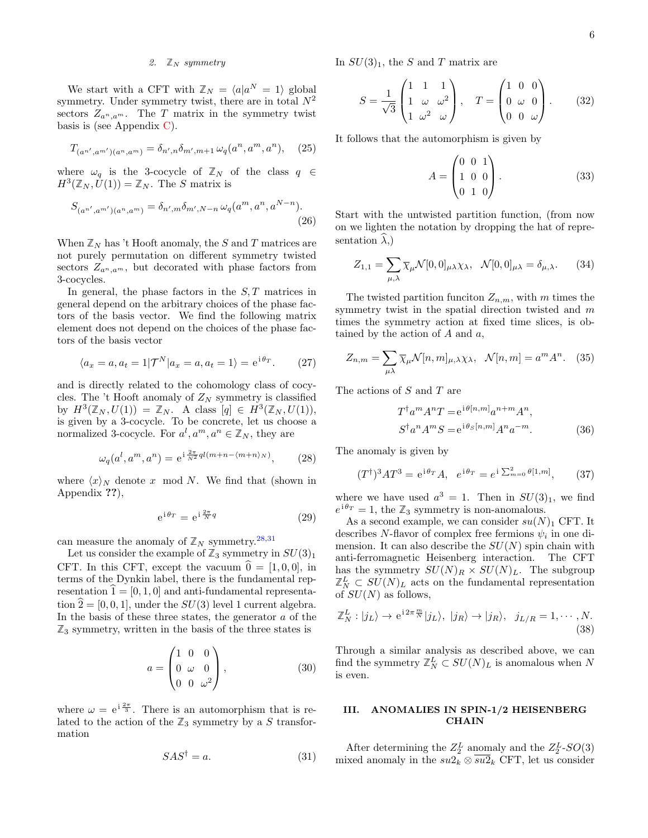#### <span id="page-5-0"></span>2.  $\mathbb{Z}_N$  symmetry

We start with a CFT with  $\mathbb{Z}_N = \langle a | a^N = 1 \rangle$  global symmetry. Under symmetry twist, there are in total  $N^2$ sectors  $Z_{a^n,a^m}$ . The T matrix in the symmetry twist basis is (see Appendix  $C$ ).

$$
T_{(a^{n'},a^{m'})}(a^n,a^m)} = \delta_{n',n}\delta_{m',m+1}\,\omega_q(a^n,a^m,a^n),\tag{25}
$$

where  $\omega_q$  is the 3-cocycle of  $\mathbb{Z}_N$  of the class  $q \in$  $H^3(\mathbb{Z}_N, \hat{U}(1)) = \mathbb{Z}_N$ . The S matrix is

$$
S_{(a^{n'}, a^{m'}) (a^n, a^m)} = \delta_{n', m} \delta_{m', N-n} \,\omega_q(a^m, a^n, a^{N-n}).
$$
\n(26)

When  $\mathbb{Z}_N$  has 't Hooft anomaly, the S and T matrices are not purely permutation on different symmetry twisted sectors  $Z_{a^n,a^m}$ , but decorated with phase factors from 3-cocycles.

In general, the phase factors in the  $S$ ,  $T$  matrices in general depend on the arbitrary choices of the phase factors of the basis vector. We find the following matrix element does not depend on the choices of the phase factors of the basis vector

$$
\langle a_x = a, a_t = 1 | \mathcal{T}^N | a_x = a, a_t = 1 \rangle = e^{i \theta_T}.
$$
 (27)

and is directly related to the cohomology class of cocycles. The 't Hooft anomaly of  $Z_N$  symmetry is classified by  $H^3(\mathbb{Z}_N, U(1)) = \mathbb{Z}_N$ . A class  $[q] \in H^3(\mathbb{Z}_N, U(1)),$ is given by a 3-cocycle. To be concrete, let us choose a normalized 3-cocycle. For  $a^l, a^m, a^n \in \mathbb{Z}_N$ , they are

$$
\omega_q(a^l, a^m, a^n) = e^{i\frac{2\pi}{N^2}ql(m+n-\langle m+n\rangle_N)},\tag{28}
$$

where  $\langle x \rangle_N$  denote x mod N. We find that (shown in Appendix ??),

$$
e^{i\theta_T} = e^{i\frac{2\pi}{N}q} \tag{29}
$$

can measure the anomaly of  $\mathbb{Z}_N$  symmetry.<sup>[28,](#page-30-24)[31](#page-30-25)</sup>

Let us consider the example of  $\mathbb{Z}_3$  symmetry in  $SU(3)_1$ CFT. In this CFT, except the vacuum  $\hat{0} = [1, 0, 0]$ , in terms of the Dynkin label, there is the fundamental representation  $1 = [0, 1, 0]$  and anti-fundamental representation  $\hat{2} = [0, 0, 1]$ , under the  $SU(3)$  level 1 current algebra. In the basis of these three states, the generator  $a$  of the  $\mathbb{Z}_3$  symmetry, written in the basis of the three states is

$$
a = \begin{pmatrix} 1 & 0 & 0 \\ 0 & \omega & 0 \\ 0 & 0 & \omega^2 \end{pmatrix},
$$
 (30)

where  $\omega = e^{i \frac{2\pi}{3}}$ . There is an automorphism that is related to the action of the  $\mathbb{Z}_3$  symmetry by a S transformation

$$
SAS^{\dagger} = a. \tag{31}
$$

In  $SU(3)_1$ , the S and T matrix are

$$
S = \frac{1}{\sqrt{3}} \begin{pmatrix} 1 & 1 & 1 \\ 1 & \omega & \omega^2 \\ 1 & \omega^2 & \omega \end{pmatrix}, \quad T = \begin{pmatrix} 1 & 0 & 0 \\ 0 & \omega & 0 \\ 0 & 0 & \omega \end{pmatrix}.
$$
 (32)

It follows that the automorphism is given by

$$
A = \begin{pmatrix} 0 & 0 & 1 \\ 1 & 0 & 0 \\ 0 & 1 & 0 \end{pmatrix} . \tag{33}
$$

Start with the untwisted partition function, (from now on we lighten the notation by dropping the hat of representation  $\lambda$ .)

$$
Z_{1,1} = \sum_{\mu,\lambda} \overline{\chi}_{\mu} \mathcal{N}[0,0]_{\mu\lambda} \chi_{\lambda}, \quad \mathcal{N}[0,0]_{\mu\lambda} = \delta_{\mu,\lambda}.
$$
 (34)

The twisted partition funciton  $Z_{n,m}$ , with m times the symmetry twist in the spatial direction twisted and m times the symmetry action at fixed time slices, is obtained by the action of A and a,

$$
Z_{n,m} = \sum_{\mu\lambda} \overline{\chi}_{\mu} \mathcal{N}[n,m]_{\mu,\lambda} \chi_{\lambda}, \quad \mathcal{N}[n,m] = a^m A^n. \quad (35)
$$

The actions of  $S$  and  $T$  are

$$
T^{\dagger} a^m A^n T = e^{i\theta[n,m]} a^{n+m} A^n,
$$
  
\n
$$
S^{\dagger} a^n A^m S = e^{i\theta_S[n,m]} A^n a^{-m}.
$$
\n(36)

The anomaly is given by

$$
(T^{\dagger})^3 A T^3 = e^{i\theta_T} A, \quad e^{i\theta_T} = e^{i\sum_{m=0}^{2} \theta[1,m]}, \quad (37)
$$

where we have used  $a^3 = 1$ . Then in  $SU(3)_1$ , we find  $e^{i\theta_T} = 1$ , the  $\mathbb{Z}_3$  symmetry is non-anomalous.

As a second example, we can consider  $su(N)_1$  CFT. It describes N-flavor of complex free fermions  $\psi_i$  in one dimension. It can also describe the  $SU(N)$  spin chain with anti-ferromagnetic Heisenberg interaction. The CFT has the symmetry  $SU(N)_R \times SU(N)_L$ . The subgroup  $\mathbb{Z}_N^L \subset SU(N)_L$  acts on the fundamental representation of  $SU(N)$  as follows,

$$
\mathbb{Z}_N^L : |j_L\rangle \to \mathrm{e}^{\mathrm{i} 2\pi \frac{m}{N}} |j_L\rangle, |j_R\rangle \to |j_R\rangle, \ \ j_{L/R} = 1, \cdots, N. \tag{38}
$$

Through a similar analysis as described above, we can find the symmetry  $\mathbb{Z}_N^L \subset SU(N)_L$  is anomalous when N is even.

# <span id="page-5-1"></span>III. ANOMALIES IN SPIN-1/2 HEISENBERG **CHAIN**

After determining the  $Z_2^L$  anomaly and the  $Z_2^L$ -SO(3) mixed anomaly in the  $su2_k \otimes \overline{su2}_k$  CFT, let us consider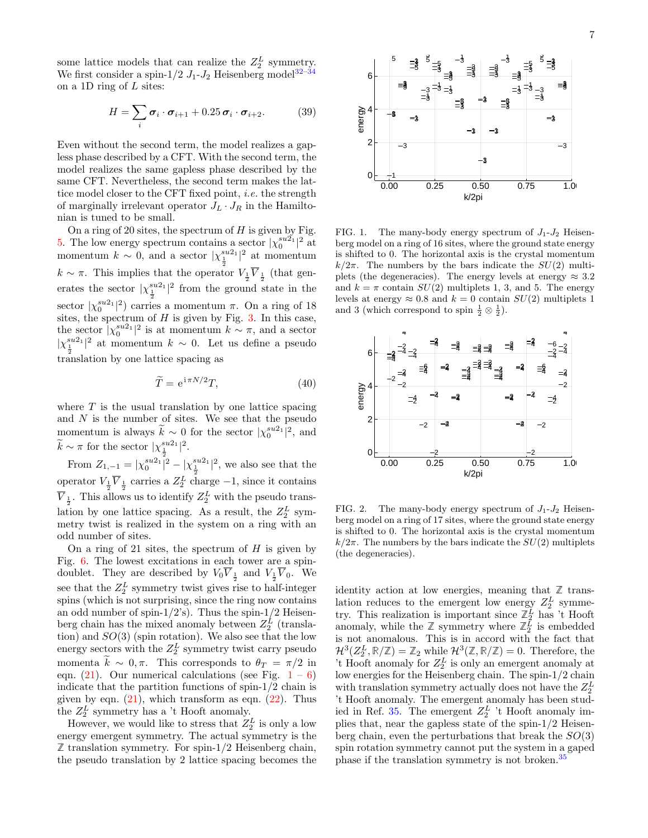some lattice models that can realize the  $Z_2^L$  symmetry. We first consider a spin-1/2  $J_1$ - $J_2$  Heisenberg model<sup>32-[34](#page-30-27)</sup> on a 1D ring of  $L$  sites:

$$
H = \sum_{i} \boldsymbol{\sigma}_{i} \cdot \boldsymbol{\sigma}_{i+1} + 0.25 \boldsymbol{\sigma}_{i} \cdot \boldsymbol{\sigma}_{i+2}.
$$
 (39)

Even without the second term, the model realizes a gapless phase described by a CFT. With the second term, the model realizes the same gapless phase described by the same CFT. Nevertheless, the second term makes the lattice model closer to the CFT fixed point, *i.e.* the strength of marginally irrelevant operator  $J_L \cdot J_R$  in the Hamiltonian is tuned to be small.

On a ring of 20 sites, the spectrum of  $H$  is given by Fig. [5.](#page-7-0) The low energy spectrum contains a sector  $|\chi_0^{su2_1}|^2$  at momentum  $k \sim 0$ , and a sector  $|\chi_1^{su2_1}|^2$  at momentum  $k \sim \pi$ . This implies that the operator  $V_{\frac{1}{2}}\overline{V}_{\frac{1}{2}}$  (that generates the sector  $|\chi_{\frac{1}{2}}^{su2_1}|^2$  from the ground state in the sector  $|\chi_0^{su2_1}|^2$  carries a momentum  $\pi$ . On a ring of 18 sites, the spectrum of  $H$  is given by Fig. [3.](#page-7-1) In this case, the sector  $|\chi_0^{su2_1}|^2$  is at momentum  $k \sim \pi$ , and a sector  $|\chi_1^{su2_1}|^2$  at momentum  $k \sim 0$ . Let us define a pseudo  $\frac{2}{2}$  translation by one lattice spacing as

$$
\widetilde{T} = e^{i\pi N/2}T,\tag{40}
$$

where  $T$  is the usual translation by one lattice spacing and  $N$  is the number of sites. We see that the pseudo momentum is always  $\widetilde{k} \sim 0$  for the sector  $|\chi_0^{su2_1}|^2$ , and  $\widetilde{k} \sim \pi$  for the sector  $|\chi_{\frac{1}{2}}^{su2_1}|^2$ .

From  $Z_{1,-1} = |\chi_0^{su2_1}|^2 - |\chi_{\frac{1}{2}}^{su2_1}|^2$ , we also see that the operator  $V_{\frac{1}{2}}\overline{V}_{\frac{1}{2}}$  carries a  $Z_2^L$  charge  $-1$ , since it contains  $\overline{V}_{\frac{1}{2}}$ . This allows us to identify  $Z_2^L$  with the pseudo translation by one lattice spacing. As a result, the  $Z_2^L$  symmetry twist is realized in the system on a ring with an odd number of sites.

On a ring of 21 sites, the spectrum of  $H$  is given by Fig. [6.](#page-7-2) The lowest excitations in each tower are a spindoublet. They are described by  $V_0 \overline{V}_{\frac{1}{2}}$  and  $V_{\frac{1}{2}} \overline{V}_0$ . We see that the  $Z_2^L$  symmetry twist gives rise to half-integer spins (which is not surprising, since the ring now contains an odd number of spin- $1/2$ 's). Thus the spin- $1/2$  Heisenberg chain has the mixed anomaly between  $Z_2^L$  (translation) and  $SO(3)$  (spin rotation). We also see that the low energy sectors with the  $Z_2^L$  symmetry twist carry pseudo momenta  $\widetilde{k} \sim 0, \pi$ . This corresponds to  $\theta_T = \pi/2$  in eqn.  $(21)$  $(21)$  $(21)$ . Our numerical calculations (see Fig.  $1 - 6$ ) indicate that the partition functions of spin-1/2 chain is given by eqn.  $(21)$ , which transform as eqn.  $(22)$ . Thus the  $Z_2^L$  symmetry has a 't Hooft anomaly.

However, we would like to stress that  $Z_2^L$  is only a low energy emergent symmetry. The actual symmetry is the **Z** translation symmetry. For spin-1/2 Heisenberg chain, the pseudo translation by 2 lattice spacing becomes the



<span id="page-6-0"></span>FIG. 1. The many-body energy spectrum of  $J_1-J_2$  Heisenberg model on a ring of 16 sites, where the ground state energy is shifted to 0. The horizontal axis is the crystal momentum  $k/2\pi$ . The numbers by the bars indicate the  $SU(2)$  multiplets (the degeneracies). The energy levels at energy  $\approx 3.2$ and  $k = \pi$  contain  $SU(2)$  multiplets 1, 3, and 5. The energy levels at energy  $\approx 0.8$  and  $k = 0$  contain  $SU(2)$  multiplets 1 and 3 (which correspond to spin  $\frac{1}{2} \otimes \frac{1}{2}$ ).



FIG. 2. The many-body energy spectrum of  $J_1-J_2$  Heisenberg model on a ring of 17 sites, where the ground state energy is shifted to 0. The horizontal axis is the crystal momentum  $k/2\pi$ . The numbers by the bars indicate the  $SU(2)$  multiplets (the degeneracies).

identity action at low energies, meaning that  $\mathbb{Z}$  translation reduces to the emergent low energy  $Z_2^L$  symmetry. This realization is important since  $\mathbb{Z}_2^L$  has 't Hooft anomaly, while the  $\mathbb{Z}$  symmetry where  $\mathbb{Z}_2^{\bar{L}}$  is embedded is not anomalous. This is in accord with the fact that  $\mathcal{H}^{3}(Z_{2}^{L}, \mathbb{R}/\mathbb{Z}) = \mathbb{Z}_{2}$  while  $\mathcal{H}^{3}(\mathbb{Z}, \mathbb{R}/\mathbb{Z}) = 0$ . Therefore, the 't Hooft anomaly for  $Z_2^L$  is only an emergent anomaly at low energies for the Heisenberg chain. The spin-1/2 chain with translation symmetry actually does not have the  $Z_2^L$ 't Hooft anomaly. The emergent anomaly has been stud-ied in Ref. [35.](#page-30-28) The emergent  $Z_2^L$  't Hooft anomaly implies that, near the gapless state of the spin-1/2 Heisenberg chain, even the perturbations that break the  $SO(3)$ spin rotation symmetry cannot put the system in a gaped phase if the translation symmetry is not broken.[35](#page-30-28)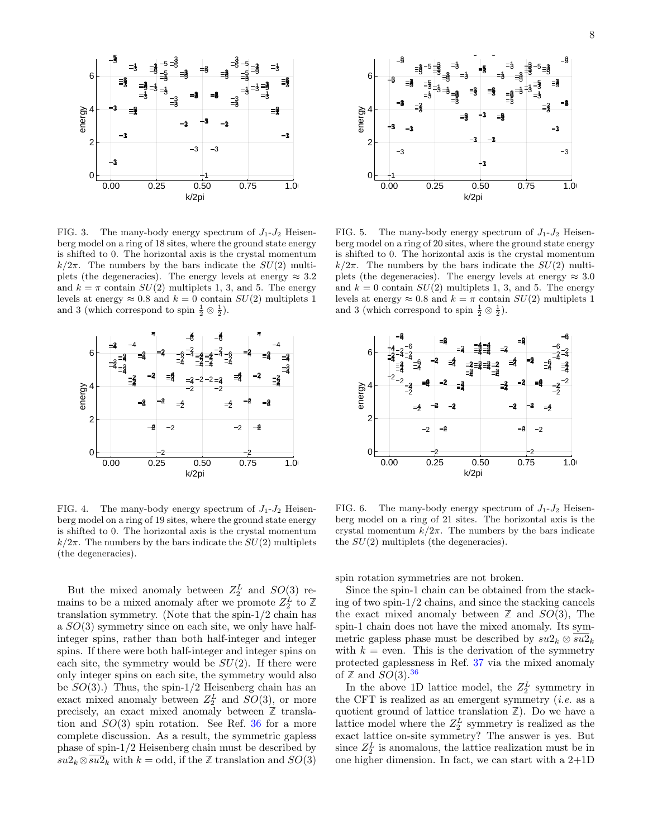

<span id="page-7-1"></span>FIG. 3. The many-body energy spectrum of  $J_1-J_2$  Heisenberg model on a ring of 18 sites, where the ground state energy is shifted to 0. The horizontal axis is the crystal momentum  $k/2\pi$ . The numbers by the bars indicate the  $SU(2)$  multiplets (the degeneracies). The energy levels at energy  $\approx 3.2$ and  $k = \pi$  contain  $SU(2)$  multiplets 1, 3, and 5. The energy levels at energy  $\approx 0.8$  and  $k = 0$  contain  $SU(2)$  multiplets 1 and 3 (which correspond to spin  $\frac{1}{2} \otimes \frac{1}{2}$ ).



FIG. 4. The many-body energy spectrum of  $J_1-J_2$  Heisenberg model on a ring of 19 sites, where the ground state energy is shifted to 0. The horizontal axis is the crystal momentum  $k/2\pi$ . The numbers by the bars indicate the  $SU(2)$  multiplets (the degeneracies).

But the mixed anomaly between  $Z_2^L$  and  $SO(3)$  remains to be a mixed anomaly after we promote  $Z_2^L$  to  $\mathbb{Z}$ translation symmetry. (Note that the spin-1/2 chain has a  $SO(3)$  symmetry since on each site, we only have halfinteger spins, rather than both half-integer and integer spins. If there were both half-integer and integer spins on each site, the symmetry would be  $SU(2)$ . If there were only integer spins on each site, the symmetry would also be  $SO(3)$ .) Thus, the spin-1/2 Heisenberg chain has an exact mixed anomaly between  $Z_2^L$  and  $SO(3)$ , or more precisely, an exact mixed anomaly between **Z** translation and  $SO(3)$  spin rotation. See Ref. [36](#page-30-29) for a more complete discussion. As a result, the symmetric gapless phase of spin-1/2 Heisenberg chain must be described by  $su2_k \otimes \overline{su2}_k$  with  $k = \text{odd}$ , if the  $\mathbb Z$  translation and  $SO(3)$ 



<span id="page-7-0"></span>FIG. 5. The many-body energy spectrum of  $J_1-J_2$  Heisenberg model on a ring of 20 sites, where the ground state energy is shifted to 0. The horizontal axis is the crystal momentum  $k/2\pi$ . The numbers by the bars indicate the  $SU(2)$  multiplets (the degeneracies). The energy levels at energy  $\approx 3.0$ and  $k = 0$  contain  $SU(2)$  multiplets 1, 3, and 5. The energy levels at energy  $\approx 0.8$  and  $k = \pi$  contain  $SU(2)$  multiplets 1 and 3 (which correspond to spin  $\frac{1}{2} \otimes \frac{1}{2}$ ).



<span id="page-7-2"></span>FIG. 6. The many-body energy spectrum of  $J_1-J_2$  Heisenberg model on a ring of 21 sites. The horizontal axis is the crystal momentum  $k/2\pi$ . The numbers by the bars indicate the  $SU(2)$  multiplets (the degeneracies).

spin rotation symmetries are not broken.

Since the spin-1 chain can be obtained from the stacking of two spin-1/2 chains, and since the stacking cancels the exact mixed anomaly between  $\mathbb{Z}$  and  $SO(3)$ , The spin-1 chain does not have the mixed anomaly. Its symmetric gapless phase must be described by  $su2_k \otimes \overline{su2}_k$ with  $k =$  even. This is the derivation of the symmetry protected gaplessness in Ref. [37](#page-30-30) via the mixed anomaly of  $\mathbb{Z}$  and  $SO(3)$ .<sup>[36](#page-30-29)</sup>

In the above 1D lattice model, the  $Z_2^L$  symmetry in the CFT is realized as an emergent symmetry  $(i.e.$  as a quotient ground of lattice translation **Z**). Do we have a lattice model where the  $Z_2^L$  symmetry is realized as the exact lattice on-site symmetry? The answer is yes. But since  $Z_2^L$  is anomalous, the lattice realization must be in one higher dimension. In fact, we can start with a 2+1D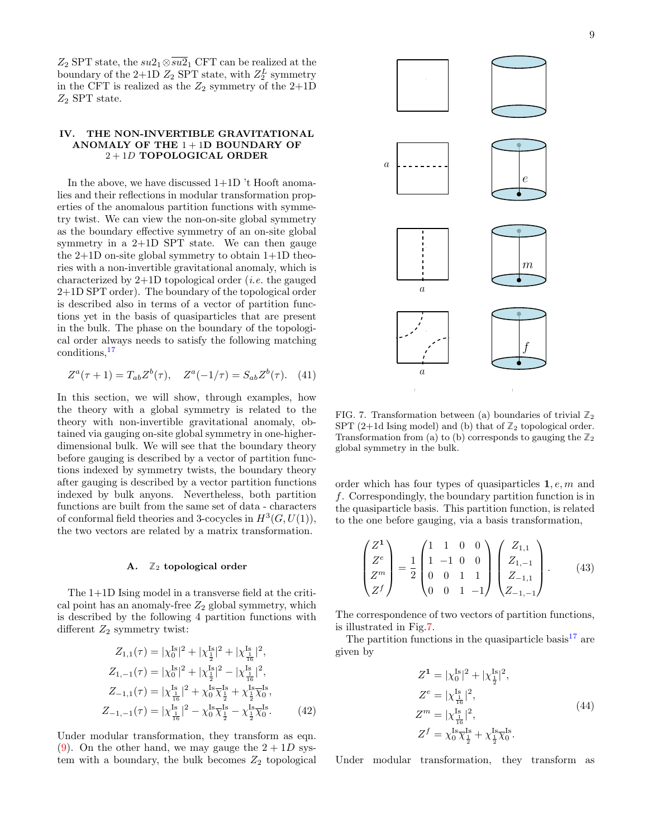$Z_2$  SPT state, the  $su2_1 \otimes \overline{su2}_1$  CFT can be realized at the boundary of the 2+1D  $Z_2$  SPT state, with  $Z_2^L$  symmetry in the CFT is realized as the  $Z_2$  symmetry of the 2+1D  $\mathbb{Z}_2$  SPT state.

# <span id="page-8-0"></span>IV. THE NON-INVERTIBLE GRAVITATIONAL ANOMALY OF THE  $1+1D$  BOUNDARY OF 2 + 1D TOPOLOGICAL ORDER

In the above, we have discussed 1+1D 't Hooft anomalies and their reflections in modular transformation properties of the anomalous partition functions with symmetry twist. We can view the non-on-site global symmetry as the boundary effective symmetry of an on-site global symmetry in a 2+1D SPT state. We can then gauge the 2+1D on-site global symmetry to obtain 1+1D theories with a non-invertible gravitational anomaly, which is characterized by  $2+1D$  topological order *(i.e.* the gauged 2+1D SPT order). The boundary of the topological order is described also in terms of a vector of partition functions yet in the basis of quasiparticles that are present in the bulk. The phase on the boundary of the topological order always needs to satisfy the following matching conditions,[17](#page-30-11)

$$
Z^{a}(\tau + 1) = T_{ab}Z^{b}(\tau), \quad Z^{a}(-1/\tau) = S_{ab}Z^{b}(\tau). \quad (41)
$$

In this section, we will show, through examples, how the theory with a global symmetry is related to the theory with non-invertible gravitational anomaly, obtained via gauging on-site global symmetry in one-higherdimensional bulk. We will see that the boundary theory before gauging is described by a vector of partition functions indexed by symmetry twists, the boundary theory after gauging is described by a vector partition functions indexed by bulk anyons. Nevertheless, both partition functions are built from the same set of data - characters of conformal field theories and 3-cocycles in  $H^3(G, U(1)),$ the two vectors are related by a matrix transformation.

#### <span id="page-8-1"></span>A. **Z**<sup>2</sup> topological order

The 1+1D Ising model in a transverse field at the critical point has an anomaly-free  $Z_2$  global symmetry, which is described by the following 4 partition functions with different  $Z_2$  symmetry twist:

$$
Z_{1,1}(\tau) = |\chi_0^{Is}|^2 + |\chi_{\frac{1}{2}}^{Is}|^2 + |\chi_{\frac{1}{16}}^{Is}|^2,
$$
  
\n
$$
Z_{1,-1}(\tau) = |\chi_0^{Is}|^2 + |\chi_{\frac{1}{2}}^{Is}|^2 - |\chi_{\frac{1}{16}}^{Is}|^2,
$$
  
\n
$$
Z_{-1,1}(\tau) = |\chi_{\frac{1}{16}}^{Is}|^2 + \chi_0^{Is} \chi_{\frac{1}{2}}^{Is} + \chi_{\frac{1}{2}}^{Is} \chi_0^{Is},
$$
  
\n
$$
Z_{-1,-1}(\tau) = |\chi_{\frac{1}{16}}^{Is}|^2 - \chi_0^{Is} \chi_{\frac{1}{2}}^{Is} - \chi_{\frac{1}{2}}^{Is} \chi_0^{Is}.
$$
 (42)

Under modular transformation, they transform as eqn. [\(9\)](#page-3-3). On the other hand, we may gauge the  $2+1D$  system with a boundary, the bulk becomes  $Z_2$  topological



<span id="page-8-3"></span><span id="page-8-2"></span>FIG. 7. Transformation between (a) boundaries of trivial  $\mathbb{Z}_2$ SPT  $(2+1d)$  Ising model) and (b) that of  $\mathbb{Z}_2$  topological order. Transformation from (a) to (b) corresponds to gauging the  $\mathbb{Z}_2$ global symmetry in the bulk.

order which has four types of quasiparticles 1, e, m and f. Correspondingly, the boundary partition function is in the quasiparticle basis. This partition function, is related to the one before gauging, via a basis transformation,

$$
\begin{pmatrix} Z^1 \\ Z^e \\ Z^m \\ Z^f \end{pmatrix} = \frac{1}{2} \begin{pmatrix} 1 & 1 & 0 & 0 \\ 1 & -1 & 0 & 0 \\ 0 & 0 & 1 & 1 \\ 0 & 0 & 1 & -1 \end{pmatrix} \begin{pmatrix} Z_{1,1} \\ Z_{1,-1} \\ Z_{-1,1} \\ Z_{-1,-1} \end{pmatrix} . \tag{43}
$$

The correspondence of two vectors of partition functions, is illustrated in Fig[.7.](#page-8-2)

The partition functions in the quasiparticle basis<sup>[17](#page-30-11)</sup> are given by

<span id="page-8-6"></span><span id="page-8-5"></span>
$$
Z^{\mathbf{1}} = |\chi_0^{\text{Is}}|^2 + |\chi_{\frac{1}{2}}^{\text{Is}}|^2,
$$
  
\n
$$
Z^e = |\chi_{\frac{1}{16}}^{\text{Is}}|^2,
$$
  
\n
$$
Z^m = |\chi_{\frac{1}{16}}^{\text{Is}}|^2,
$$
  
\n
$$
Z^f = \chi_0^{\text{Is}} \overline{\chi}_{\frac{1}{2}}^{\text{Is}} + \chi_{\frac{1}{2}}^{\text{Is}} \overline{\chi}_0^{\text{Is}}.
$$
\n(44)

<span id="page-8-4"></span>Under modular transformation, they transform as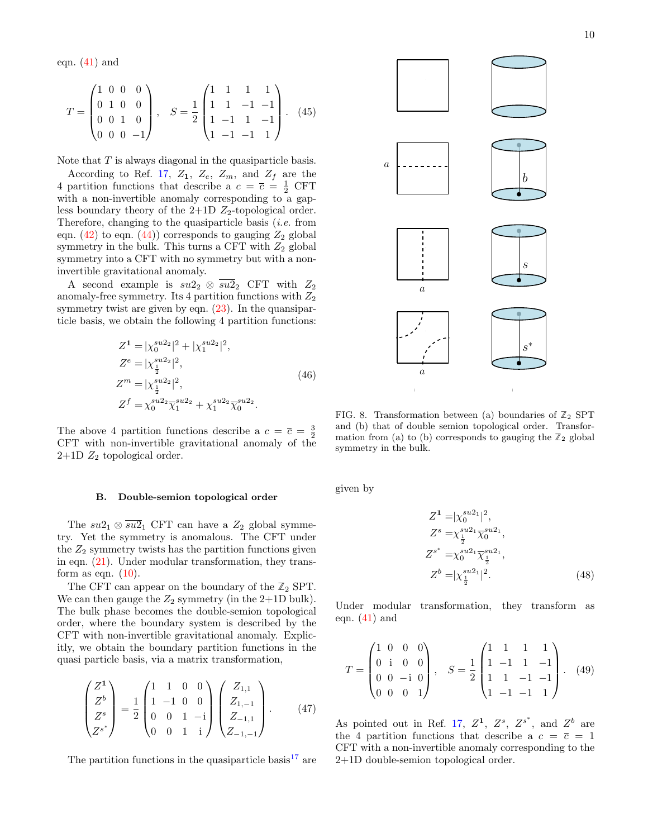eqn.  $(41)$  and

$$
T = \begin{pmatrix} 1 & 0 & 0 & 0 \\ 0 & 1 & 0 & 0 \\ 0 & 0 & 1 & 0 \\ 0 & 0 & 0 & -1 \end{pmatrix}, \quad S = \frac{1}{2} \begin{pmatrix} 1 & 1 & 1 & 1 \\ 1 & 1 & -1 & -1 \\ 1 & -1 & 1 & -1 \\ 1 & -1 & -1 & 1 \end{pmatrix}.
$$
 (45)

Note that T is always diagonal in the quasiparticle basis.

According to Ref. [17,](#page-30-11)  $Z_1$ ,  $Z_e$ ,  $Z_m$ , and  $Z_f$  are the 4 partition functions that describe a  $c = \overline{c} = \frac{1}{2}$  CFT with a non-invertible anomaly corresponding to a gapless boundary theory of the  $2+1D$   $Z_2$ -topological order. Therefore, changing to the quasiparticle basis *(i.e.* from eqn.  $(42)$  to eqn.  $(44)$ ) corresponds to gauging  $Z_2$  global symmetry in the bulk. This turns a CFT with  $Z_2$  global symmetry into a CFT with no symmetry but with a noninvertible gravitational anomaly.

A second example is  $su2_2 \otimes \overline{su2}_2$  CFT with  $Z_2$ anomaly-free symmetry. Its 4 partition functions with  $Z_2$ symmetry twist are given by eqn.  $(23)$ . In the quansiparticle basis, we obtain the following 4 partition functions:

$$
Z^{1} = |\chi_{0}^{su2_{2}}|^{2} + |\chi_{1}^{su2_{2}}|^{2},
$$
  
\n
$$
Z^{e} = |\chi_{\frac{1}{2}}^{su2_{2}}|^{2},
$$
  
\n
$$
Z^{m} = |\chi_{\frac{1}{2}}^{su2_{2}}|^{2},
$$
  
\n
$$
Z^{f} = \chi_{0}^{su2_{2}} \overline{\chi}_{1}^{su2_{2}} + \chi_{1}^{su2_{2}} \overline{\chi}_{0}^{su2_{2}}.
$$
\n(46)

The above 4 partition functions describe a  $c = \overline{c} = \frac{3}{2}$ CFT with non-invertible gravitational anomaly of the  $2+1D$   $Z_2$  topological order.

#### <span id="page-9-0"></span>B. Double-semion topological order

The  $su2_1 \otimes \overline{su2}_1$  CFT can have a  $Z_2$  global symmetry. Yet the symmetry is anomalous. The CFT under the  $Z_2$  symmetry twists has the partition functions given in eqn. [\(21\)](#page-4-0). Under modular transformation, they transform as eqn.  $(10)$ .

The CFT can appear on the boundary of the  $\mathbb{Z}_2$  SPT. We can then gauge the  $Z_2$  symmetry (in the 2+1D bulk). The bulk phase becomes the double-semion topological order, where the boundary system is described by the CFT with non-invertible gravitational anomaly. Explicitly, we obtain the boundary partition functions in the quasi particle basis, via a matrix transformation,

$$
\begin{pmatrix} Z^1 \\ Z^b \\ Z^s \\ Z^{s^*} \end{pmatrix} = \frac{1}{2} \begin{pmatrix} 1 & 1 & 0 & 0 \\ 1 & -1 & 0 & 0 \\ 0 & 0 & 1 & -i \\ 0 & 0 & 1 & i \end{pmatrix} \begin{pmatrix} Z_{1,1} \\ Z_{1,-1} \\ Z_{-1,1} \\ Z_{-1,-1} \end{pmatrix} . \tag{47}
$$

The partition functions in the quasiparticle basis<sup>[17](#page-30-11)</sup> are

<span id="page-9-3"></span>

<span id="page-9-2"></span>FIG. 8. Transformation between (a) boundaries of  $\mathbb{Z}_2$  SPT and (b) that of double semion topological order. Transformation from (a) to (b) corresponds to gauging the  $\mathbb{Z}_2$  global symmetry in the bulk.

given by

$$
Z^1 = |\chi_0^{su2_1}|^2,
$$
  
\n
$$
Z^s = \chi_{\frac{1}{2}}^{su2_1} \overline{\chi}_0^{su2_1},
$$
  
\n
$$
Z^{s^*} = \chi_0^{su2_1} \overline{\chi_{\frac{1}{2}}^{su2_1}},
$$
  
\n
$$
Z^b = |\chi_{\frac{1}{2}}^{su2_1}|^2.
$$
\n(48)

Under modular transformation, they transform as eqn.  $(41)$  and

$$
T = \begin{pmatrix} 1 & 0 & 0 & 0 \\ 0 & i & 0 & 0 \\ 0 & 0 & -i & 0 \\ 0 & 0 & 0 & 1 \end{pmatrix}, \quad S = \frac{1}{2} \begin{pmatrix} 1 & 1 & 1 & 1 \\ 1 & -1 & 1 & -1 \\ 1 & 1 & -1 & -1 \\ 1 & -1 & -1 & 1 \end{pmatrix}.
$$
 (49)

<span id="page-9-1"></span>As pointed out in Ref. [17,](#page-30-11)  $Z^1$ ,  $Z^s$ ,  $Z^{s^*}$ , and  $Z^b$  are the 4 partition functions that describe a  $c = \overline{c} = 1$ CFT with a non-invertible anomaly corresponding to the 2+1D double-semion topological order.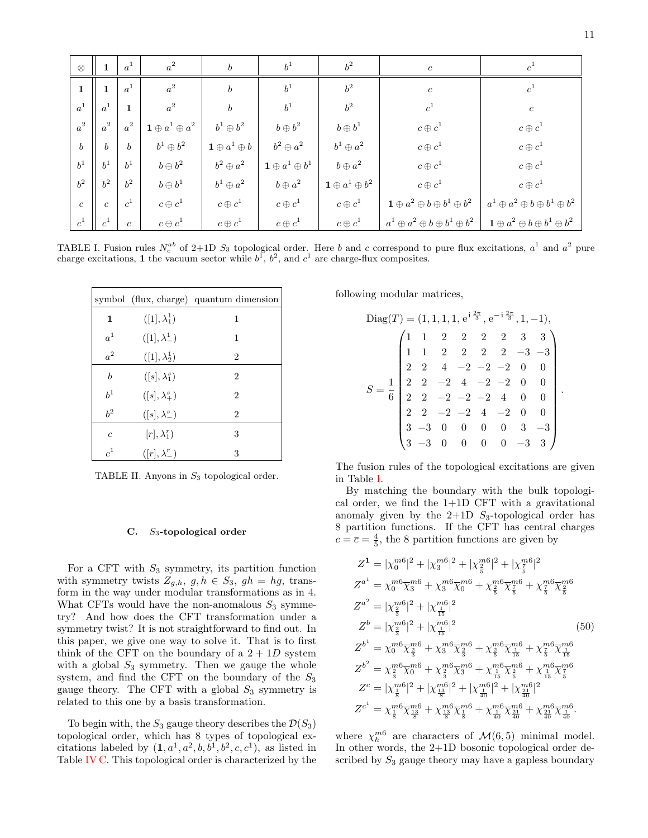| $\otimes$        | $\mathbf 1$      | $a^1$            | $a^2$                              | $\boldsymbol{b}$                 | $b^1$                              | $b^2$                              | $\boldsymbol{c}$                                       |                                                        |
|------------------|------------------|------------------|------------------------------------|----------------------------------|------------------------------------|------------------------------------|--------------------------------------------------------|--------------------------------------------------------|
| 1                | $\mathbf{1}$     | $a^1$            | $a^2$                              | $\boldsymbol{b}$                 | $b^1$                              | $b^2$                              | $\boldsymbol{c}$                                       | c <sup>1</sup>                                         |
| $a^1$            | $a^1$            | $\mathbf{1}$     | $a^2$                              | $\boldsymbol{b}$                 | $b^1$                              | $b^2$                              | $c^1$                                                  | $\boldsymbol{c}$                                       |
| $a^2$            | $a^2$            | $a^2$            | $\mathbf{1} \oplus a^1 \oplus a^2$ | $b^1\oplus b^2$                  | $b \oplus b^2$                     | $b \oplus b^1$                     | $c \oplus c^1$                                         | $c \oplus c^1$                                         |
| $\boldsymbol{b}$ | $\boldsymbol{b}$ | $\boldsymbol{b}$ | $b^1\oplus b^2$                    | $\mathbf{1} \oplus a^1 \oplus b$ | $b^2\oplus a^2$                    | $b^1 \oplus a^2$                   | $c \oplus c^1$                                         | $c \oplus c^1$                                         |
| $b^1$            | h <sup>1</sup>   | $b^1$            | $b \oplus b^2$                     | $b^2\oplus a^2$                  | $\mathbf{1} \oplus a^1 \oplus b^1$ | $b \oplus a^2$                     | $c \oplus c^1$                                         | $c \oplus c^1$                                         |
| $b^2$            | $b^2$            | $b^2$            | $b \oplus b^1$                     | $b^1 \oplus a^2$                 | $b \oplus a^2$                     | $\mathbf{1} \oplus a^1 \oplus b^2$ | $c \oplus c^1$                                         | $c \oplus c^1$                                         |
| $\mathfrak{c}$   | $\mathfrak{c}$   | c <sup>1</sup>   | $c \oplus c^1$                     | $c \oplus c^1$                   | $c \oplus c^1$                     | $c \oplus c^1$                     | $\mathbf{1} \oplus a^2 \oplus b \oplus b^1 \oplus b^2$ | $a^1 \oplus a^2 \oplus b \oplus b^1 \oplus b^2$        |
| $c^1$            | $c^1$            | $\boldsymbol{c}$ | $c \oplus c^1$                     | $c \oplus c^1$                   | $c \oplus c^1$                     | $c \oplus c^1$                     | $a^1\oplus a^2\oplus b\oplus b^1\oplus b^2$            | $\mathbf{1} \oplus a^2 \oplus b \oplus b^1 \oplus b^2$ |

<span id="page-10-1"></span>TABLE I. Fusion rules  $N_c^{ab}$  of 2+1D  $S_3$  topological order. Here b and c correspond to pure flux excitations,  $a^1$  and  $a^2$  pure charge excitations, 1 the vacuum sector while  $b^1$ ,  $b^2$ , and  $c^1$  are charge-flux composites.

|                  |                          | symbol (flux, charge) quantum dimension |
|------------------|--------------------------|-----------------------------------------|
| $\mathbf{1}$     | $([1], \lambda_1^1)$     | 1                                       |
| $a^1$            | $([1], \lambda^1)$       | 1                                       |
| $a^2$            | $([1], \lambda_2^1)$     | $\overline{2}$                          |
| $\boldsymbol{b}$ | $([s], \lambda_1^s)$     | $\overline{2}$                          |
| $b^1$            | $([s], \lambda^s_+)$     | $\overline{2}$                          |
| $b^2$            | $([s], \lambda_{-}^{s})$ | $\overline{2}$                          |
| $\overline{c}$   | $[r], \lambda_1^r$       | 3                                       |
| c <sup>1</sup>   | $([r], \lambda_{-}^{r})$ | 3                                       |

TABLE II. Anyons in  $S_3$  topological order.

#### <span id="page-10-0"></span> $C.$  S<sub>3</sub>-topological order

For a CFT with  $S_3$  symmetry, its partition function with symmetry twists  $Z_{g,h}$ ,  $g, h \in S_3$ ,  $gh = hg$ , transform in the way under modular transformations as in [4.](#page-3-2) What CFTs would have the non-anomalous  $S_3$  symmetry? And how does the CFT transformation under a symmetry twist? It is not straightforward to find out. In this paper, we give one way to solve it. That is to first think of the CFT on the boundary of a  $2 + 1D$  system with a global  $S_3$  symmetry. Then we gauge the whole system, and find the CFT on the boundary of the  $S_3$ gauge theory. The CFT with a global  $S_3$  symmetry is related to this one by a basis transformation.

To begin with, the  $S_3$  gauge theory describes the  $\mathcal{D}(S_3)$ topological order, which has 8 types of topological excitations labeled by  $(1, a^1, a^2, b, b^1, b^2, c, c^1)$ , as listed in Table [IV C.](#page-10-0) This topological order is characterized by the following modular matrices,

$$
\text{Diag}(T) = (1, 1, 1, 1, e^{i\frac{2\pi}{3}}, e^{-i\frac{2\pi}{3}}, 1, -1),
$$
\n
$$
\begin{pmatrix}\n1 & 1 & 2 & 2 & 2 & 2 & 3 & 3 \\
1 & 1 & 2 & 2 & 2 & 2 & -3 & -3 \\
2 & 2 & 4 & -2 & -2 & -2 & 0 & 0 \\
2 & 2 & -2 & 4 & -2 & -2 & 0 & 0 \\
2 & 2 & -2 & -2 & -2 & 4 & 0 & 0 \\
2 & 2 & -2 & -2 & 4 & -2 & 0 & 0 \\
3 & -3 & 0 & 0 & 0 & 0 & 3 & -3 \\
3 & -3 & 0 & 0 & 0 & 0 & -3 & 3\n\end{pmatrix}
$$

The fusion rules of the topological excitations are given in Table [I.](#page-10-1)

By matching the boundary with the bulk topological order, we find the  $1+1D$  CFT with a gravitational anomaly given by the  $2+1D$  S<sub>3</sub>-topological order has 8 partition functions. If the CFT has central charges  $c = \overline{c} = \frac{4}{5}$ , the 8 partition functions are given by

$$
Z^{1} = |\chi_{0}^{m6}|^{2} + |\chi_{3}^{m6}|^{2} + |\chi_{\frac{2}{5}}^{m6}|^{2} + |\chi_{\frac{7}{5}}^{m6}|^{2}
$$
\n
$$
Z^{a^{1}} = \chi_{0}^{m6} \overline{\chi}_{3}^{m6} + \chi_{3}^{m6} \overline{\chi}_{0}^{m6} + \chi_{\frac{2}{5}}^{m6} \overline{\chi}_{\frac{7}{5}}^{m6} + \chi_{\frac{7}{5}}^{m6} \overline{\chi}_{\frac{2}{5}}^{m6}
$$
\n
$$
Z^{a^{2}} = |\chi_{\frac{2}{3}}^{m6}|^{2} + |\chi_{\frac{11}{15}}^{m6}|^{2}
$$
\n
$$
Z^{b} = |\chi_{\frac{2}{3}}^{m6}|^{2} + |\chi_{\frac{11}{15}}^{m6}|^{2}
$$
\n
$$
Z^{b^{1}} = \chi_{0}^{m6} \overline{\chi}_{\frac{2}{3}}^{m6} + \chi_{3}^{m6} \overline{\chi}_{\frac{2}{3}}^{m6} + \chi_{\frac{7}{5}}^{m6} \overline{\chi}_{\frac{11}{15}}^{m6} + \chi_{\frac{7}{5}}^{m6} \overline{\chi}_{\frac{7}{15}}^{m6}
$$
\n
$$
Z^{b^{2}} = \chi_{\frac{2}{3}}^{m6} \overline{\chi}_{0}^{m6} + \chi_{\frac{2}{3}}^{m6} \overline{\chi}_{3}^{m6} + \chi_{\frac{11}{15}}^{m6} \overline{\chi}_{\frac{7}{5}}^{m6} + \chi_{\frac{11}{15}}^{m6} \overline{\chi}_{\frac{7}{5}}^{m6}
$$
\n
$$
Z^{c} = |\chi_{\frac{11}{8}}^{m6}|^{2} + |\chi_{\frac{13}{8}}^{m6}|^{2} + |\chi_{\frac{10}{40}}^{m6}|^{2} + |\chi_{\frac{21}{40}}^{m6}|^{2}
$$
\n
$$
Z^{c^{1}} = \chi_{\frac{11}{8}}^{m6} \overline{\chi}_{\frac{13}{8}}^{m6} + \chi_{\frac{13}{8}}^{m6} \overline{\chi}_{\frac{7}{8}}^{m6} + \chi_{\frac{11}{40}}^{m6} \overline
$$

where  $\chi_h^{m6}$  are characters of  $\mathcal{M}(6,5)$  minimal model. In other words, the 2+1D bosonic topological order described by  $S_3$  gauge theory may have a gapless boundary

.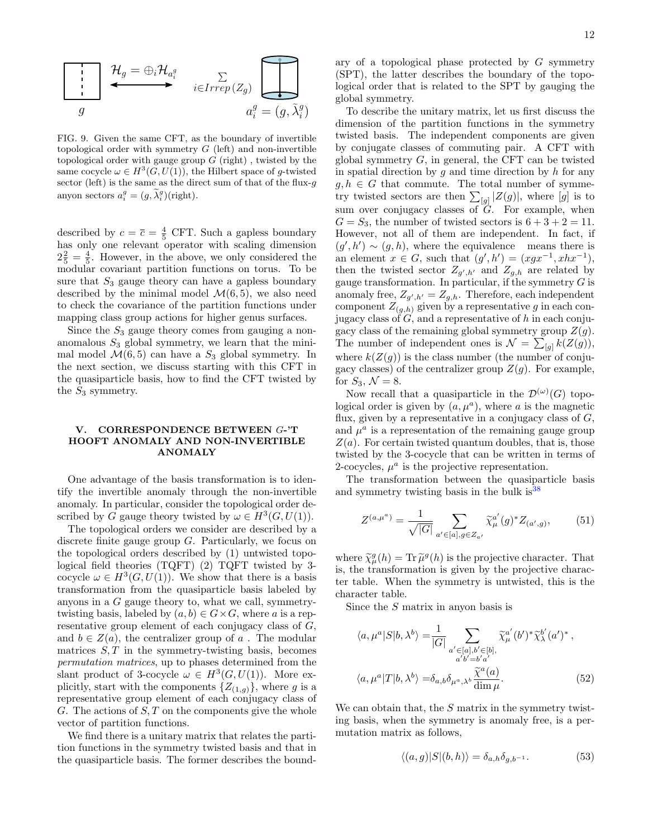

FIG. 9. Given the same CFT, as the boundary of invertible topological order with symmetry  $G$  (left) and non-invertible topological order with gauge group  $G$  (right), twisted by the same cocycle  $\omega \in H^3(G, U(1))$ , the Hilbert space of g-twisted sector (left) is the same as the direct sum of that of the flux- $g$ anyon sectors  $a_i^g = (g, \tilde{\lambda}_i^g)$ (right).

described by  $c = \overline{c} = \frac{4}{5}$  CFT. Such a gapless boundary has only one relevant operator with scaling dimension  $2\frac{2}{5} = \frac{4}{5}$ . However, in the above, we only considered the modular covariant partition functions on torus. To be sure that  $S_3$  gauge theory can have a gapless boundary described by the minimal model  $\mathcal{M}(6, 5)$ , we also need to check the covariance of the partition functions under mapping class group actions for higher genus surfaces.

Since the  $S_3$  gauge theory comes from gauging a nonanomalous  $S_3$  global symmetry, we learn that the minimal model  $\mathcal{M}(6, 5)$  can have a  $S_3$  global symmetry. In the next section, we discuss starting with this CFT in the quasiparticle basis, how to find the CFT twisted by the  $S_3$  symmetry.

### <span id="page-11-0"></span>V. CORRESPONDENCE BETWEEN G-'T HOOFT ANOMALY AND NON-INVERTIBLE ANOMALY

One advantage of the basis transformation is to identify the invertible anomaly through the non-invertible anomaly. In particular, consider the topological order described by G gauge theory twisted by  $\omega \in H^3(G, U(1))$ .

The topological orders we consider are described by a discrete finite gauge group  $G$ . Particularly, we focus on the topological orders described by (1) untwisted topological field theories (TQFT) (2) TQFT twisted by 3 cocycle  $\omega \in H^3(G, U(1))$ . We show that there is a basis transformation from the quasiparticle basis labeled by anyons in a G gauge theory to, what we call, symmetrytwisting basis, labeled by  $(a, b) \in G \times G$ , where a is a representative group element of each conjugacy class of G, and  $b \in Z(a)$ , the centralizer group of a. The modular matrices  $S, T$  in the symmetry-twisting basis, becomes permutation matrices, up to phases determined from the slant product of 3-cocycle  $\omega \in H^3(G, U(1))$ . More explicitly, start with the components  $\{Z_{(1,g)}\}$ , where g is a representative group element of each conjugacy class of  $G$ . The actions of  $S$ ,  $T$  on the components give the whole vector of partition functions.

We find there is a unitary matrix that relates the partition functions in the symmetry twisted basis and that in the quasiparticle basis. The former describes the boundary of a topological phase protected by  $G$  symmetry (SPT), the latter describes the boundary of the topological order that is related to the SPT by gauging the global symmetry.

To describe the unitary matrix, let us first discuss the dimension of the partition functions in the symmetry twisted basis. The independent components are given by conjugate classes of commuting pair. A CFT with global symmetry  $G$ , in general, the CFT can be twisted in spatial direction by  $g$  and time direction by  $h$  for any  $g, h \in G$  that commute. The total number of symmetry twisted sectors are then  $\sum_{[g]} |Z(g)|$ , where  $[g]$  is to sum over conjugacy classes of G. For example, when  $G = S_3$ , the number of twisted sectors is  $6 + 3 + 2 = 11$ . However, not all of them are independent. In fact, if  $(g', h') \sim (g, h)$ , where the equivalence means there is an element  $x \in G$ , such that  $(g', h') = (xgx^{-1}, xhx^{-1})$ , then the twisted sector  $Z_{g',h'}$  and  $Z_{g,h}$  are related by gauge transformation. In particular, if the symmetry  $G$  is anomaly free,  $Z_{g',h'} = Z_{g,h}$ . Therefore, each independent component  $Z_{(g,h)}$  given by a representative g in each conjugacy class of  $G$ , and a representative of h in each conjugacy class of the remaining global symmetry group  $Z(g)$ . The number of independent ones is  $\mathcal{N} = \sum_{[g]} k(Z(g))$ , where  $k(Z(g))$  is the class number (the number of conjugacy classes) of the centralizer group  $Z(q)$ . For example, for  $S_3, \mathcal{N} = 8$ .

Now recall that a quasiparticle in the  $\mathcal{D}^{(\omega)}(G)$  topological order is given by  $(a, \mu^a)$ , where a is the magnetic flux, given by a representative in a conjugacy class of  $G$ , and  $\mu^a$  is a representation of the remaining gauge group  $Z(a)$ . For certain twisted quantum doubles, that is, those twisted by the 3-cocycle that can be written in terms of 2-cocycles,  $\mu^a$  is the projective representation.

The transformation between the quasiparticle basis and symmetry twisting basis in the bulk  $is^{38}$  $is^{38}$  $is^{38}$ 

<span id="page-11-1"></span>
$$
Z^{(a,\mu^a)} = \frac{1}{\sqrt{|G|}} \sum_{a' \in [a], g \in Z_{a'}} \tilde{\chi}_{\mu}^{a'}(g)^* Z_{(a',g)}, \qquad (51)
$$

where  $\tilde{\chi}_{\mu}^{g}(h) = \text{Tr} \tilde{\mu}^{g}(h)$  is the projective character. That<br>is the transformation is given by the projective characis, the transformation is given by the projective character table. When the symmetry is untwisted, this is the character table.

Since the S matrix in anyon basis is

$$
\langle a, \mu^a | S | b, \lambda^b \rangle = \frac{1}{|G|} \sum_{\substack{a' \in [a], b' \in [b], \\ a'b' = b'a'}} \widetilde{\chi}^{a'}_{\mu}(b')^* \widetilde{\chi}^{b'}_{\lambda}(a')^*,
$$
  

$$
\langle a, \mu^a | T | b, \lambda^b \rangle = \delta_{a,b} \delta_{\mu^a, \lambda^b} \frac{\widetilde{\chi}^a(a)}{\dim \mu}.
$$
 (52)

We can obtain that, the  $S$  matrix in the symmetry twisting basis, when the symmetry is anomaly free, is a permutation matrix as follows,

<span id="page-11-2"></span>
$$
\langle (a,g)|S|(b,h)\rangle = \delta_{a,h}\delta_{g,b^{-1}}.\tag{53}
$$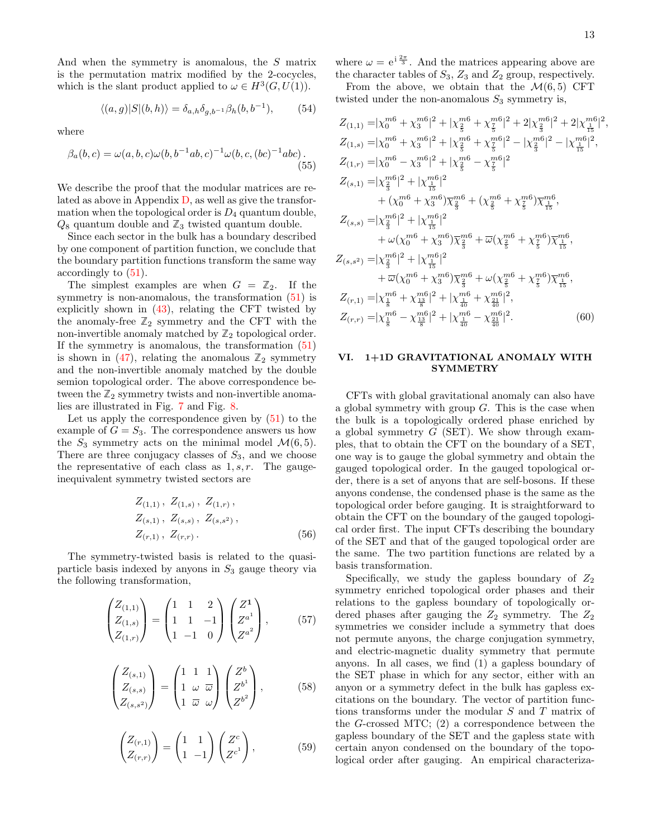And when the symmetry is anomalous, the S matrix is the permutation matrix modified by the 2-cocycles, which is the slant product applied to  $\omega \in H^3(G, U(1))$ .

$$
\langle (a,g)|S|(b,h)\rangle = \delta_{a,h}\delta_{g,b^{-1}}\beta_h(b,b^{-1}),\tag{54}
$$

where

$$
\beta_a(b,c) = \omega(a,b,c)\omega(b,b^{-1}ab,c)^{-1}\omega(b,c,(bc)^{-1}abc).
$$
\n(55)

We describe the proof that the modular matrices are related as above in Appendix  $D$ , as well as give the transformation when the topological order is  $D_4$  quantum double,  $Q_8$  quantum double and  $\mathbb{Z}_3$  twisted quantum double.

Since each sector in the bulk has a boundary described by one component of partition function, we conclude that the boundary partition functions transform the same way accordingly to [\(51\)](#page-11-1).

The simplest examples are when  $G = \mathbb{Z}_2$ . If the symmetry is non-anomalous, the transformation  $(51)$  is explicitly shown in [\(43\)](#page-8-6), relating the CFT twisted by the anomaly-free  $\mathbb{Z}_2$  symmetry and the CFT with the non-invertible anomaly matched by  $\mathbb{Z}_2$  topological order. If the symmetry is anomalous, the transformation  $(51)$ is shown in  $(47)$ , relating the anomalous  $\mathbb{Z}_2$  symmetry and the non-invertible anomaly matched by the double semion topological order. The above correspondence between the  $\mathbb{Z}_2$  symmetry twists and non-invertible anomalies are illustrated in Fig. [7](#page-8-2) and Fig. [8.](#page-9-2)

Let us apply the correspondence given by  $(51)$  to the example of  $G = S_3$ . The correspondence answers us how the  $S_3$  symmetry acts on the minimal model  $\mathcal{M}(6,5)$ . There are three conjugacy classes of  $S_3$ , and we choose the representative of each class as  $1, s, r$ . The gaugeinequivalent symmetry twisted sectors are

$$
Z_{(1,1)}, Z_{(1,s)}, Z_{(1,r)},
$$
  
\n
$$
Z_{(s,1)}, Z_{(s,s)}, Z_{(s,s^2)},
$$
  
\n
$$
Z_{(r,1)}, Z_{(r,r)}.
$$
\n(56)

The symmetry-twisted basis is related to the quasiparticle basis indexed by anyons in  $S_3$  gauge theory via the following transformation,

$$
\begin{pmatrix} Z_{(1,1)} \\ Z_{(1,s)} \\ Z_{(1,r)} \end{pmatrix} = \begin{pmatrix} 1 & 1 & 2 \\ 1 & 1 & -1 \\ 1 & -1 & 0 \end{pmatrix} \begin{pmatrix} Z^1 \\ Z^{a^1} \\ Z^{a^2} \end{pmatrix}, \qquad (57)
$$

$$
\begin{pmatrix} Z_{(s,1)} \\ Z_{(s,s)} \\ Z_{(s,s^2)} \end{pmatrix} = \begin{pmatrix} 1 & 1 & 1 \\ 1 & \omega & \overline{\omega} \\ 1 & \overline{\omega} & \omega \end{pmatrix} \begin{pmatrix} Z^b \\ Z^{b^1} \\ Z^{b^2} \end{pmatrix}, \quad (58)
$$

$$
\begin{pmatrix} Z_{(r,1)} \\ Z_{(r,r)} \end{pmatrix} = \begin{pmatrix} 1 & 1 \\ 1 & -1 \end{pmatrix} \begin{pmatrix} Z^c \\ Z^{c^1} \end{pmatrix}, \tag{59}
$$

where  $\omega = e^{i \frac{2\pi}{3}}$ . And the matrices appearing above are the character tables of  $S_3$ ,  $Z_3$  and  $Z_2$  group, respectively.

<span id="page-12-1"></span>From the above, we obtain that the  $\mathcal{M}(6, 5)$  CFT twisted under the non-anomalous  $S_3$  symmetry is,

$$
Z_{(1,1)} = |\chi_0^{m6} + \chi_3^{m6}|^2 + |\chi_{\frac{2}{5}}^{m6} + \chi_{\frac{7}{5}}^{m6}|^2 + 2|\chi_{\frac{2}{3}}^{m6}|^2 + 2|\chi_{\frac{15}{15}}^{m6}|^2,
$$
  
\n
$$
Z_{(1,s)} = |\chi_0^{m6} + \chi_3^{m6}|^2 + |\chi_{\frac{2}{5}}^{m6} + \chi_{\frac{7}{5}}^{m6}|^2 - |\chi_{\frac{2}{3}}^{m6}|^2 - |\chi_{\frac{1}{15}}^{m6}|^2,
$$
  
\n
$$
Z_{(1,r)} = |\chi_0^{m6} - \chi_3^{m6}|^2 + |\chi_{\frac{2}{5}}^{m6} - \chi_{\frac{7}{5}}^{m6}|^2
$$
  
\n
$$
Z_{(s,1)} = |\chi_{\frac{2}{3}}^{m6}|^2 + |\chi_{\frac{15}{15}}^{m6}|^2
$$
  
\n
$$
+ (\chi_0^{m6} + \chi_3^{m6})\overline{\chi_{\frac{2}{3}}}^m + (\chi_{\frac{2}{5}}^{m6} + \chi_{\frac{7}{5}}^{m6})\overline{\chi_{\frac{15}{15}}}^m,
$$
  
\n
$$
Z_{(s,s)} = |\chi_{\frac{2}{3}}^{m6}|^2 + |\chi_{\frac{15}{15}}^{m6}|^2
$$
  
\n
$$
+ \omega(\chi_0^{m6} + \chi_3^{m6})\overline{\chi_{\frac{2}{3}}^{m6}} + \overline{\omega}(\chi_{\frac{2}{5}}^{m6} + \chi_{\frac{7}{5}}^{m6})\overline{\chi_{\frac{16}{15}}}^m,
$$
  
\n
$$
Z_{(s,s^2)} = |\chi_{\frac{2}{3}}^{m6}|^2 + |\chi_{\frac{15}{15}}^{m6}|^2
$$
  
\n
$$
+ \overline{\omega}(\chi_0^{m6} + \chi_3^{m6})\overline{\chi_{\frac{2}{3}}^{m6}} + \omega(\chi_{\frac{2}{5}}^{m6} + \chi_{\frac{7}{5}}^{m6})\overline{\chi_{\frac{15}{15}}}^m,
$$
  
\n
$$
Z_{(r,1)} = |\chi_{\
$$

# <span id="page-12-0"></span>VI. 1+1D GRAVITATIONAL ANOMALY WITH SYMMETRY

CFTs with global gravitational anomaly can also have a global symmetry with group  $G$ . This is the case when the bulk is a topologically ordered phase enriched by a global symmetry  $G$  (SET). We show through examples, that to obtain the CFT on the boundary of a SET, one way is to gauge the global symmetry and obtain the gauged topological order. In the gauged topological order, there is a set of anyons that are self-bosons. If these anyons condense, the condensed phase is the same as the topological order before gauging. It is straightforward to obtain the CFT on the boundary of the gauged topological order first. The input CFTs describing the boundary of the SET and that of the gauged topological order are the same. The two partition functions are related by a basis transformation.

Specifically, we study the gapless boundary of  $Z_2$ symmetry enriched topological order phases and their relations to the gapless boundary of topologically ordered phases after gauging the  $Z_2$  symmetry. The  $Z_2$ symmetries we consider include a symmetry that does not permute anyons, the charge conjugation symmetry, and electric-magnetic duality symmetry that permute anyons. In all cases, we find (1) a gapless boundary of the SET phase in which for any sector, either with an anyon or a symmetry defect in the bulk has gapless excitations on the boundary. The vector of partition functions transforms under the modular S and T matrix of the G-crossed MTC; (2) a correspondence between the gapless boundary of the SET and the gapless state with certain anyon condensed on the boundary of the topological order after gauging. An empirical characteriza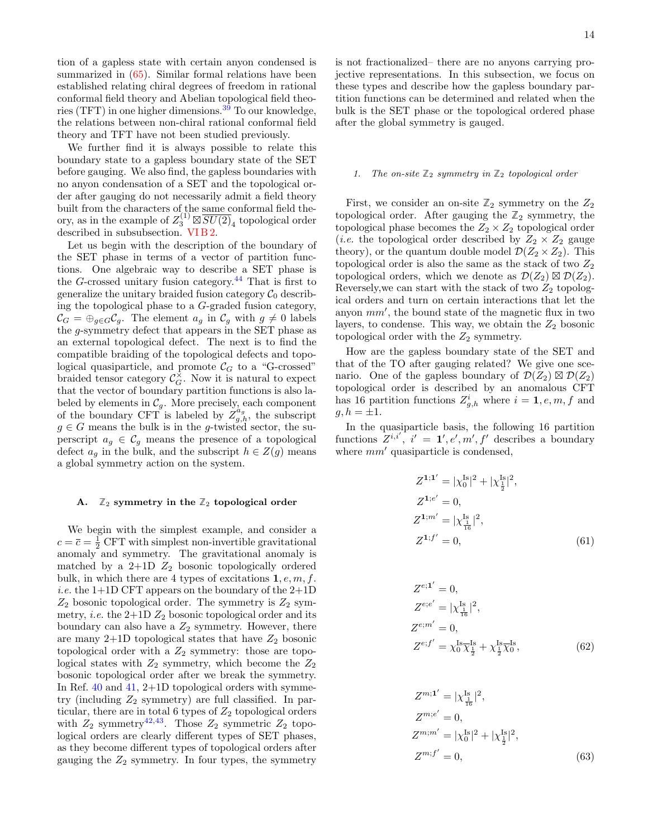tion of a gapless state with certain anyon condensed is summarized in [\(65\)](#page-14-1). Similar formal relations have been established relating chiral degrees of freedom in rational conformal field theory and Abelian topological field theories (TFT) in one higher dimensions.[39](#page-30-32) To our knowledge, the relations between non-chiral rational conformal field theory and TFT have not been studied previously.

We further find it is always possible to relate this boundary state to a gapless boundary state of the SET before gauging. We also find, the gapless boundaries with no anyon condensation of a SET and the topological order after gauging do not necessarily admit a field theory built from the characters of the same conformal field theory, as in the example of  $Z_3^{(1)} \boxtimes \overline{SU(2)}_4$  topological order described in subsubsection. [VI B 2.](#page-18-0)

Let us begin with the description of the boundary of the SET phase in terms of a vector of partition functions. One algebraic way to describe a SET phase is the  $G$ -crossed unitary fusion category.<sup>[44](#page-30-33)</sup> That is first to generalize the unitary braided fusion category  $C_0$  describing the topological phase to a G-graded fusion category,  $\mathcal{C}_G = \bigoplus_{g \in G} \mathcal{C}_g$ . The element  $a_g$  in  $\mathcal{C}_g$  with  $g \neq 0$  labels the g-symmetry defect that appears in the SET phase as an external topological defect. The next is to find the compatible braiding of the topological defects and topological quasiparticle, and promote  $\mathcal{C}_G$  to a "G-crossed" braided tensor category  $\mathcal{C}_G^{\times}$ . Now it is natural to expect that the vector of boundary partition functions is also labeled by elements in  $\mathcal{C}_g$ . More precisely, each component of the boundary CFT is labeled by  $\check{Z}_{g,h}^{\alpha_g}$ , the subscript  $g \in G$  means the bulk is in the g-twisted sector, the superscript  $a_g \in \mathcal{C}_g$  means the presence of a topological defect  $a_g$  in the bulk, and the subscript  $h \in Z(g)$  means a global symmetry action on the system.

#### <span id="page-13-0"></span>A.  $\mathbb{Z}_2$  symmetry in the  $\mathbb{Z}_2$  topological order

We begin with the simplest example, and consider a  $c = \overline{c} = \frac{1}{2}$  CFT with simplest non-invertible gravitational anomaly and symmetry. The gravitational anomaly is matched by a  $2+1D$   $Z_2$  bosonic topologically ordered bulk, in which there are 4 types of excitations  $1, e, m, f$ . *i.e.* the  $1+1D$  CFT appears on the boundary of the  $2+1D$  $Z_2$  bosonic topological order. The symmetry is  $Z_2$  symmetry, *i.e.* the  $2+1D Z_2$  bosonic topological order and its boundary can also have a  $Z_2$  symmetry. However, there are many  $2+1D$  topological states that have  $Z_2$  bosonic topological order with a  $Z_2$  symmetry: those are topological states with  $Z_2$  symmetry, which become the  $Z_2$ bosonic topological order after we break the symmetry. In Ref. [40](#page-30-34) and [41,](#page-30-35) 2+1D topological orders with symmetry (including  $Z_2$  symmetry) are full classified. In particular, there are in total 6 types of  $Z_2$  topological orders with  $Z_2$  symmetry<sup>[42](#page-30-36)[,43](#page-30-37)</sup>. Those  $Z_2$  symmetric  $Z_2$  topological orders are clearly different types of SET phases, as they become different types of topological orders after gauging the  $Z_2$  symmetry. In four types, the symmetry is not fractionalized– there are no anyons carrying projective representations. In this subsection, we focus on these types and describe how the gapless boundary partition functions can be determined and related when the bulk is the SET phase or the topological ordered phase after the global symmetry is gauged.

### <span id="page-13-1"></span>1. The on-site  $\mathbb{Z}_2$  symmetry in  $\mathbb{Z}_2$  topological order

First, we consider an on-site  $\mathbb{Z}_2$  symmetry on the  $\mathbb{Z}_2$ topological order. After gauging the  $\mathbb{Z}_2$  symmetry, the topological phase becomes the  $Z_2 \times Z_2$  topological order (*i.e.* the topological order described by  $Z_2 \times Z_2$  gauge theory), or the quantum double model  $\mathcal{D}(Z_2 \times Z_2)$ . This topological order is also the same as the stack of two  $Z_2$ topological orders, which we denote as  $\mathcal{D}(Z_2) \boxtimes \mathcal{D}(Z_2)$ . Reversely, we can start with the stack of two  $Z_2$  topological orders and turn on certain interactions that let the anyon  $mm'$ , the bound state of the magnetic flux in two layers, to condense. This way, we obtain the  $Z_2$  bosonic topological order with the  $Z_2$  symmetry.

How are the gapless boundary state of the SET and that of the TO after gauging related? We give one scenario. One of the gapless boundary of  $\mathcal{D}(Z_2) \boxtimes \mathcal{D}(Z_2)$ topological order is described by an anomalous CFT has 16 partition functions  $Z_{g,h}^i$  where  $i = 1, e, m, f$  and  $g, h = \pm 1.$ 

In the quasiparticle basis, the following 16 partition functions  $Z^{i,i'}$ ,  $i' = 1', e', m', f'$  describes a boundary where  $mm'$  quasiparticle is condensed,

$$
Z^{1;1'} = |\chi_0^{Is}|^2 + |\chi_{\frac{1}{2}}^{Is}|^2,
$$
  
\n
$$
Z^{1;e'} = 0,
$$
  
\n
$$
Z^{1;m'} = |\chi_{\frac{1}{16}}^{Is}|^2,
$$
  
\n
$$
Z^{1;f'} = 0,
$$
\n(61)

$$
Z^{e;1'} = 0,
$$
  
\n
$$
Z^{e;e'} = |\chi_{\frac{1}{16}}^{Is}|^2,
$$
  
\n
$$
Z^{e;m'} = 0,
$$
  
\n
$$
Z^{e;f'} = \chi_0^{Is} \overline{\chi_{\frac{1}{2}}^{Is}} + \chi_{\frac{1}{2}}^{Is} \overline{\chi_0}^{Is},
$$
\n(62)

$$
Z^{m;1'} = |\chi_{\frac{1}{16}}^{Is}|^2,
$$
  
\n
$$
Z^{m;e'} = 0,
$$
  
\n
$$
Z^{m;m'} = |\chi_0^{Is}|^2 + |\chi_{\frac{1}{2}}^{Is}|^2,
$$
  
\n
$$
Z^{m;f'} = 0,
$$
\n(63)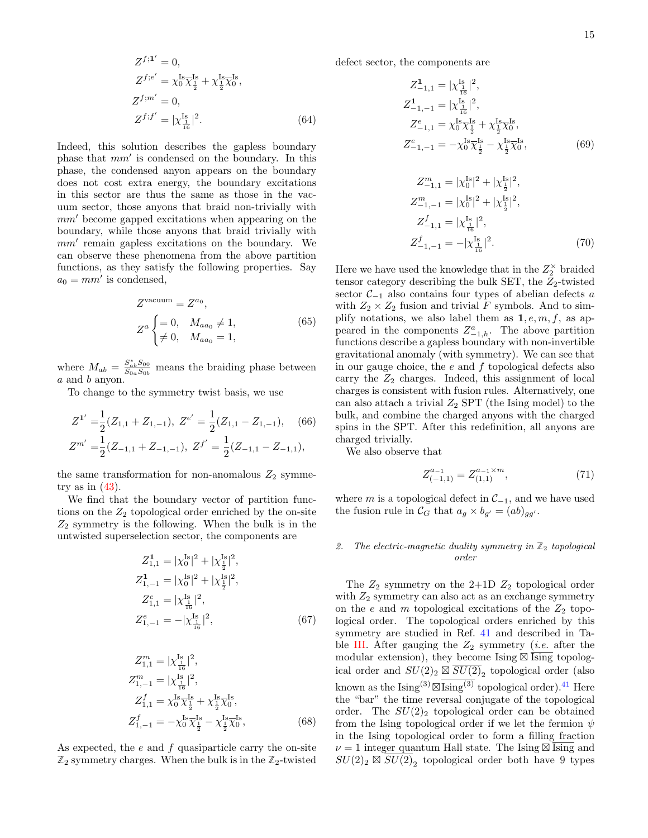$$
Z^{f;1'} = 0,
$$
  
\n
$$
Z^{f;e'} = \chi_0^{Is} \overline{\chi}_{\frac{1}{2}}^{Is} + \chi_{\frac{1}{2}}^{Is} \overline{\chi}_0^{Is},
$$
  
\n
$$
Z^{f;m'} = 0,
$$
  
\n
$$
Z^{f;f'} = |\chi_{\frac{1}{16}}^{Is}|^2.
$$
\n(64)

Indeed, this solution describes the gapless boundary phase that  $mm'$  is condensed on the boundary. In this phase, the condensed anyon appears on the boundary does not cost extra energy, the boundary excitations in this sector are thus the same as those in the vacuum sector, those anyons that braid non-trivially with  $mm'$  become gapped excitations when appearing on the boundary, while those anyons that braid trivially with  $mm'$  remain gapless excitations on the boundary. We can observe these phenomena from the above partition functions, as they satisfy the following properties. Say  $a_0 = mm'$  is condensed,

$$
Z^{\text{vacuum}} = Z^{a_0},
$$
  
\n
$$
Z^a \begin{cases} = 0, & M_{aa_0} \neq 1, \\ \neq 0, & M_{aa_0} = 1, \end{cases} \tag{65}
$$

where  $M_{ab} = \frac{S_{ab}^* S_{00}}{S_{0a} S_{0b}}$  means the braiding phase between a and b anyon.

To change to the symmetry twist basis, we use

$$
Z^{1'} = \frac{1}{2}(Z_{1,1} + Z_{1,-1}), \ Z^{e'} = \frac{1}{2}(Z_{1,1} - Z_{1,-1}), \quad (66)
$$
  

$$
Z^{m'} = \frac{1}{2}(Z_{-1,1} + Z_{-1,-1}), \ Z^{f'} = \frac{1}{2}(Z_{-1,1} - Z_{-1,1}),
$$

the same transformation for non-anomalous  $Z_2$  symmetry as in  $(43)$ .

We find that the boundary vector of partition functions on the  $Z_2$  topological order enriched by the on-site  $Z_2$  symmetry is the following. When the bulk is in the untwisted superselection sector, the components are

$$
Z_{1,1}^{1} = |\chi_{0}^{\text{Is}}|^{2} + |\chi_{\frac{1}{2}}^{\text{Is}}|^{2},
$$
  
\n
$$
Z_{1,-1}^{1} = |\chi_{0}^{\text{Is}}|^{2} + |\chi_{\frac{1}{2}}^{\text{Is}}|^{2},
$$
  
\n
$$
Z_{1,1}^{e} = |\chi_{\frac{1}{16}}^{\text{Is}}|^{2},
$$
  
\n
$$
Z_{1,-1}^{e} = -|\chi_{\frac{1}{16}}^{\text{Is}}|^{2},
$$
\n(67)

$$
Z_{1,1}^{m} = |\chi_{\frac{1}{16}}^{Is}|^{2},
$$
  
\n
$$
Z_{1,-1}^{m} = |\chi_{\frac{1}{16}}^{Is}|^{2},
$$
  
\n
$$
Z_{1,1}^{f} = \chi_{0}^{Is} \overline{\chi_{\frac{1}{2}}^{Is}} + \chi_{\frac{1}{2}}^{Is} \overline{\chi_{0}}^{Is},
$$
  
\n
$$
Z_{1,-1}^{f} = -\chi_{0}^{Is} \overline{\chi_{\frac{1}{2}}^{Is}} - \chi_{\frac{1}{2}}^{Is} \overline{\chi_{0}}^{Is},
$$
\n(68)

As expected, the  $e$  and  $f$  quasiparticle carry the on-site  $\mathbb{Z}_2$  symmetry charges. When the bulk is in the  $\mathbb{Z}_2$ -twisted defect sector, the components are

$$
Z_{-1,1}^{1} = |\chi_{\frac{1}{16}}^{I_{\frac{1}{16}}}|^{2},
$$
  
\n
$$
Z_{-1,-1}^{1} = |\chi_{\frac{1}{16}}^{I_{\frac{1}{16}}}|^{2},
$$
  
\n
$$
Z_{-1,1}^{e} = \chi_{0}^{I_{\frac{1}{2}}} \chi_{\frac{1}{2}}^{I_{\frac{1}{2}}} + \chi_{\frac{1}{2}}^{I_{\frac{1}{2}}}\chi_{0}^{I_{\frac{1}{2}}},
$$
  
\n
$$
Z_{-1,-1}^{e} = -\chi_{0}^{I_{\frac{1}{2}}} \chi_{\frac{1}{2}}^{I_{\frac{1}{2}}} - \chi_{\frac{1}{2}}^{I_{\frac{1}{2}}}\chi_{0}^{I_{\frac{1}{2}}},
$$
  
\n(69)  
\n
$$
Z^{m} = |\chi_{s}|^{2} + |\chi_{s}|^{2}|^{2}
$$

$$
Z_{-1,1}^{m} = |\chi_0^{Is}|^2 + |\chi_{\frac{1}{2}}^{Is}|^2,
$$
  
\n
$$
Z_{-1,-1}^{m} = |\chi_0^{Is}|^2 + |\chi_{\frac{1}{2}}^{Is}|^2,
$$
  
\n
$$
Z_{-1,1}^{f} = |\chi_{\frac{1}{16}}^{Is}|^2,
$$
  
\n
$$
Z_{-1,-1}^{f} = -|\chi_{\frac{1}{16}}^{Is}|^2.
$$
\n(70)

<span id="page-14-1"></span>Here we have used the knowledge that in the  $Z_2^{\times}$  braided tensor category describing the bulk SET, the  $Z_2$ -twisted sector  $\mathcal{C}_{-1}$  also contains four types of abelian defects a with  $Z_2 \times Z_2$  fusion and trivial F symbols. And to simplify notations, we also label them as  $1, e, m, f$ , as appeared in the components  $Z_{-1,h}^a$ . The above partition functions describe a gapless boundary with non-invertible gravitational anomaly (with symmetry). We can see that in our gauge choice, the  $e$  and  $f$  topological defects also carry the  $Z_2$  charges. Indeed, this assignment of local charges is consistent with fusion rules. Alternatively, one can also attach a trivial  $Z_2$  SPT (the Ising model) to the bulk, and combine the charged anyons with the charged spins in the SPT. After this redefinition, all anyons are charged trivially.

We also observe that

$$
Z_{(-1,1)}^{a_{-1}} = Z_{(1,1)}^{a_{-1} \times m},\tag{71}
$$

where m is a topological defect in  $\mathcal{C}_{-1}$ , and we have used the fusion rule in  $\mathcal{C}_G$  that  $a_g \times b_{g'} = (ab)_{gg'}$ .

### <span id="page-14-0"></span>2. The electric-magnetic duality symmetry in  $\mathbb{Z}_2$  topological order

The  $Z_2$  symmetry on the 2+1D  $Z_2$  topological order with  $Z_2$  symmetry can also act as an exchange symmetry on the e and m topological excitations of the  $Z_2$  topological order. The topological orders enriched by this symmetry are studied in Ref. [41](#page-30-35) and described in Ta-ble [III.](#page-15-0) After gauging the  $Z_2$  symmetry (*i.e.* after the modular extension), they become Ising  $\overline{\boxtimes}$  Ising topological order and  $SU(2)_2 \boxtimes \overline{SU(2)}_2$  topological order (also known as the  $\text{Ising}^{(3)} \boxtimes \text{Ising}^{(3)}$  topological order).<sup>[41](#page-30-35)</sup> Here the "bar" the time reversal conjugate of the topological order. The  $SU(2)_2$  topological order can be obtained from the Ising topological order if we let the fermion  $\psi$ in the Ising topological order to form a filling fraction  $\nu = 1$  integer quantum Hall state. The Ising  $\overline{\text{Sing}}$  and  $SU(2)_2 \boxtimes \overline{SU(2)}_2$  topological order both have 9 types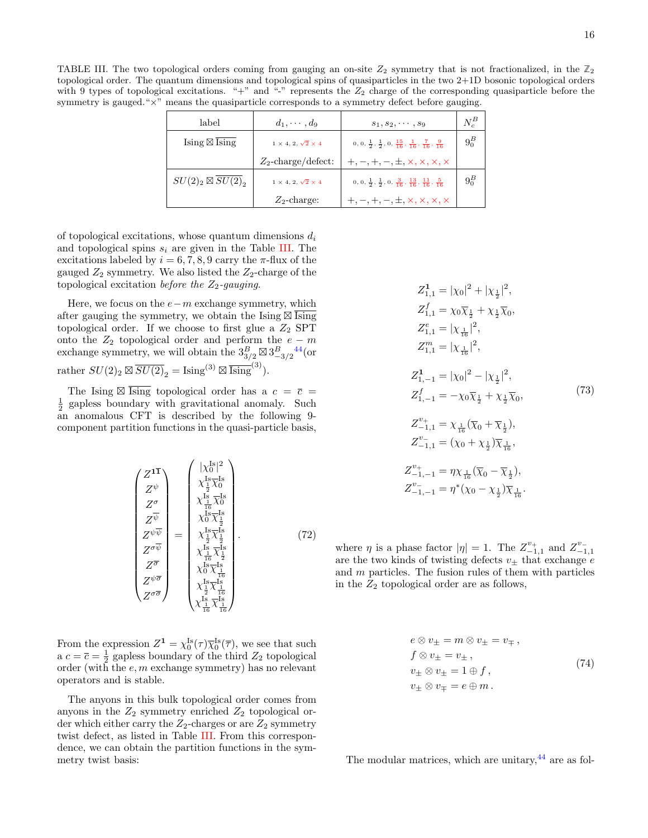<span id="page-15-0"></span>TABLE III. The two topological orders coming from gauging an on-site  $Z_2$  symmetry that is not fractionalized, in the  $\mathbb{Z}_2$ topological order. The quantum dimensions and topological spins of quasiparticles in the two 2+1D bosonic topological orders with 9 types of topological excitations. "+" and "-" represents the  $Z_2$  charge of the corresponding quasiparticle before the symmetry is gauged." $\times$ " means the quasiparticle corresponds to a symmetry defect before gauging.

| label                                 | $d_1, \cdots, d_9$                    | $s_1, s_2, \cdots, s_9$                                                                       | $N_c^B$ |
|---------------------------------------|---------------------------------------|-----------------------------------------------------------------------------------------------|---------|
| $\text{Ising} \boxtimes \text{Ising}$ | $1 \times 4$ , $2, \sqrt{2} \times 4$ | $0, 0, \frac{1}{2}, \frac{1}{2}, 0, \frac{15}{16}, \frac{1}{16}, \frac{7}{16}, \frac{9}{16}$  | $9_0^B$ |
|                                       | $Z_2$ -charge/defect:                 | $+, -, +, -, \pm, \times, \times, \times, \times$                                             |         |
| $SU(2)_2 \boxtimes SU(2)_2$           | $1 \times 4$ , $2, \sqrt{2} \times 4$ | $0, 0, \frac{1}{2}, \frac{1}{2}, 0, \frac{3}{16}, \frac{13}{16}, \frac{11}{16}, \frac{5}{16}$ | $9_0^B$ |
|                                       | $Z_2$ -charge:                        | $+, -, +, -, \pm, \times, \times, \times, \times$                                             |         |

of topological excitations, whose quantum dimensions  $d_i$ and topological spins  $s_i$  are given in the Table [III.](#page-15-0) The excitations labeled by  $i = 6, 7, 8, 9$  carry the  $\pi$ -flux of the gauged  $Z_2$  symmetry. We also listed the  $Z_2$ -charge of the topological excitation before the  $Z_2$ -gauging.

Here, we focus on the  $e-m$  exchange symmetry, which after gauging the symmetry, we obtain the Ising  $\boxtimes \overline{\text{Ising}}$ topological order. If we choose to first glue a  $Z_2$  SPT onto the  $Z_2$  topological order and perform the  $e - m$ exchange symmetry, we will obtain the  $3_{3/2}^B \boxtimes 3_{-3/2}^B$  [44](#page-30-33) (or rather  $SU(2)_2 \boxtimes \overline{SU(2)}_2 = \text{Ising}^{(3)} \boxtimes \overline{\text{Ising}}^{(3)}$ .

The Ising  $\boxtimes \overline{\text{Ising}}$  topological order has a  $c = \overline{c}$  $\frac{1}{2}$  gapless boundary with gravitational anomaly. Such an anomalous CFT is described by the following 9 component partition functions in the quasi-particle basis,

$$
\begin{pmatrix}\nZ^{1\bar{1}} \\
Z^{\psi} \\
Z^{\sigma} \\
Z^{\bar{\sigma}} \\
Z^{\bar{\psi}} \\
Z^{\bar{\psi}} \\
Z^{\bar{\psi}} \\
Z^{\sigma\bar{\psi}} \\
Z^{\sigma\bar{\psi}} \\
Z^{\sigma\bar{\sigma}} \\
Z^{\sigma\bar{\sigma}}\n\end{pmatrix} = \begin{pmatrix}\n|\chi_{0}^{Is}|^{2} \\
\chi_{\frac{1}{2}}^{Is}\overline{\chi_{0}^{Is}} \\
\chi_{\frac{1}{16}}^{Is}\overline{\chi_{0}^{Is}} \\
\chi_{0}^{Is}\overline{\chi_{\frac{1}{2}}^{Is}} \\
\chi_{\frac{1}{16}}^{Is}\overline{\chi_{\frac{1}{2}}^{Is}} \\
\chi_{0}^{Is}\overline{\chi_{\frac{1}{16}}^{Is}} \\
\chi_{\frac{1}{2}}^{Is}\overline{\chi_{\frac{1}{16}}^{Is}} \\
\chi_{\frac{1}{2}}^{Is}\overline{\chi_{\frac{1}{16}}^{Is}} \\
\chi_{\frac{1}{16}}^{Is}\overline{\chi_{\frac{1}{16}}^{Is}} \\
\chi_{\frac{1}{16}}^{Is}\overline{\chi_{\frac{1}{16}}^{Is}}\n\end{pmatrix} \tag{72}
$$

From the expression  $Z^{\mathbf{1}} = \chi_0^{\text{Is}}(\tau) \overline{\chi}_0^{\text{Is}}(\overline{\tau})$ , we see that such a  $c = \overline{c} = \frac{1}{2}$  gapless boundary of the third  $Z_2$  topological order (with the  $e, m$  exchange symmetry) has no relevant operators and is stable.

The anyons in this bulk topological order comes from anyons in the  $Z_2$  symmetry enriched  $Z_2$  topological order which either carry the  $Z_2$ -charges or are  $Z_2$  symmetry twist defect, as listed in Table [III.](#page-15-0) From this correspondence, we can obtain the partition functions in the symmetry twist basis:

$$
Z_{1,1}^{1} = |\chi_{0}|^{2} + |\chi_{\frac{1}{2}}|^{2},
$$
  
\n
$$
Z_{1,1}^{f} = \chi_{0}\overline{\chi}_{\frac{1}{2}} + \chi_{\frac{1}{2}}\overline{\chi}_{0},
$$
  
\n
$$
Z_{1,1}^{e} = |\chi_{\frac{1}{16}}|^{2},
$$
  
\n
$$
Z_{1,1}^{m} = |\chi_{0}|^{2} - |\chi_{\frac{1}{2}}|^{2},
$$
  
\n
$$
Z_{1,-1}^{f} = -\chi_{0}\overline{\chi}_{\frac{1}{2}} + \chi_{\frac{1}{2}}\overline{\chi}_{0},
$$
  
\n
$$
Z_{-1,1}^{f} = \chi_{\frac{1}{16}}(\overline{\chi}_{0} + \overline{\chi}_{\frac{1}{2}}),
$$
  
\n
$$
Z_{-1,1}^{v+} = (\chi_{0} + \chi_{\frac{1}{2}})\overline{\chi}_{\frac{1}{16}},
$$
  
\n
$$
Z_{-1,-1}^{v+} = \eta\chi_{\frac{1}{16}}(\overline{\chi}_{0} - \overline{\chi}_{\frac{1}{2}}),
$$
  
\n
$$
Z_{-1,-1}^{v+} = \eta\chi_{\frac{1}{16}}(\overline{\chi}_{0} - \overline{\chi}_{\frac{1}{2}}),
$$
  
\n
$$
Z_{-1,-1}^{v-} = \eta^{*}(\chi_{0} - \chi_{\frac{1}{2}})\overline{\chi}_{\frac{1}{16}}.
$$

<span id="page-15-1"></span>where  $\eta$  is a phase factor  $|\eta| = 1$ . The  $Z_{-1,1}^{\nu_+}$  and  $Z_{-1,1}^{\nu_-}$ are the two kinds of twisting defects  $v_{\pm}$  that exchange e and m particles. The fusion rules of them with particles in the  $Z_2$  topological order are as follows,

$$
e \otimes v_{\pm} = m \otimes v_{\pm} = v_{\mp} ,
$$
  
\n
$$
f \otimes v_{\pm} = v_{\pm} ,
$$
  
\n
$$
v_{\pm} \otimes v_{\pm} = 1 \oplus f ,
$$
  
\n
$$
v_{\pm} \otimes v_{\mp} = e \oplus m .
$$
  
\n(74)

The modular matrices, which are unitary,  $44$  are as fol-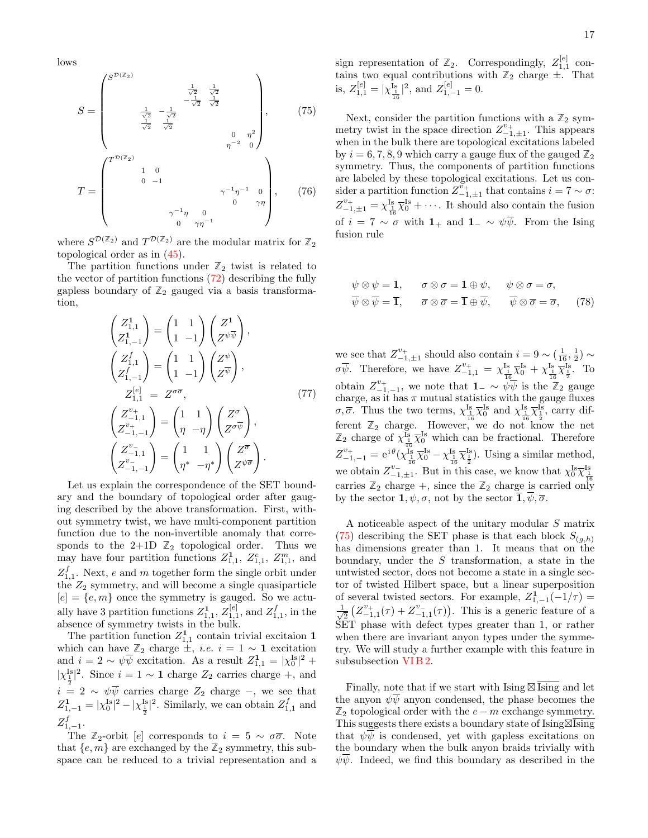lows

$$
S = \begin{pmatrix} S^{\mathcal{D}(Z_2)} & \frac{1}{\sqrt{2}} & \frac{1}{\sqrt{2}} \\ & \frac{1}{\sqrt{2}} & -\frac{1}{\sqrt{2}} & \frac{1}{\sqrt{2}} \\ & \frac{1}{\sqrt{2}} & -\frac{1}{\sqrt{2}} & & \\ & \frac{1}{\sqrt{2}} & \frac{1}{\sqrt{2}} & & \\ & \frac{1}{\sqrt{2}} & \frac{1}{\sqrt{2}} & & \\ & & \eta^{-2} & 0 \end{pmatrix}, \qquad (75)
$$
\n
$$
T = \begin{pmatrix} T^{\mathcal{D}(Z_2)} & 1 & 0 & & \\ & 1 & 0 & & \\ & 0 & -1 & & \\ & 0 & -1 & & \\ & & \eta^{-1} \eta & 0 & \eta \eta \end{pmatrix}, \qquad (76)
$$

where  $S^{\mathcal{D}(\mathbb{Z}_2)}$  and  $T^{\mathcal{D}(\mathbb{Z}_2)}$  are the modular matrix for  $\mathbb{Z}_2$ topological order as in [\(45\)](#page-9-3).

The partition functions under  $\mathbb{Z}_2$  twist is related to the vector of partition functions [\(72\)](#page-15-1) describing the fully gapless boundary of  $\mathbb{Z}_2$  gauged via a basis transformation,

$$
\begin{pmatrix} Z_{1,1}^1 \\ Z_{1,-1}^1 \end{pmatrix} = \begin{pmatrix} 1 & 1 \\ 1 & -1 \end{pmatrix} \begin{pmatrix} Z^1 \\ Z^{\psi\overline{\psi}} \end{pmatrix},
$$
  
\n
$$
\begin{pmatrix} Z_{1,1}^f \\ Z_{1,-1}^f \end{pmatrix} = \begin{pmatrix} 1 & 1 \\ 1 & -1 \end{pmatrix} \begin{pmatrix} Z^{\psi} \\ Z^{\overline{\psi}} \end{pmatrix},
$$
  
\n
$$
Z_{1,1}^{[e]} = Z^{\sigma\overline{\sigma}}, \qquad (77)
$$
  
\n
$$
\begin{pmatrix} Z_{-1,1}^{\nu_+} \\ Z_{-1,1}^{\nu_+} \end{pmatrix} = \begin{pmatrix} 1 & 1 \\ \eta & -\eta \end{pmatrix} \begin{pmatrix} Z^{\sigma} \\ Z^{\sigma\overline{\psi}} \end{pmatrix},
$$
  
\n
$$
\begin{pmatrix} Z_{-1,1}^{\nu_-} \\ Z_{-1,1}^{\nu_-} \end{pmatrix} = \begin{pmatrix} 1 & 1 \\ \eta^* & -\eta^* \end{pmatrix} \begin{pmatrix} Z^{\overline{\sigma}} \\ Z^{\psi\overline{\sigma}} \end{pmatrix}.
$$

Let us explain the correspondence of the SET boundary and the boundary of topological order after gauging described by the above transformation. First, without symmetry twist, we have multi-component partition function due to the non-invertible anomaly that corresponds to the  $2+1D \mathbb{Z}_2$  topological order. Thus we may have four partition functions  $Z_{1,1}^1$ ,  $Z_{1,1}^e$ ,  $Z_{1,1}^m$ , and  $Z_{1,1}^f$ . Next, e and m together form the single orbit under the  $Z_2$  symmetry, and will become a single quasiparticle  $[e] = \{e,m\}$  once the symmetry is gauged. So we actually have 3 partition functions  $Z_{1,1}^1$ ,  $Z_{1,1}^{[e]}$ , and  $Z_{1,1}^f$ , in the absence of symmetry twists in the bulk.

The partition function  $Z_{1,1}^1$  contain trivial excitaion 1 which can have  $\mathbb{Z}_2$  charge  $\pm$ , *i.e.*  $i = 1 \sim \mathbf{1}$  excitation and  $i = 2 \sim \psi \overline{\psi}$  excitation. As a result  $Z_{1,1}^1 = |\chi_0^{1s}|^2 +$  $|\chi_{\perp}^{\text{Is}}|^2$ . Since  $i = 1 \sim 1$  charge  $Z_2$  carries charge +, and  $i = 2 \sim \psi \overline{\psi}$  carries charge  $Z_2$  charge  $-$ , we see that  $Z_{1,-1}^{1} = |\chi_0^{Is}|^2 - |\chi_{\frac{1}{2}}^{Is}|^2$ . Similarly, we can obtain  $Z_{1,1}^f$  and  $Z^f_{1,-1}.$ 

The  $\mathbb{Z}_2$ -orbit [e] corresponds to  $i = 5 \sim \sigma\bar{\sigma}$ . Note that  $\{e, m\}$  are exchanged by the  $\mathbb{Z}_2$  symmetry, this subspace can be reduced to a trivial representation and a

sign representation of  $\mathbb{Z}_2$ . Correspondingly,  $Z_{1,1}^{[e]}$  contains two equal contributions with  $\mathbb{Z}_2$  charge  $\pm$ . That is,  $Z_{1,1}^{[e]} = |\chi_{\frac{1}{16}}^{Is}|^2$ , and  $Z_{1,-1}^{[e]} = 0$ .

<span id="page-16-0"></span>Next, consider the partition functions with a  $\mathbb{Z}_2$  symmetry twist in the space direction  $Z_{-1,\pm 1}^{\nu_+}$ . This appears when in the bulk there are topological excitations labeled by  $i = 6, 7, 8, 9$  which carry a gauge flux of the gauged  $\mathbb{Z}_2$ symmetry. Thus, the components of partition functions are labeled by these topological excitations. Let us consider a partition function  $Z_{-1,\pm 1}^{\nu_+}$  that contains  $i = 7 \sim \sigma$ :  $Z_{-1,\pm 1}^{\nu_+} = \chi_{\frac{1}{16}}^{\text{Is}} \overline{\chi}_0^{\text{Is}} + \cdots$ . It should also contain the fusion of  $i = 7 \sim \sigma$  with  $1_+$  and  $1_-\sim \psi \overline{\psi}$ . From the Ising fusion rule

$$
\psi \otimes \psi = \mathbf{1}, \qquad \sigma \otimes \sigma = \mathbf{1} \oplus \psi, \qquad \psi \otimes \sigma = \sigma,
$$
  

$$
\overline{\psi} \otimes \overline{\psi} = \overline{\mathbf{1}}, \qquad \overline{\sigma} \otimes \overline{\sigma} = \overline{\mathbf{1}} \oplus \overline{\psi}, \qquad \overline{\psi} \otimes \overline{\sigma} = \overline{\sigma}, \qquad (78)
$$

we see that  $Z_{-1,\pm 1}^{v_+}$  should also contain  $i = 9 \sim (\frac{1}{16}, \frac{1}{2}) \sim$  $\sigma\overline{\psi}$ . Therefore, we have  $Z_{-1,1}^{v_+} = \chi_{\frac{1}{16}}^{Is}\overline{\chi}_0^{Is} + \chi_{\frac{1}{16}}^{Is}\overline{\chi}_{\frac{1}{2}}^{Is}$ . To obtain  $Z_{-1,-1}^{\nu_+}$ , we note that  $\mathbf{1}_{-} \sim \widetilde{\psi}\overline{\psi}$  is the  $\mathbb{Z}_2$  gauge charge, as it has  $\pi$  mutual statistics with the gauge fluxes σ,  $\overline{\sigma}$ . Thus the two terms,  $\chi_{\frac{1}{16}}^{Is} \overline{\chi_0}^{Is}$  and  $\chi_{\frac{1}{16}}^{Is} \overline{\chi_2}^{Is}$ , carry different  $\mathbb{Z}_2$  charge. However, we do not know the net  $\mathbb{Z}_2$  charge of  $\chi_{\frac{1}{16}}^{\text{Is}} \overline{\chi}_0^{\text{Is}}$  which can be fractional. Therefore  $Z_{-1,-1}^{v_+} = e^{i\theta} (\chi_{\frac{1}{16}}^{\frac{1}{18}} \overline{\chi}_0^{\text{Is}} - \chi_{\frac{1}{16}}^{\text{Is}} \overline{\chi}_{\frac{1}{2}}^{\text{Is}}).$  Using a similar method, we obtain  $Z_{-1,\pm 1}^{v_-}$ . But in this case, we know that  $\chi_0^{Is} \overline{\chi}_{\pm}^{Is}$ carries  $\mathbb{Z}_2$  charge +, since the  $\mathbb{Z}_2$  charge is carried only by the sector  $\mathbf{1}, \psi, \sigma$ , not by the sector  $\overline{\mathbf{1}}, \psi, \overline{\sigma}$ .

A noticeable aspect of the unitary modular S matrix [\(75\)](#page-16-0) describing the SET phase is that each block  $S_{(g,h)}$ has dimensions greater than 1. It means that on the boundary, under the S transformation, a state in the untwisted sector, does not become a state in a single sector of twisted Hilbert space, but a linear superposition of several twisted sectors. For example,  $Z_{1,-1}^1(-1/\tau) =$  $\frac{1}{2}$  $\frac{1}{2} (Z_{-1,1}^{v_+}(\tau) + Z_{-1,1}^{v_-}(\tau)).$  This is a generic feature of a SET phase with defect types greater than 1, or rather when there are invariant anyon types under the symmetry. We will study a further example with this feature in subsubsection [VI B 2.](#page-18-0)

Finally, note that if we start with  $\text{Ising } \boxtimes \overline{\text{Ising}}$  and let the anyon  $\psi \overline{\psi}$  anyon condensed, the phase becomes the  $\mathbb{Z}_2$  topological order with the  $e - m$  exchange symmetry. This suggests there exists a boundary state of  $\overline{\text{Ising}}$ that  $\psi\psi$  is condensed, yet with gapless excitations on the boundary when the bulk anyon braids trivially with  $\psi\psi$ . Indeed, we find this boundary as described in the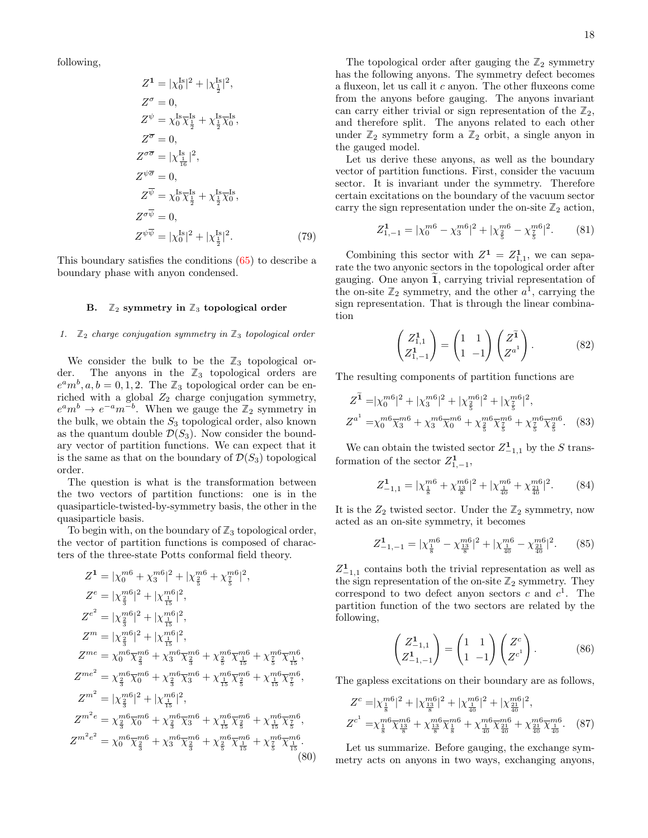following,

$$
Z^{1} = |\chi_{0}^{Is}|^{2} + |\chi_{\frac{1}{2}}^{Is}|^{2},
$$
  
\n
$$
Z^{\sigma} = 0,
$$
  
\n
$$
Z^{\psi} = \chi_{0}^{Is} \overline{\chi_{\frac{1}{2}}^{Is}} + \chi_{\frac{1}{2}}^{Is} \overline{\chi_{0}}^{Is},
$$
  
\n
$$
Z^{\overline{\sigma}} = 0,
$$
  
\n
$$
Z^{\sigma \overline{\sigma}} = |\chi_{\frac{1}{16}}^{Is}|^{2},
$$
  
\n
$$
Z^{\psi \overline{\sigma}} = 0,
$$
  
\n
$$
Z^{\overline{\psi}} = \chi_{0}^{Is} \overline{\chi_{\frac{1}{2}}^{Is}} + \chi_{\frac{1}{2}}^{Is} \overline{\chi_{0}}^{Is},
$$
  
\n
$$
Z^{\sigma \overline{\psi}} = 0,
$$
  
\n
$$
Z^{\psi \overline{\psi}} = |\chi_{0}^{Is}|^{2} + |\chi_{\frac{1}{2}}^{Is}|^{2}.
$$
\n(79)

This boundary satisfies the conditions [\(65\)](#page-14-1) to describe a boundary phase with anyon condensed.

# <span id="page-17-0"></span>B.  $\mathbb{Z}_2$  symmetry in  $\mathbb{Z}_3$  topological order

#### <span id="page-17-1"></span>1.  $\mathbb{Z}_2$  charge conjugation symmetry in  $\mathbb{Z}_3$  topological order

We consider the bulk to be the  $\mathbb{Z}_3$  topological order. The anyons in the **Z**<sup>3</sup> topological orders are  $e^a m^b, a, b = 0, 1, 2$ . The  $\mathbb{Z}_3$  topological order can be enriched with a global  $Z_2$  charge conjugation symmetry,  $e^a m^b \to e^{-a} m^{-b}$ . When we gauge the  $\mathbb{Z}_2$  symmetry in the bulk, we obtain the  $S_3$  topological order, also known as the quantum double  $\mathcal{D}(S_3)$ . Now consider the boundary vector of partition functions. We can expect that it is the same as that on the boundary of  $\mathcal{D}(S_3)$  topological order.

The question is what is the transformation between the two vectors of partition functions: one is in the quasiparticle-twisted-by-symmetry basis, the other in the quasiparticle basis.

To begin with, on the boundary of  $\mathbb{Z}_3$  topological order, the vector of partition functions is composed of characters of the three-state Potts conformal field theory.

$$
Z^{1} = |\chi_{0}^{m6} + \chi_{3}^{m6}|^{2} + |\chi_{\frac{2}{5}}^{m6} + \chi_{\frac{7}{5}}^{m6}|^{2},
$$
  
\n
$$
Z^{e} = |\chi_{\frac{2}{3}}^{m6}|^{2} + |\chi_{\frac{1}{15}}^{m6}|^{2},
$$
  
\n
$$
Z^{e^{2}} = |\chi_{\frac{2}{3}}^{m6}|^{2} + |\chi_{\frac{1}{15}}^{m6}|^{2},
$$
  
\n
$$
Z^{m} = |\chi_{\frac{2}{3}}^{m6}|^{2} + |\chi_{\frac{1}{15}}^{m6}|^{2},
$$
  
\n
$$
Z^{me} = \chi_{0}^{m6}\chi_{\frac{2}{3}}^{m6} + \chi_{3}^{m6}\chi_{\frac{2}{3}}^{m6} + \chi_{\frac{2}{5}}^{m6}\chi_{\frac{1}{15}}^{m6} + \chi_{\frac{7}{5}}^{m6}\chi_{\frac{1}{15}}^{m6},
$$
  
\n
$$
Z^{me^{2}} = \chi_{\frac{2}{3}}^{m6}\chi_{0}^{m6} + \chi_{\frac{2}{3}}^{m6}\chi_{3}^{m6} + \chi_{\frac{1}{15}}^{m6}\chi_{\frac{2}{5}}^{m6} + \chi_{\frac{1}{15}}^{m6}\chi_{\frac{7}{5}}^{m6},
$$
  
\n
$$
Z^{m^{2}} = |\chi_{\frac{2}{3}}^{m6}|^{2} + |\chi_{\frac{1}{15}}^{m6}|^{2},
$$
  
\n
$$
Z^{m^{2}e} = \chi_{\frac{2}{3}}^{m6}\chi_{0}^{m6} + \chi_{\frac{2}{3}}^{m6}\chi_{3}^{m6} + \chi_{\frac{1}{15}}^{m6}\chi_{\frac{2}{5}}^{m6} + \chi_{\frac{1}{15}}^{m6}\chi_{\frac{7}{5}}^{m6},
$$
  
\n
$$
Z^{m^{2}e^{2}} = \chi_{0}^{m6}\chi_{\frac{2}{3}}^{m6} + \chi_{3}^{m6}\chi_{\frac{2}{3}}^{m6} + \chi_{\frac{2}{5}}^{m6}\chi_{\frac{1}{15}}^{m6} + \chi_{\frac{7}{5}}^{m6}\chi_{\frac{
$$

The topological order after gauging the  $\mathbb{Z}_2$  symmetry has the following anyons. The symmetry defect becomes a fluxeon, let us call it c anyon. The other fluxeons come from the anyons before gauging. The anyons invariant can carry either trivial or sign representation of the  $\mathbb{Z}_2$ , and therefore split. The anyons related to each other under  $\mathbb{Z}_2$  symmetry form a  $\mathbb{Z}_2$  orbit, a single anyon in the gauged model.

Let us derive these anyons, as well as the boundary vector of partition functions. First, consider the vacuum sector. It is invariant under the symmetry. Therefore certain excitations on the boundary of the vacuum sector carry the sign representation under the on-site  $\mathbb{Z}_2$  action,

$$
Z_{1,-1}^1 = |\chi_0^{m6} - \chi_3^{m6}|^2 + |\chi_{\frac{2}{5}}^{m6} - \chi_{\frac{7}{5}}^{m6}|^2. \tag{81}
$$

Combining this sector with  $Z^1 = Z^1_{1,1}$ , we can separate the two anyonic sectors in the topological order after gauging. One anyon  $\overline{1}$ , carrying trivial representation of the on-site  $\mathbb{Z}_2$  symmetry, and the other  $a^1$ , carrying the sign representation. That is through the linear combination

$$
\begin{pmatrix} Z_{1,1}^1 \\ Z_{1,-1}^1 \end{pmatrix} = \begin{pmatrix} 1 & 1 \\ 1 & -1 \end{pmatrix} \begin{pmatrix} Z^{\widetilde{1}} \\ Z^{a^1} \end{pmatrix}.
$$
 (82)

The resulting components of partition functions are

$$
Z^{\tilde{1}} = |\chi_0^{m6}|^2 + |\chi_3^{m6}|^2 + |\chi_{\frac{2}{5}}^{m6}|^2 + |\chi_{\frac{7}{5}}^{m6}|^2,
$$
  

$$
Z^{a^1} = \chi_0^{m6} \overline{\chi}_3^{m6} + \chi_3^{m6} \overline{\chi}_0^{m6} + \chi_{\frac{2}{5}}^{m6} \overline{\chi}_{\frac{7}{5}}^{m6} + \chi_{\frac{7}{5}}^{m6} \overline{\chi}_{\frac{2}{5}}^{m6}.
$$
 (83)

We can obtain the twisted sector  $Z_{-1,1}^1$  by the S transformation of the sector  $Z_{1,-1}^1$ ,

$$
Z_{-1,1}^1 = |\chi_{\frac{1}{8}}^{m6} + \chi_{\frac{13}{8}}^{m6}|^2 + |\chi_{\frac{1}{40}}^{m6} + \chi_{\frac{21}{40}}^{m6}|^2. \tag{84}
$$

It is the  $Z_2$  twisted sector. Under the  $\mathbb{Z}_2$  symmetry, now acted as an on-site symmetry, it becomes

$$
Z_{-1,-1}^1 = |\chi_{\frac{1}{8}}^{m6} - \chi_{\frac{13}{8}}^{m6}|^2 + |\chi_{\frac{1}{40}}^{m6} - \chi_{\frac{21}{40}}^{m6}|^2. \tag{85}
$$

 $Z_{-1,1}^1$  contains both the trivial representation as well as the sign representation of the on-site  $\mathbb{Z}_2$  symmetry. They correspond to two defect anyon sectors c and  $c^1$ . The partition function of the two sectors are related by the following,

$$
\begin{pmatrix} Z_{-1,1}^{1} \\ Z_{-1,-1}^{1} \end{pmatrix} = \begin{pmatrix} 1 & 1 \\ 1 & -1 \end{pmatrix} \begin{pmatrix} Z^{c} \\ Z^{c^{1}} \end{pmatrix}.
$$
 (86)

The gapless excitations on their boundary are as follows,

$$
Z^{c} = |\chi_{\frac{1}{8}}^{m6}|^{2} + |\chi_{\frac{13}{8}}^{m6}|^{2} + |\chi_{\frac{10}{40}}^{m6}|^{2} + |\chi_{\frac{21}{40}}^{m6}|^{2},
$$
  

$$
Z^{c^{1}} = \chi_{\frac{1}{8}}^{m6} \overline{\chi_{\frac{13}{8}}^{m6}} + \chi_{\frac{13}{8}}^{m6} \overline{\chi_{\frac{1}{8}}^{m6}} + \chi_{\frac{10}{40}}^{m6} \overline{\chi_{\frac{21}{40}}^{m6}} + \chi_{\frac{21}{40}}^{m6} \overline{\chi_{\frac{1}{40}}^{m6}}.
$$
 (87)

<span id="page-17-2"></span>Let us summarize. Before gauging, the exchange symmetry acts on anyons in two ways, exchanging anyons,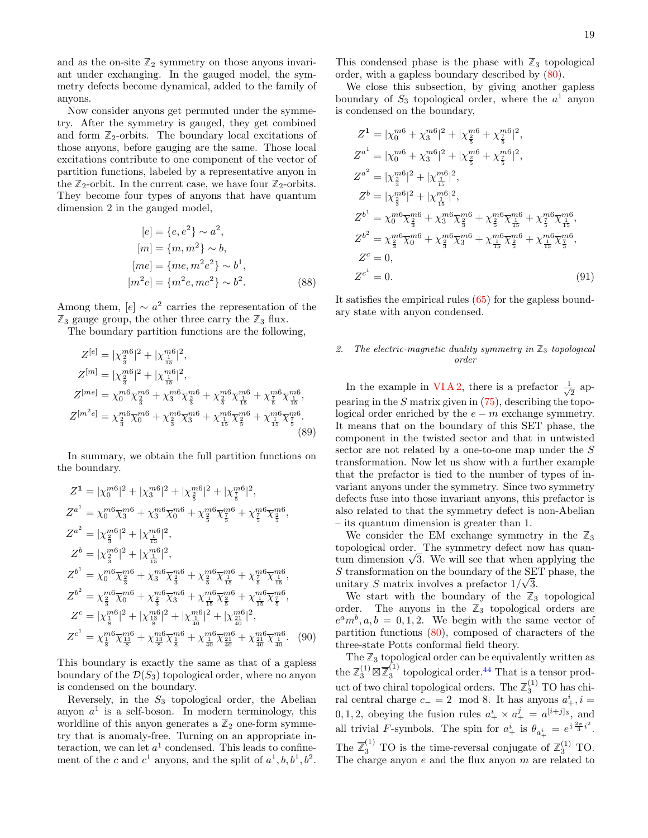and as the on-site  $\mathbb{Z}_2$  symmetry on those anyons invariant under exchanging. In the gauged model, the symmetry defects become dynamical, added to the family of anyons.

Now consider anyons get permuted under the symmetry. After the symmetry is gauged, they get combined and form  $\mathbb{Z}_2$ -orbits. The boundary local excitations of those anyons, before gauging are the same. Those local excitations contribute to one component of the vector of partition functions, labeled by a representative anyon in the  $\mathbb{Z}_2$ -orbit. In the current case, we have four  $\mathbb{Z}_2$ -orbits. They become four types of anyons that have quantum dimension 2 in the gauged model,

$$
[e] = \{e, e^2\} \sim a^2,
$$
  
\n
$$
[m] = \{m, m^2\} \sim b,
$$
  
\n
$$
[me] = \{me, m^2e^2\} \sim b^1,
$$
  
\n
$$
[m^2e] = \{m^2e, me^2\} \sim b^2.
$$
 (88)

Among them,  $[e] \sim a^2$  carries the representation of the  $\mathbb{Z}_3$  gauge group, the other three carry the  $\mathbb{Z}_3$  flux.

The boundary partition functions are the following,

$$
Z^{[e]} = |\chi_{\frac{2}{3}}^{m6}|^2 + |\chi_{\frac{1}{15}}^{m6}|^2,
$$
  
\n
$$
Z^{[m]} = |\chi_{\frac{2}{3}}^{m6}|^2 + |\chi_{\frac{1}{15}}^{m6}|^2,
$$
  
\n
$$
Z^{[me]} = \chi_0^{m6} \overline{\chi}_{\frac{2}{3}}^{m6} + \chi_3^{m6} \overline{\chi}_{\frac{2}{3}}^{m6} + \chi_{\frac{2}{5}}^{m6} \overline{\chi}_{\frac{1}{15}}^{m6} + \chi_{\frac{7}{5}}^{m6} \overline{\chi}_{\frac{1}{15}}^{m6},
$$
  
\n
$$
Z^{[m^2e]} = \chi_{\frac{2}{3}}^{m6} \overline{\chi}_0^{m6} + \chi_{\frac{2}{3}}^{m6} \overline{\chi}_3^{m6} + \chi_{\frac{1}{15}}^{m6} \overline{\chi}_{\frac{2}{5}}^{m6} + \chi_{\frac{1}{15}}^{m6} \overline{\chi}_{\frac{7}{5}}^{m6}.
$$
\n(89)

In summary, we obtain the full partition functions on the boundary.

$$
Z^{1} = |\chi_{0}^{m6}|^{2} + |\chi_{3}^{m6}|^{2} + |\chi_{\frac{2}{5}}^{m6}|^{2} + |\chi_{\frac{7}{5}}^{m6}|^{2},
$$
  
\n
$$
Z^{a^{1}} = \chi_{0}^{m6}\overline{\chi}_{3}^{m6} + \chi_{3}^{m6}\overline{\chi}_{0}^{m6} + \chi_{\frac{2}{5}}^{m6}\overline{\chi}_{\frac{7}{5}}^{m6} + \chi_{\frac{7}{5}}^{m6}\overline{\chi}_{\frac{7}{5}}^{m6},
$$
  
\n
$$
Z^{a^{2}} = |\chi_{\frac{2}{3}}^{m6}|^{2} + |\chi_{\frac{1}{15}}^{m6}|^{2},
$$
  
\n
$$
Z^{b} = |\chi_{\frac{2}{3}}^{m6}|^{2} + |\chi_{\frac{1}{15}}^{m6}|^{2},
$$
  
\n
$$
Z^{b^{1}} = \chi_{0}^{m6}\overline{\chi}_{\frac{7}{3}}^{m6} + \chi_{3}^{m6}\overline{\chi}_{\frac{7}{3}}^{m6} + \chi_{\frac{7}{5}}^{m6}\overline{\chi}_{\frac{15}{15}}^{m6} + \chi_{\frac{7}{5}}^{m6}\overline{\chi}_{\frac{7}{15}}^{m6},
$$
  
\n
$$
Z^{b^{2}} = \chi_{\frac{2}{3}}^{m6}\overline{\chi}_{0}^{m6} + \chi_{\frac{2}{3}}^{m6}\overline{\chi}_{3}^{m6} + \chi_{\frac{1}{15}}^{m6}\overline{\chi}_{\frac{7}{5}}^{m6} + \chi_{\frac{1}{15}}^{m6}\overline{\chi}_{\frac{7}{5}}^{m6},
$$
  
\n
$$
Z^{c} = |\chi_{\frac{1}{8}}^{m6}|^{2} + |\chi_{\frac{13}{8}}^{m6}|^{2} + |\chi_{\frac{10}{40}}^{m6}|^{2} + |\chi_{\frac{21}{40}}^{m6}|^{2},
$$
  
\n
$$
Z^{c^{1}} = \chi_{\frac{1}{8}}^{m6}\overline{\chi}_{\frac{13}{8}}^{m6} + \chi_{\frac{13}{8}}^{m6}\overline{\chi}_{\frac{7}{8}}^{m6} + \chi_{\frac{10}{40}}^{m6}\overline
$$

This boundary is exactly the same as that of a gapless boundary of the  $\mathcal{D}(S_3)$  topological order, where no anyon is condensed on the boundary.

Reversely, in the  $S_3$  topological order, the Abelian anyon  $a<sup>1</sup>$  is a self-boson. In modern terminology, this worldline of this anyon generates a  $\mathbb{Z}_2$  one-form symmetry that is anomaly-free. Turning on an appropriate interaction, we can let  $a^1$  condensed. This leads to confinement of the c and  $c^1$  anyons, and the split of  $a^1, b, b^1, b^2$ .

This condensed phase is the phase with  $\mathbb{Z}_3$  topological order, with a gapless boundary described by [\(80\)](#page-17-2).

We close this subsection, by giving another gapless boundary of  $S_3$  topological order, where the  $a<sup>1</sup>$  anyon is condensed on the boundary,

$$
Z^{1} = |\chi_{0}^{m6} + \chi_{3}^{m6}|^{2} + |\chi_{\frac{2}{5}}^{m6} + \chi_{\frac{7}{5}}^{m6}|^{2},
$$
  
\n
$$
Z^{a^{1}} = |\chi_{0}^{m6} + \chi_{3}^{m6}|^{2} + |\chi_{\frac{2}{5}}^{m6} + \chi_{\frac{7}{5}}^{m6}|^{2},
$$
  
\n
$$
Z^{a^{2}} = |\chi_{\frac{2}{3}}^{m6}|^{2} + |\chi_{\frac{1}{15}}^{m6}|^{2},
$$
  
\n
$$
Z^{b} = |\chi_{\frac{2}{3}}^{m6}|^{2} + |\chi_{\frac{1}{15}}^{m6}|^{2},
$$
  
\n
$$
Z^{b^{1}} = \chi_{0}^{m6}\overline{\chi_{\frac{2}{3}}^{m6}} + \chi_{3}^{m6}\overline{\chi_{\frac{2}{3}}^{m6}} + \chi_{\frac{2}{5}}^{m6}\overline{\chi_{\frac{1}{15}}^{m6}} + \chi_{\frac{7}{5}}^{m6}\overline{\chi_{\frac{1}{15}}^{m6}},
$$
  
\n
$$
Z^{b^{2}} = \chi_{\frac{2}{3}}^{m6}\overline{\chi_{0}}^{m6} + \chi_{\frac{2}{3}}^{m6}\overline{\chi_{3}}^{m6} + \chi_{\frac{1}{15}}^{m6}\overline{\chi_{\frac{2}{5}}^{m6}} + \chi_{\frac{1}{15}}^{m6}\overline{\chi_{\frac{7}{5}}^{m6}},
$$
  
\n
$$
Z^{c} = 0,
$$
  
\n
$$
Z^{c^{1}} = 0.
$$
  
\n(91)

It satisfies the empirical rules [\(65\)](#page-14-1) for the gapless boundary state with anyon condensed.

# <span id="page-18-0"></span>2. The electric-magnetic duality symmetry in  $\mathbb{Z}_3$  topological order

In the example in VIA2, there is a prefactor  $\frac{1}{4}$  $\frac{1}{2}$  appearing in the  $S$  matrix given in  $(75)$ , describing the topological order enriched by the  $e - m$  exchange symmetry. It means that on the boundary of this SET phase, the component in the twisted sector and that in untwisted sector are not related by a one-to-one map under the S transformation. Now let us show with a further example that the prefactor is tied to the number of types of invariant anyons under the symmetry. Since two symmetry defects fuse into those invariant anyons, this prefactor is also related to that the symmetry defect is non-Abelian – its quantum dimension is greater than 1.

We consider the EM exchange symmetry in the  $\mathbb{Z}_3$ topological order. The symmetry defect now has quantopological order. The symmetry defect now has quantum dimension  $\sqrt{3}$ . We will see that when applying the S transformation on the boundary of the SET phase, the unitary S matrix involves a prefactor  $1/\sqrt{3}$ .

We start with the boundary of the  $\mathbb{Z}_3$  topological order. The anyons in the  $\mathbb{Z}_3$  topological orders are  $e^a m^b, a, b = 0, 1, 2$ . We begin with the same vector of partition functions [\(80\)](#page-17-2), composed of characters of the three-state Potts conformal field theory.

The  $\mathbb{Z}_3$  topological order can be equivalently written as the  $\mathbb{Z}_3^{(1)} \boxtimes \overline{\mathbb{Z}}_3^{(1)}$  $_3<sup>(1)</sup>$  topological order.<sup>[44](#page-30-33)</sup> That is a tensor product of two chiral topological orders. The  $\mathbb{Z}_3^{(1)}$  TO has chiral central charge  $c_-=2 \mod 8$ . It has anyons  $a_+^i$ ,  $i=$ 0, 1, 2, obeying the fusion rules  $a_+^i \times a_+^j = a^{[i+j]_3}$ , and all trivial F-symbols. The spin for  $a^i_+$  is  $\theta_{a^i_+} = e^{i\frac{2\pi}{3}i^2}$ . The  $\overline{Z}_3^{(1)}$  TO is the time-reversal conjugate of  $\mathbb{Z}_3^{(1)}$  TO. The charge anyon  $e$  and the flux anyon  $m$  are related to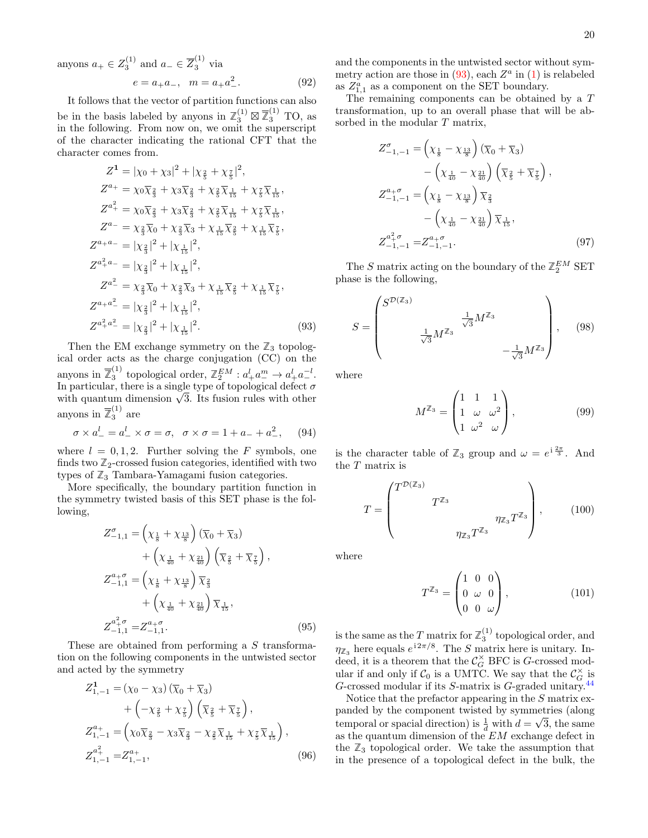anyons  $a_+ \in Z_3^{(1)}$  and  $a_- \in \overline{Z}_3^{(1)}$  via  $e = a_+ a_-, \quad m = a_+ a_-^2$  $(92)$ 

It follows that the vector of partition functions can also be in the basis labeled by anyons in  $\mathbb{Z}_3^{(1)} \boxtimes \overline{\mathbb{Z}}_3^{(1)}$  TO, as in the following. From now on, we omit the superscript of the character indicating the rational CFT that the character comes from.

$$
Z^{1} = |\chi_{0} + \chi_{3}|^{2} + |\chi_{\frac{2}{5}} + \chi_{\frac{7}{5}}|^{2},
$$
  
\n
$$
Z^{a_{+}} = \chi_{0}\overline{\chi}_{\frac{2}{3}} + \chi_{3}\overline{\chi}_{\frac{2}{3}} + \chi_{\frac{2}{5}}\overline{\chi}_{\frac{1}{15}} + \chi_{\frac{7}{5}}\overline{\chi}_{\frac{1}{15}},
$$
  
\n
$$
Z^{a_{+}^{2}} = \chi_{0}\overline{\chi}_{\frac{2}{3}} + \chi_{3}\overline{\chi}_{\frac{2}{3}} + \chi_{\frac{2}{5}}\overline{\chi}_{\frac{1}{15}} + \chi_{\frac{7}{5}}\overline{\chi}_{\frac{1}{15}},
$$
  
\n
$$
Z^{a_{-}} = \chi_{\frac{2}{3}}\overline{\chi}_{0} + \chi_{\frac{2}{3}}\overline{\chi}_{3} + \chi_{\frac{1}{15}}\overline{\chi}_{\frac{2}{5}} + \chi_{\frac{1}{15}}\overline{\chi}_{\frac{7}{5}},
$$
  
\n
$$
Z^{a_{+}a_{-}} = |\chi_{\frac{2}{3}}|^{2} + |\chi_{\frac{1}{15}}|^{2},
$$
  
\n
$$
Z^{a_{+}^{2}} = \chi_{\frac{2}{3}}\overline{\chi}_{0} + \chi_{\frac{2}{3}}\overline{\chi}_{3} + \chi_{\frac{1}{15}}\overline{\chi}_{\frac{2}{5}} + \chi_{\frac{1}{15}}\overline{\chi}_{\frac{7}{5}},
$$
  
\n
$$
Z^{a_{+}a_{-}^{2}} = |\chi_{\frac{2}{3}}|^{2} + |\chi_{\frac{1}{15}}|^{2},
$$
  
\n
$$
Z^{a_{+}^{2}a_{-}^{2}} = |\chi_{\frac{2}{3}}|^{2} + |\chi_{\frac{1}{15}}|^{2}.
$$
  
\n(93)

Then the EM exchange symmetry on the  $\mathbb{Z}_3$  topological order acts as the charge conjugation (CC) on the anyons in  $\overline{\mathbb{Z}}_3^{(1)}$ <sup>(1)</sup> topological order,  $\mathbb{Z}_2^{EM} : a_+^l a_-^m \to a_+^l a_-^{-l}$ . In particular, there is a single type of topological defect  $\sigma$ In particular, there is a single type of topological defect  $\sigma$  with quantum dimension  $\sqrt{3}$ . Its fusion rules with other anyons in  $\overline{Z}_3^{(1)}$  are

$$
\sigma \times a_-^l = a_-^l \times \sigma = \sigma, \quad \sigma \times \sigma = 1 + a_- + a_-^2,
$$
 (94)

where  $l = 0, 1, 2$ . Further solving the F symbols, one finds two  $\mathbb{Z}_2$ -crossed fusion categories, identified with two types of  $\mathbb{Z}_3$  Tambara-Yamagami fusion categories.

More specifically, the boundary partition function in the symmetry twisted basis of this SET phase is the following,

$$
Z_{-1,1}^{\sigma} = \left(\chi_{\frac{1}{8}} + \chi_{\frac{13}{8}}\right) \left(\overline{\chi}_{0} + \overline{\chi}_{3}\right) + \left(\chi_{\frac{1}{40}} + \chi_{\frac{21}{40}}\right) \left(\overline{\chi}_{\frac{2}{5}} + \overline{\chi}_{\frac{7}{5}}\right), Z_{-1,1}^{a+\sigma} = \left(\chi_{\frac{1}{8}} + \chi_{\frac{13}{8}}\right) \overline{\chi}_{\frac{2}{3}} + \left(\chi_{\frac{1}{40}} + \chi_{\frac{21}{40}}\right) \overline{\chi}_{\frac{1}{15}}, Z_{-1,1}^{a^2+\sigma} = Z_{-1,1}^{a+\sigma}.
$$
 (95)

These are obtained from performing a S transformation on the following components in the untwisted sector and acted by the symmetry

$$
Z_{1,-1}^{1} = (\chi_{0} - \chi_{3}) (\overline{\chi}_{0} + \overline{\chi}_{3})
$$
  
+ 
$$
\left( -\chi_{\frac{2}{5}} + \chi_{\frac{7}{5}} \right) (\overline{\chi}_{\frac{2}{5}} + \overline{\chi}_{\frac{7}{5}}),
$$
  

$$
Z_{1,-1}^{a_{+}} = (\chi_{0} \overline{\chi}_{\frac{2}{3}} - \chi_{3} \overline{\chi}_{\frac{2}{3}} - \chi_{\frac{2}{5}} \overline{\chi}_{\frac{1}{15}} + \chi_{\frac{7}{5}} \overline{\chi}_{\frac{1}{15}}),
$$
  

$$
Z_{1,-1}^{a_{+}^{2}} = Z_{1,-1}^{a_{+}},
$$
 (96)

and the components in the untwisted sector without symmetry action are those in  $(93)$ , each  $Z^a$  in  $(1)$  is relabeled as  $Z_{1,1}^a$  as a component on the SET boundary.

The remaining components can be obtained by a T transformation, up to an overall phase that will be absorbed in the modular T matrix,

$$
Z_{-1,-1}^{\sigma} = \left(\chi_{\frac{1}{8}} - \chi_{\frac{13}{8}}\right) \left(\overline{\chi}_{0} + \overline{\chi}_{3}\right) - \left(\chi_{\frac{1}{40}} - \chi_{\frac{21}{40}}\right) \left(\overline{\chi}_{\frac{2}{5}} + \overline{\chi}_{\frac{7}{5}}\right), Z_{-1,-1}^{a+\sigma} = \left(\chi_{\frac{1}{8}} - \chi_{\frac{13}{8}}\right) \overline{\chi}_{\frac{2}{3}} - \left(\chi_{\frac{1}{40}} - \chi_{\frac{21}{40}}\right) \overline{\chi}_{\frac{1}{15}}, Z_{-1,-1}^{a+\sigma} = Z_{-1,-1}^{a+\sigma}.
$$
 (97)

The S matrix acting on the boundary of the  $\mathbb{Z}_2^{EM}$  SET phase is the following,

<span id="page-19-0"></span>
$$
S = \begin{pmatrix} S^{\mathcal{D}(\mathbb{Z}_3)} & & \\ & \frac{1}{\sqrt{3}} M^{\mathbb{Z}_3} & \\ & & \frac{1}{\sqrt{3}} M^{\mathbb{Z}_3} & \\ & & & -\frac{1}{\sqrt{3}} M^{\mathbb{Z}_3} \end{pmatrix}, \quad (98)
$$

where

$$
M^{\mathbb{Z}_3} = \begin{pmatrix} 1 & 1 & 1 \\ 1 & \omega & \omega^2 \\ 1 & \omega^2 & \omega \end{pmatrix}, \tag{99}
$$

is the character table of  $\mathbb{Z}_3$  group and  $\omega = e^{i\frac{2\pi}{3}}$ . And the T matrix is

$$
T = \begin{pmatrix} T^{\mathcal{D}(\mathbb{Z}_3)} & & & \\ & T^{\mathbb{Z}_3} & & \\ & & \eta_{\mathbb{Z}_3} T^{\mathbb{Z}_3} \\ & & & \eta_{\mathbb{Z}_3} T^{\mathbb{Z}_3} \end{pmatrix}, \qquad (100)
$$

where

$$
T^{\mathbb{Z}_3} = \begin{pmatrix} 1 & 0 & 0 \\ 0 & \omega & 0 \\ 0 & 0 & \omega \end{pmatrix}, \tag{101}
$$

is the same as the T matrix for  $\mathbb{Z}_3^{(1)}$  topological order, and  $\eta_{\mathbb{Z}_3}$  here equals  $e^{i 2\pi/8}$ . The S matrix here is unitary. Indeed, it is a theorem that the  $\mathcal{C}_G^{\times}$  BFC is G-crossed modular if and only if  $C_0$  is a UMTC. We say that the  $C_G^{\times}$  is G-crossed modular if its S-matrix is G-graded unitary.<sup>[44](#page-30-33)</sup>

Notice that the prefactor appearing in the S matrix expanded by the component twisted by symmetries (along temporal or spacial direction) is  $\frac{1}{d}$  with  $d = \sqrt{3}$ , the same as the quantum dimension of the  $\mathrm{\check{E}M}$  exchange defect in the  $\mathbb{Z}_3$  topological order. We take the assumption that in the presence of a topological defect in the bulk, the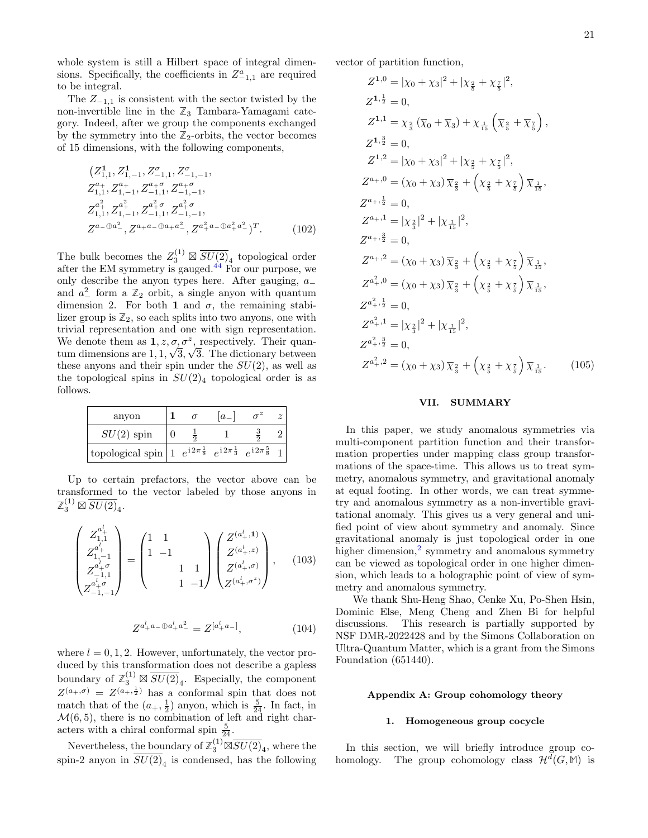whole system is still a Hilbert space of integral dimensions. Specifically, the coefficients in  $Z_{-1,1}^a$  are required to be integral.

The  $Z_{-1,1}$  is consistent with the sector twisted by the non-invertible line in the  $\mathbb{Z}_3$  Tambara-Yamagami category. Indeed, after we group the components exchanged by the symmetry into the  $\mathbb{Z}_2$ -orbits, the vector becomes of 15 dimensions, with the following components,

$$
(Z_{1,1}^{1}, Z_{1,-1}^{1}, Z_{-1,1}^{\sigma}, Z_{-1,-1}^{\sigma},
$$
  
\n
$$
Z_{1,1}^{a_{+}}, Z_{1,-1}^{a_{+}}, Z_{-1,1}^{a_{+}, Z_{-1,-1}^{a_{+}, \sigma}},
$$
  
\n
$$
Z_{1,1}^{a_{+}^{2}}, Z_{1,-1}^{a_{+}^{2}}, Z_{-1,1}^{a_{+}^{2}, Z_{-1,-1}^{a_{+}, \sigma}},
$$
  
\n
$$
Z^{a_{-}\oplus a_{-}^{2}}, Z^{a_{+}a_{-}\oplus a_{+}a_{-}^{2}}, Z^{a_{+}^{2}a_{-}\oplus a_{+}^{2}a_{-}^{2}})^{T}.
$$
 (102)

The bulk becomes the  $Z_3^{(1)} \boxtimes \overline{SU(2)}_4$  topological order after the EM symmetry is gauged. $44$  For our purpose, we only describe the anyon types here. After gauging,  $a_$ and  $a_{-}^2$  form a  $\mathbb{Z}_2$  orbit, a single anyon with quantum dimension 2. For both 1 and  $\sigma$ , the remaining stabilizer group is  $\mathbb{Z}_2$ , so each splits into two anyons, one with trivial representation and one with sign representation. We denote them as  $1, z, \sigma, \sigma^z$ , respectively. Their quantum dimensions are 1, 1,  $\sigma$ <sub>/</sub> 3, √ 3. The dictionary between these anyons and their spin under the  $SU(2)$ , as well as the topological spins in  $SU(2)_4$  topological order is as follows.

| anyon                                                                                                                                                                                                |  | $a_{-}$ |  |
|------------------------------------------------------------------------------------------------------------------------------------------------------------------------------------------------------|--|---------|--|
| $SU(2)$ spin                                                                                                                                                                                         |  |         |  |
| topological spin   1 $\ e^{\hspace{1pt}\mathrm{i}\hspace{1pt} 2\pi \frac{1}{8}} \ e^{\hspace{1pt}\mathrm{i}\hspace{1pt} 2\pi \frac{1}{3}} \ e^{\hspace{1pt}\mathrm{i}\hspace{1pt} 2\pi \frac{5}{8}}$ |  |         |  |

Up to certain prefactors, the vector above can be transformed to the vector labeled by those anyons in  $\mathbb{Z}_3^{(1)} \boxtimes \overline{SU(2)}_4.$ 

$$
\begin{pmatrix} Z_{1,1}^{a'_{+}} \\ Z_{1,-1}^{a'_{+}} \\ Z_{-1,1}^{a'_{+}\sigma} \\ Z_{-1,-1}^{a'_{+}\sigma} \end{pmatrix} = \begin{pmatrix} 1 & 1 & & \\ 1 & -1 & & \\ & 1 & 1 & \\ & & 1 & -1 \end{pmatrix} \begin{pmatrix} Z^{(a'_{+},1)} \\ Z^{(a'_{+},z)} \\ Z^{(a'_{+},\sigma)} \\ Z^{(a'_{+},\sigma^{z})} \end{pmatrix}, \quad (103)
$$

$$
Z^{a_+^l a_- \oplus a_+^l a_-^2} = Z^{[a_+^l a_-]}, \tag{104}
$$

where  $l = 0, 1, 2$ . However, unfortunately, the vector produced by this transformation does not describe a gapless boundary of  $\mathbb{Z}_3^{(1)} \boxtimes \overline{SU(2)}_4$ . Especially, the component  $Z^{(a_+,\sigma)} = Z^{(a_+,\frac{1}{2})}$  has a conformal spin that does not match that of the  $(a_+,\frac{1}{2})$  anyon, which is  $\frac{5}{24}$ . In fact, in  $\mathcal{M}(6, 5)$ , there is no combination of left and right characters with a chiral conformal spin  $\frac{5}{24}$ .

Nevertheless, the boundary of  $\mathbb{Z}_3^{(1)} \boxtimes \overline{SU(2)}_4$ , where the spin-2 anyon in  $SU(2)_4$  is condensed, has the following

vector of partition function,

$$
Z^{1,0} = |\chi_0 + \chi_3|^2 + |\chi_{\frac{2}{5}} + \chi_{\frac{7}{5}}|^2,
$$
  
\n
$$
Z^{1,\frac{1}{2}} = 0,
$$
  
\n
$$
Z^{1,1} = \chi_{\frac{2}{3}} (\overline{\chi}_0 + \overline{\chi}_3) + \chi_{\frac{1}{15}} (\overline{\chi}_{\frac{2}{5}} + \overline{\chi}_{\frac{7}{5}}),
$$
  
\n
$$
Z^{1,\frac{3}{2}} = 0,
$$
  
\n
$$
Z^{1,2} = |\chi_0 + \chi_3|^2 + |\chi_{\frac{2}{5}} + \chi_{\frac{7}{5}}|^2,
$$
  
\n
$$
Z^{a_{+},0} = (\chi_0 + \chi_3) \overline{\chi}_{\frac{2}{3}} + (\chi_{\frac{2}{5}} + \chi_{\frac{7}{5}}) \overline{\chi}_{\frac{1}{15}},
$$
  
\n
$$
Z^{a_{+},\frac{1}{2}} = 0,
$$
  
\n
$$
Z^{a_{+},\frac{3}{2}} = 0,
$$
  
\n
$$
Z^{a_{+},\frac{3}{2}} = (\chi_0 + \chi_3) \overline{\chi}_{\frac{2}{3}} + (\chi_{\frac{2}{5}} + \chi_{\frac{7}{5}}) \overline{\chi}_{\frac{1}{15}},
$$
  
\n
$$
Z^{a_{+}^2,0} = (\chi_0 + \chi_3) \overline{\chi}_{\frac{2}{3}} + (\chi_{\frac{2}{5}} + \chi_{\frac{7}{5}}) \overline{\chi}_{\frac{1}{15}},
$$
  
\n
$$
Z^{a_{+}^2,1} = |\chi_{\frac{2}{3}}|^2 + |\chi_{\frac{1}{15}}|^2,
$$
  
\n
$$
Z^{a_{+}^2,1} = |\chi_{\frac{2}{3}}|^2 + |\chi_{\frac{1}{15}}|^2,
$$
  
\n
$$
Z^{a_{+}^2,2} = 0,
$$
  
\n
$$
Z^{a_{+}^2,2} = (\chi_0 + \chi_3) \overline{\chi}_{\frac{2}{3}} + (\chi_{\frac{2}{5}} + \chi_{\frac{7}{5}}) \overline{\chi}_{\frac{1}{15}}.
$$
  
\n(105)

### <span id="page-20-0"></span>VII. SUMMARY

In this paper, we study anomalous symmetries via multi-component partition function and their transformation properties under mapping class group transformations of the space-time. This allows us to treat symmetry, anomalous symmetry, and gravitational anomaly at equal footing. In other words, we can treat symmetry and anomalous symmetry as a non-invertible gravitational anomaly. This gives us a very general and unified point of view about symmetry and anomaly. Since gravitational anomaly is just topological order in one higher dimension,<sup>[2](#page-29-5)</sup> symmetry and anomalous symmetry can be viewed as topological order in one higher dimension, which leads to a holographic point of view of symmetry and anomalous symmetry.

We thank Shu-Heng Shao, Cenke Xu, Po-Shen Hsin, Dominic Else, Meng Cheng and Zhen Bi for helpful discussions. This research is partially supported by NSF DMR-2022428 and by the Simons Collaboration on Ultra-Quantum Matter, which is a grant from the Simons Foundation (651440).

#### <span id="page-20-1"></span>Appendix A: Group cohomology theory

### <span id="page-20-2"></span>1. Homogeneous group cocycle

In this section, we will briefly introduce group cohomology. The group cohomology class  $\mathcal{H}^d(G,\mathbb{M})$  is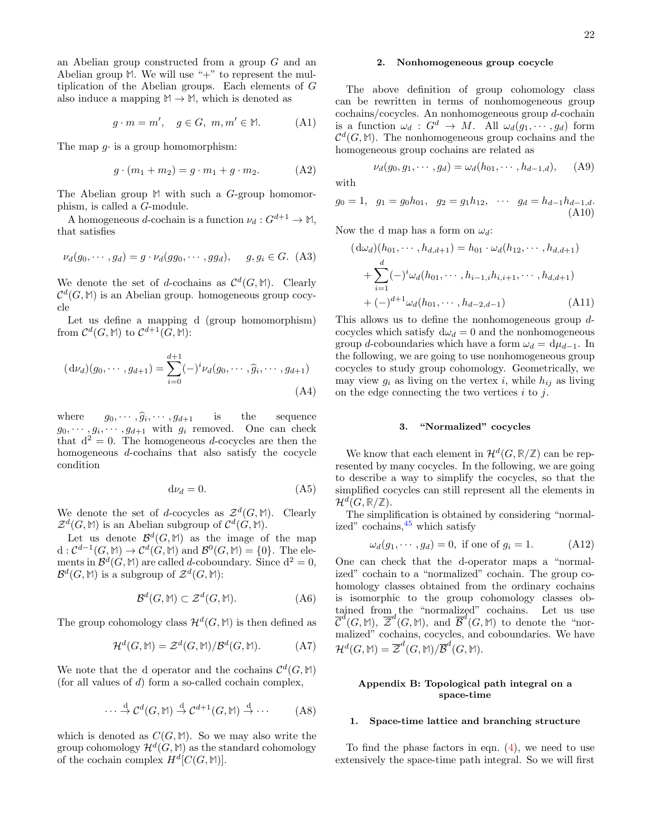an Abelian group constructed from a group G and an Abelian group  $M$ . We will use " $+$ " to represent the multiplication of the Abelian groups. Each elements of G also induce a mapping  $M \to M$ , which is denoted as

$$
g \cdot m = m', \quad g \in G, \ m, m' \in \mathbb{M}.
$$
 (A1)

The map  $q \cdot$  is a group homomorphism:

$$
g \cdot (m_1 + m_2) = g \cdot m_1 + g \cdot m_2. \tag{A2}
$$

The Abelian group **M** with such a G-group homomorphism, is called a G-module.

A homogeneous d-cochain is a function  $\nu_d : G^{d+1} \to \mathbb{M}$ , that satisfies

$$
\nu_d(g_0, \cdots, g_d) = g \cdot \nu_d(gg_0, \cdots, gg_d), \quad g, g_i \in G. \tag{A3}
$$

We denote the set of d-cochains as  $\mathcal{C}^d(G,\mathbb{M})$ . Clearly  $\mathcal{C}^d(G,\mathbb{M})$  is an Abelian group. homogeneous group cocycle

Let us define a mapping d (group homomorphism) from  $\mathcal{C}^d(G,\mathbb{M})$  to  $\mathcal{C}^{d+1}(G,\mathbb{M})$ :

$$
(\mathrm{d}\nu_d)(g_0, \cdots, g_{d+1}) = \sum_{i=0}^{d+1} (-)^i \nu_d(g_0, \cdots, \widehat{g}_i, \cdots, g_{d+1})
$$
\n(A4)

where  $g_0, \dots, \hat{g}_i, \dots, g_{d+1}$  is the sequence  $g_0, \dots, g_i, \dots, g_{d+1}$  with  $g_i$  removed. One can check  $g_0, \cdots, \widehat{g}_i, \cdots, g_{d+1}$  is the sequence that  $d^2 = 0$ . The homogeneous d-cocycles are then the homogeneous d-cochains that also satisfy the cocycle condition

$$
d\nu_d = 0.\t\t(A5)
$$

We denote the set of d-cocycles as  $\mathcal{Z}^d(G,\mathbb{M})$ . Clearly  $\mathcal{Z}^d(G,\mathbb{M})$  is an Abelian subgroup of  $\mathcal{C}^d(G,\mathbb{M})$ .

Let us denote  $\mathcal{B}^d(G,\mathbb{M})$  as the image of the map  $d: \mathcal{C}^{d-1}(G, \mathbb{M}) \to \mathcal{C}^d(G, \mathbb{M})$  and  $\mathcal{B}^0(G, \mathbb{M}) = \{0\}.$  The elements in  $\mathcal{B}^d(G, M)$  are called d-coboundary. Since  $d^2 = 0$ ,  $\mathcal{B}^d(G,\mathbb{M})$  is a subgroup of  $\mathcal{Z}^d(G,\mathbb{M})$ :

$$
\mathcal{B}^d(G, \mathbb{M}) \subset \mathcal{Z}^d(G, \mathbb{M}).\tag{A6}
$$

The group cohomology class  $\mathcal{H}^d(G,\mathbb{M})$  is then defined as

$$
\mathcal{H}^d(G, \mathbb{M}) = \mathcal{Z}^d(G, \mathbb{M})/\mathcal{B}^d(G, \mathbb{M}).
$$
 (A7)

We note that the d operator and the cochains  $\mathcal{C}^d(G,\mathbb{M})$ (for all values of d) form a so-called cochain complex,

$$
\cdots \stackrel{\mathrm{d}}{\to} \mathcal{C}^d(G, \mathbb{M}) \stackrel{\mathrm{d}}{\to} \mathcal{C}^{d+1}(G, \mathbb{M}) \stackrel{\mathrm{d}}{\to} \cdots
$$
 (A8)

which is denoted as  $C(G, M)$ . So we may also write the group cohomology  $\mathcal{H}^d(G,\mathbb{M})$  as the standard cohomology of the cochain complex  $H^d[C(G, M)].$ 

#### <span id="page-21-0"></span>2. Nonhomogeneous group cocycle

The above definition of group cohomology class can be rewritten in terms of nonhomogeneous group cochains/cocycles. An nonhomogeneous group d-cochain is a function  $\omega_d : G^d \to M$ . All  $\omega_d(g_1, \dots, g_d)$  form  $\mathcal{C}^d(G,\mathbb{M})$ . The nonhomogeneous group cochains and the homogeneous group cochains are related as

$$
\nu_d(g_0, g_1, \cdots, g_d) = \omega_d(h_{01}, \cdots, h_{d-1,d}), \quad (A9)
$$

with

$$
g_0 = 1
$$
,  $g_1 = g_0 h_{01}$ ,  $g_2 = g_1 h_{12}$ ,  $\cdots$   $g_d = h_{d-1} h_{d-1,d}$ .  
(A10)

Now the d map has a form on  $\omega_d$ :

$$
(d\omega_d)(h_{01}, \cdots, h_{d,d+1}) = h_{01} \cdot \omega_d(h_{12}, \cdots, h_{d,d+1})
$$
  
+ 
$$
\sum_{i=1}^d (-)^i \omega_d(h_{01}, \cdots, h_{i-1,i}h_{i,i+1}, \cdots, h_{d,d+1})
$$
  
+ 
$$
(-)^{d+1} \omega_d(h_{01}, \cdots, h_{d-2,d-1})
$$
 (A11)

This allows us to define the nonhomogeneous group dcocycles which satisfy  $d\omega_d = 0$  and the nonhomogeneous group d-coboundaries which have a form  $\omega_d = d\mu_{d-1}$ . In the following, we are going to use nonhomogeneous group cocycles to study group cohomology. Geometrically, we may view  $g_i$  as living on the vertex i, while  $h_{ij}$  as living on the edge connecting the two vertices  $i$  to  $j$ .

#### <span id="page-21-1"></span>3. "Normalized" cocycles

We know that each element in  $\mathcal{H}^d(G,\mathbb{R}/\mathbb{Z})$  can be represented by many cocycles. In the following, we are going to describe a way to simplify the cocycles, so that the simplified cocycles can still represent all the elements in  $\mathcal{H}^d(G,\mathbb{R}/\mathbb{Z}).$ 

The simplification is obtained by considering "normalized" cochains,  $45$  which satisfy

$$
\omega_d(g_1, \cdots, g_d) = 0, \text{ if one of } g_i = 1. \tag{A12}
$$

One can check that the d-operator maps a "normalized" cochain to a "normalized" cochain. The group cohomology classes obtained from the ordinary cochains is isomorphic to the group cohomology classes obtained from the "normalized" cochains. Let us use  $\overline{\mathcal{C}}^{d}(G, M), \overline{\mathcal{Z}}^{d}(G, M),$  and  $\overline{\mathcal{B}}^{d}(G, M)$  to denote the "normalized" cochains, cocycles, and coboundaries. We have  $\mathcal{H}^d(G, M) = \overline{\mathcal{Z}}^d(G, M) / \overline{\mathcal{B}}^d(G, M).$ 

# <span id="page-21-2"></span>Appendix B: Topological path integral on a space-time

#### <span id="page-21-3"></span>1. Space-time lattice and branching structure

To find the phase factors in eqn. [\(4\)](#page-3-2), we need to use extensively the space-time path integral. So we will first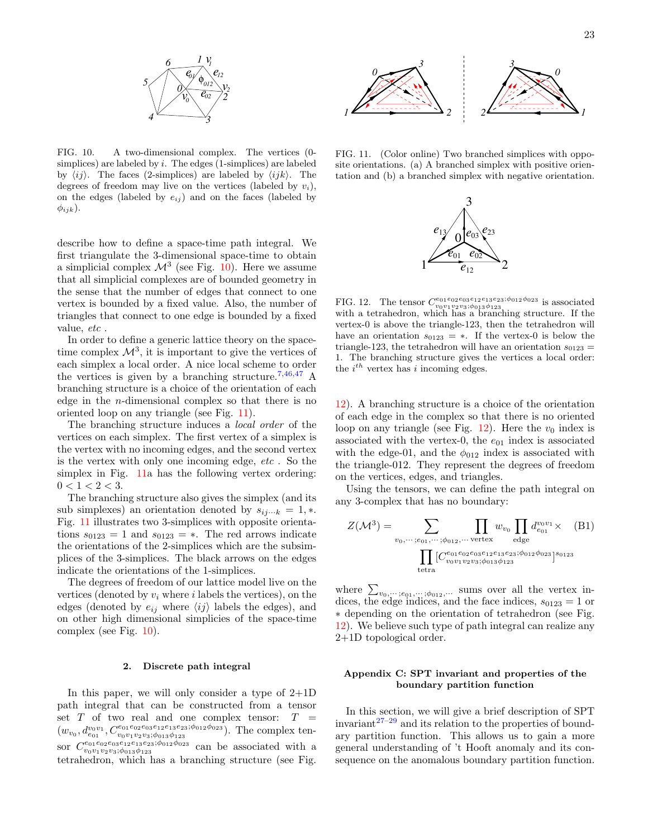

<span id="page-22-2"></span>FIG. 10. A two-dimensional complex. The vertices (0 simplices) are labeled by  $i$ . The edges (1-simplices) are labeled by  $\langle ij \rangle$ . The faces (2-simplices) are labeled by  $\langle ijk \rangle$ . The degrees of freedom may live on the vertices (labeled by  $v_i$ ), on the edges (labeled by  $e_{ij}$ ) and on the faces (labeled by  $\phi_{ijk}$ ).

describe how to define a space-time path integral. We first triangulate the 3-dimensional space-time to obtain a simplicial complex  $\mathcal{M}^3$  (see Fig. [10\)](#page-22-2). Here we assume that all simplicial complexes are of bounded geometry in the sense that the number of edges that connect to one vertex is bounded by a fixed value. Also, the number of triangles that connect to one edge is bounded by a fixed value, etc.

In order to define a generic lattice theory on the spacetime complex  $\mathcal{M}^3$ , it is important to give the vertices of each simplex a local order. A nice local scheme to order the vertices is given by a branching structure.<sup>[7](#page-30-3)[,46](#page-30-39)[,47](#page-30-40)</sup> A branching structure is a choice of the orientation of each edge in the n-dimensional complex so that there is no oriented loop on any triangle (see Fig. [11\)](#page-22-3).

The branching structure induces a local order of the vertices on each simplex. The first vertex of a simplex is the vertex with no incoming edges, and the second vertex is the vertex with only one incoming edge, etc . So the simplex in Fig. [11a](#page-22-3) has the following vertex ordering:  $0 < 1 < 2 < 3$ .

The branching structure also gives the simplex (and its sub simplexes) an orientation denoted by  $s_{ij\cdots k} = 1, *$ . Fig. [11](#page-22-3) illustrates two 3-simplices with opposite orientations  $s_{0123} = 1$  and  $s_{0123} = *$ . The red arrows indicate the orientations of the 2-simplices which are the subsimplices of the 3-simplices. The black arrows on the edges indicate the orientations of the 1-simplices.

The degrees of freedom of our lattice model live on the vertices (denoted by  $v_i$  where i labels the vertices), on the edges (denoted by  $e_{ij}$  where  $\langle ij \rangle$  labels the edges), and on other high dimensional simplicies of the space-time complex (see Fig. [10\)](#page-22-2).

#### <span id="page-22-0"></span>2. Discrete path integral

In this paper, we will only consider a type of 2+1D path integral that can be constructed from a tensor set  $T$  of two real and one complex tensor:  $T =$  $(w_{v_0}, d_{e_{01}}^{v_0v_1}, C_{v_0v_1v_2v_3;\phi_{013}\phi_{123}}^{e_{01}e_{02}e_{13}e_{23};\phi_{012}\phi_{023}})$ . The complex tensor  $C_{v_0v_1v_2v_3;\phi_{013}\phi_{123}}^{e_{01}e_{02}e_{03}e_{12}e_{13}e_{23};\phi_{012}\phi_{023}}$  can be associated with a tetrahedron, which has a branching structure (see Fig.



<span id="page-22-3"></span>FIG. 11. (Color online) Two branched simplices with opposite orientations. (a) A branched simplex with positive orientation and (b) a branched simplex with negative orientation.



<span id="page-22-4"></span>FIG. 12. The tensor  $C_{v_0v_1v_2v_3;\phi_{013}\phi_{123}}^{e_{01}e_{02}e_{03}e_{12}e_{13}e_{23};\phi_{012}\phi_{023}}$  is associated with a tetrahedron, which has a branching structure. If the vertex-0 is above the triangle-123, then the tetrahedron will have an orientation  $s_{0123} = *$ . If the vertex-0 is below the triangle-123, the tetrahedron will have an orientation  $s_{0123} =$ 1. The branching structure gives the vertices a local order: the  $i^{th}$  vertex has i incoming edges.

[12\)](#page-22-4). A branching structure is a choice of the orientation of each edge in the complex so that there is no oriented loop on any triangle (see Fig. [12\)](#page-22-4). Here the  $v_0$  index is associated with the vertex-0, the  $e_{01}$  index is associated with the edge-01, and the  $\phi_{012}$  index is associated with the triangle-012. They represent the degrees of freedom on the vertices, edges, and triangles.

Using the tensors, we can define the path integral on any 3-complex that has no boundary:

$$
Z(\mathcal{M}^3) = \sum_{v_0, \cdots; e_{01}, \cdots; \phi_{012}, \cdots \text{ vertex}} \prod_{\text{edge}} w_{v_0} \prod_{\text{edge}} d_{e_{01}}^{v_0 v_1} \times \text{(B1)}
$$

$$
\prod_{\text{tetra}} [C_{v_0 v_1 v_2 v_3; \phi_{013} \phi_{123}}^{e_{01} e_{02} e_{03} e_{12} e_{13} e_{23}; \phi_{012} \phi_{023}]^{s_{0123}}
$$

where  $\sum_{v_0,\dots,v_{01},\dots,v_{012},\dots}$  sums over all the vertex indices, the edge indices, and the face indices,  $s_{0123} = 1$  or ∗ depending on the orientation of tetrahedron (see Fig. [12\)](#page-22-4). We believe such type of path integral can realize any 2+1D topological order.

# <span id="page-22-1"></span>Appendix C: SPT invariant and properties of the boundary partition function

In this section, we will give a brief description of SPT invariant $27-29$  $27-29$  and its relation to the properties of boundary partition function. This allows us to gain a more general understanding of 't Hooft anomaly and its consequence on the anomalous boundary partition function.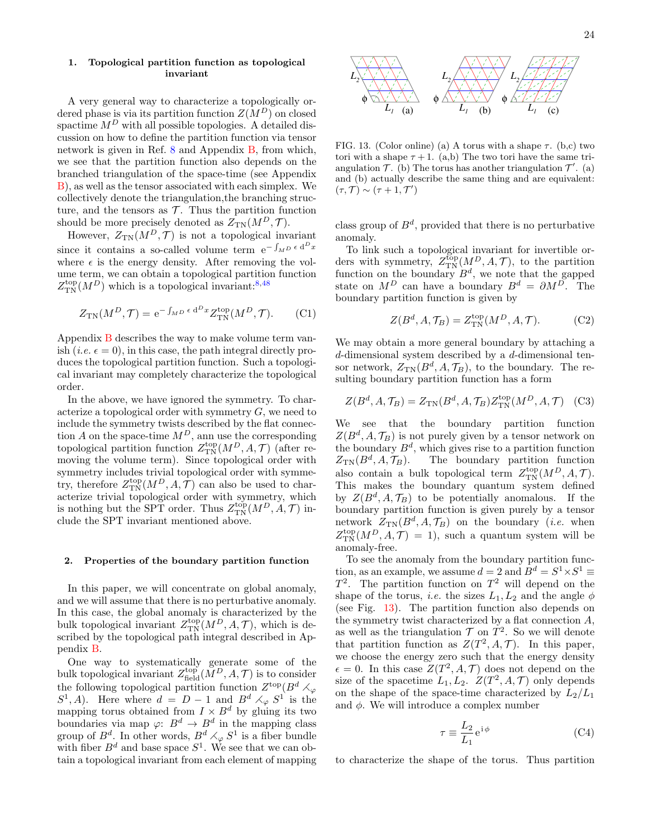### <span id="page-23-0"></span>1. Topological partition function as topological invariant

A very general way to characterize a topologically ordered phase is via its partition function  $Z(M^D)$  on closed spactime  $M^D$  with all possible topologies. A detailed discussion on how to define the partition function via tensor network is given in Ref. [8](#page-30-4) and Appendix [B,](#page-21-2) from which, we see that the partition function also depends on the branched triangulation of the space-time (see Appendix [B\)](#page-21-2), as well as the tensor associated with each simplex. We collectively denote the triangulation,the branching structure, and the tensors as  $\mathcal T$ . Thus the partition function should be more precisely denoted as  $Z_{TN}(M^D, \mathcal{T})$ .

However,  $Z_{TN}(M^D, \mathcal{T})$  is not a topological invariant since it contains a so-called volume term  $e^{-\int_{MD} \epsilon d^D x}$ where  $\epsilon$  is the energy density. After removing the volume term, we can obtain a topological partition function  $Z_{\text{TN}}^{\text{top}}(M^D)$  which is a topological invariant:<sup>[8,](#page-30-4)[48](#page-30-41)</sup>

$$
Z_{\rm TN}(M^D, \mathcal{T}) = e^{-\int_{M^D} \epsilon \, \mathrm{d}^D x} Z_{\rm TN}^{\rm top}(M^D, \mathcal{T}).\tag{C1}
$$

Appendix [B](#page-21-2) describes the way to make volume term vanish (*i.e.*  $\epsilon = 0$ ), in this case, the path integral directly produces the topological partition function. Such a topological invariant may completely characterize the topological order.

In the above, we have ignored the symmetry. To characterize a topological order with symmetry  $G$ , we need to include the symmetry twists described by the flat connection A on the space-time  $M^D$ , ann use the corresponding topological partition function  $Z_{\text{TN}}^{\text{top}}(M^D, A, \mathcal{T})$  (after removing the volume term). Since topological order with symmetry includes trivial topological order with symmetry, therefore  $Z_{\text{TN}}^{\text{top}}(M^D, A, \mathcal{T})$  can also be used to characterize trivial topological order with symmetry, which is nothing but the SPT order. Thus  $Z_{\text{TN}}^{\text{top}}(M^D, A, \mathcal{T})$  include the SPT invariant mentioned above.

#### <span id="page-23-1"></span>2. Properties of the boundary partition function

In this paper, we will concentrate on global anomaly, and we will assume that there is no perturbative anomaly. In this case, the global anomaly is characterized by the bulk topological invariant  $Z_{\text{TN}}^{\text{top}}(M^D, A, \mathcal{T})$ , which is described by the topological path integral described in Appendix [B.](#page-21-2)

One way to systematically generate some of the bulk topological invariant  $Z_{\text{field}}^{\text{top}}(M^D, A, \mathcal{T})$  is to consider the following topological partition function  $Z^{\text{top}}(B^d \times_{\varphi} I)$  $S^1$ , A). Here where  $d = D - 1$  and  $B^d \times_{\varphi} S^1$  is the mapping torus obtained from  $I \times B^d$  by gluing its two boundaries via map  $\varphi: B^d \to B^d$  in the mapping class group of  $B^d$ . In other words,  $B^d \times_{\varphi} S^1$  is a fiber bundle with fiber  $B^d$  and base space  $S^1$ . We see that we can obtain a topological invariant from each element of mapping



<span id="page-23-2"></span>FIG. 13. (Color online) (a) A torus with a shape  $\tau$ . (b,c) two tori with a shape  $\tau + 1$ . (a,b) The two tori have the same triangulation  $\mathcal{T}$ . (b) The torus has another triangulation  $\mathcal{T}'$ . (a) and (b) actually describe the same thing and are equivalent:  $(\tau, \mathcal{T}) \sim (\tau + 1, \mathcal{T}')$ 

class group of  $B^d$ , provided that there is no perturbative anomaly.

To link such a topological invariant for invertible orders with symmetry,  $Z_{\text{TN}}^{\text{top}}(M^D, A, \mathcal{T})$ , to the partition function on the boundary  $B^d$ , we note that the gapped state on  $M^D$  can have a boundary  $B^d = \partial M^D$ . The boundary partition function is given by

$$
Z(B^d, A, \mathcal{T}_B) = Z_{\text{TN}}^{\text{top}}(M^D, A, \mathcal{T}).
$$
 (C2)

We may obtain a more general boundary by attaching a d-dimensional system described by a d-dimensional tensor network,  $Z_{TN}(B^d, A, \mathcal{T}_B)$ , to the boundary. The resulting boundary partition function has a form

$$
Z(B^d, A, \mathcal{T}_B) = Z_{\text{TN}}(B^d, A, \mathcal{T}_B) Z_{\text{TN}}^{\text{top}}(M^D, A, \mathcal{T}) \quad \text{(C3)}
$$

We see that the boundary partition function  $Z(B^d, A, \mathcal{T}_B)$  is not purely given by a tensor network on the boundary  $B^d$ , which gives rise to a partition function  $Z_{\rm TN}(B^d, A, \mathcal{T}_B).$ The boundary partition function also contain a bulk topological term  $Z_{\rm TN}^{\rm top}(M^D,A,\mathcal{T}).$ This makes the boundary quantum system defined by  $Z(B^d, A, \mathcal{T}_B)$  to be potentially anomalous. If the boundary partition function is given purely by a tensor network  $Z_{TN}(B^d, A, \mathcal{T}_B)$  on the boundary (*i.e.* when  $Z_{\text{TN}}^{\text{top}}(M^D, A, \mathcal{T}) = 1$ , such a quantum system will be anomaly-free.

To see the anomaly from the boundary partition function, as an example, we assume  $d = 2$  and  $B^d = S^1 \times S^1 \equiv$  $T^2$ . The partition function on  $T^2$  will depend on the shape of the torus, *i.e.* the sizes  $L_1, L_2$  and the angle  $\phi$ (see Fig. [13\)](#page-23-2). The partition function also depends on the symmetry twist characterized by a flat connection A, as well as the triangulation  $\mathcal T$  on  $T^2$ . So we will denote that partition function as  $Z(T^2, A, \mathcal{T})$ . In this paper, we choose the energy zero such that the energy density  $\epsilon = 0$ . In this case  $Z(T^2, A, \mathcal{T})$  does not depend on the size of the spacetime  $L_1, L_2$ .  $Z(T^2, A, \mathcal{T})$  only depends on the shape of the space-time characterized by  $L_2/L_1$ and  $\phi$ . We will introduce a complex number

$$
\tau \equiv \frac{L_2}{L_1} e^{i\phi} \tag{C4}
$$

to characterize the shape of the torus. Thus partition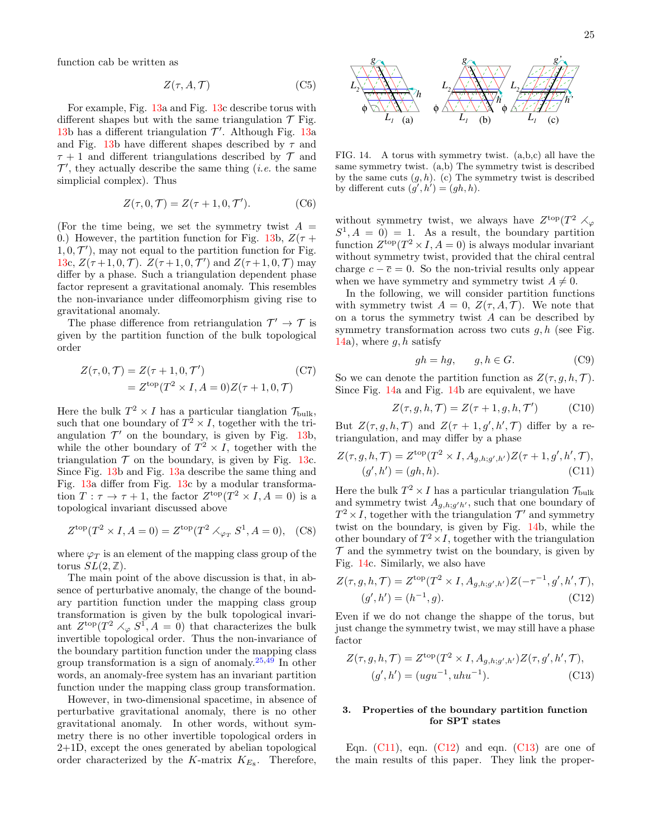function cab be written as

$$
Z(\tau, A, \mathcal{T}) \tag{C5}
$$

For example, Fig. [13a](#page-23-2) and Fig. [13c](#page-23-2) describe torus with different shapes but with the same triangulation  $\mathcal T$  Fig. [13b](#page-23-2) has a different triangulation  $\mathcal{T}'$ . Although Fig. [13a](#page-23-2) and Fig. [13b](#page-23-2) have different shapes described by  $\tau$  and  $\tau + 1$  and different triangulations described by  $\mathcal T$  and  $\mathcal{T}'$ , they actually describe the same thing (*i.e.* the same simplicial complex). Thus

$$
Z(\tau, 0, \mathcal{T}) = Z(\tau + 1, 0, \mathcal{T}'). \tag{C6}
$$

(For the time being, we set the symmetry twist  $A =$ 0.) However, the partition function for Fig. [13b](#page-23-2),  $Z(\tau +$  $1, 0, \mathcal{T}'$ , may not equal to the partition function for Fig. [13c](#page-23-2),  $Z(\tau+1,0,\mathcal{T})$ .  $Z(\tau+1,0,\mathcal{T}')$  and  $Z(\tau+1,0,\mathcal{T})$  may differ by a phase. Such a triangulation dependent phase factor represent a gravitational anomaly. This resembles the non-invariance under diffeomorphism giving rise to gravitational anomaly.

The phase difference from retriangulation  $\mathcal{T}' \to \mathcal{T}$  is given by the partition function of the bulk topological order

$$
Z(\tau, 0, \mathcal{T}) = Z(\tau + 1, 0, \mathcal{T}')
$$
\n
$$
= Z^{\text{top}}(T^2 \times I, A = 0)Z(\tau + 1, 0, \mathcal{T})
$$
\n
$$
(C7)
$$

Here the bulk  $T^2 \times I$  has a particular tianglation  $\mathcal{T}_{\text{bulk}}$ , such that one boundary of  $T^2 \times I$ , together with the triangulation  $\mathcal{T}'$  on the boundary, is given by Fig. [13b](#page-23-2), while the other boundary of  $T^2 \times I$ , together with the triangulation  $\mathcal T$  on the boundary, is given by Fig. [13c](#page-23-2). Since Fig. [13b](#page-23-2) and Fig. [13a](#page-23-2) describe the same thing and Fig. [13a](#page-23-2) differ from Fig. [13c](#page-23-2) by a modular transformation  $T : \tau \to \tau + 1$ , the factor  $Z^{\text{top}}(T^2 \times I, A = 0)$  is a topological invariant discussed above

$$
Z^{\text{top}}(T^2 \times I, A = 0) = Z^{\text{top}}(T^2 \times_{\varphi_T} S^1, A = 0), \quad (C8)
$$

where  $\varphi_T$  is an element of the mapping class group of the torus  $SL(2, \mathbb{Z})$ .

The main point of the above discussion is that, in absence of perturbative anomaly, the change of the boundary partition function under the mapping class group transformation is given by the bulk topological invariant  $Z^{\text{top}}(T^2 \times_{\varphi} S^1, A = 0)$  that characterizes the bulk invertible topological order. Thus the non-invariance of the boundary partition function under the mapping class group transformation is a sign of anomaly. $25,49$  $25,49$  In other words, an anomaly-free system has an invariant partition function under the mapping class group transformation.

However, in two-dimensional spacetime, in absence of perturbative gravitational anomaly, there is no other gravitational anomaly. In other words, without symmetry there is no other invertible topological orders in 2+1D, except the ones generated by abelian topological order characterized by the K-matrix  $K_{E_8}$ . Therefore,



<span id="page-24-1"></span>FIG. 14. A torus with symmetry twist. (a,b,c) all have the same symmetry twist. (a,b) The symmetry twist is described by the same cuts  $(q, h)$ . (c) The symmetry twist is described by different cuts  $(g', h') = (gh, h)$ .

without symmetry twist, we always have  $Z^{\text{top}}(T^2 \times_{\varphi}$  $S^1, A = 0$  = 1. As a result, the boundary partition function  $Z^{\text{top}}(T^2 \times I, A = 0)$  is always modular invariant without symmetry twist, provided that the chiral central charge  $c - \overline{c} = 0$ . So the non-trivial results only appear when we have symmetry and symmetry twist  $A \neq 0$ .

In the following, we will consider partition functions with symmetry twist  $A = 0$ ,  $Z(\tau, A, \mathcal{T})$ . We note that on a torus the symmetry twist  $A$  can be described by symmetry transformation across two cuts  $g, h$  (see Fig. [14a](#page-24-1)), where  $g, h$  satisfy

$$
gh = hg, \qquad g, h \in G. \tag{C9}
$$

So we can denote the partition function as  $Z(\tau, g, h, \mathcal{T})$ . Since Fig. [14a](#page-24-1) and Fig. [14b](#page-24-1) are equivalent, we have

<span id="page-24-2"></span>
$$
Z(\tau, g, h, \mathcal{T}) = Z(\tau + 1, g, h, \mathcal{T}')
$$
 (C10)

But  $Z(\tau, g, h, \mathcal{T})$  and  $Z(\tau + 1, g', h', \mathcal{T})$  differ by a retriangulation, and may differ by a phase

$$
Z(\tau, g, h, \mathcal{T}) = Z^{\text{top}}(T^2 \times I, A_{g,h;g',h'}) Z(\tau + 1, g', h', \mathcal{T}),
$$
  

$$
(g', h') = (gh, h). \tag{C11}
$$

Here the bulk  $T^2 \times I$  has a particular triangulation  $\mathcal{T}_{\text{bulk}}$ and symmetry twist  $A_{g,h;g'h'}$ , such that one boundary of  $T^2 \times I$ , together with the triangulation  $\mathcal{T}'$  and symmetry twist on the boundary, is given by Fig. [14b](#page-24-1), while the other boundary of  $T^2 \times I$ , together with the triangulation  $\mathcal T$  and the symmetry twist on the boundary, is given by Fig. [14c](#page-24-1). Similarly, we also have

<span id="page-24-3"></span>
$$
Z(\tau, g, h, \mathcal{T}) = Z^{\text{top}}(T^2 \times I, A_{g, h; g', h'}) Z(-\tau^{-1}, g', h', \mathcal{T}),
$$
  
(g', h') = (h^{-1}, g). (C12)

Even if we do not change the shappe of the torus, but just change the symmetry twist, we may still have a phase factor

<span id="page-24-4"></span>
$$
Z(\tau, g, h, \mathcal{T}) = Z^{\text{top}}(T^2 \times I, A_{g,h;g',h'}) Z(\tau, g', h', \mathcal{T}),
$$
  

$$
(g', h') = (ugu^{-1}, uhu^{-1}).
$$
 (C13)

# <span id="page-24-0"></span>3. Properties of the boundary partition function for SPT states

Eqn.  $(C11)$ , eqn.  $(C12)$  and eqn.  $(C13)$  are one of the main results of this paper. They link the proper-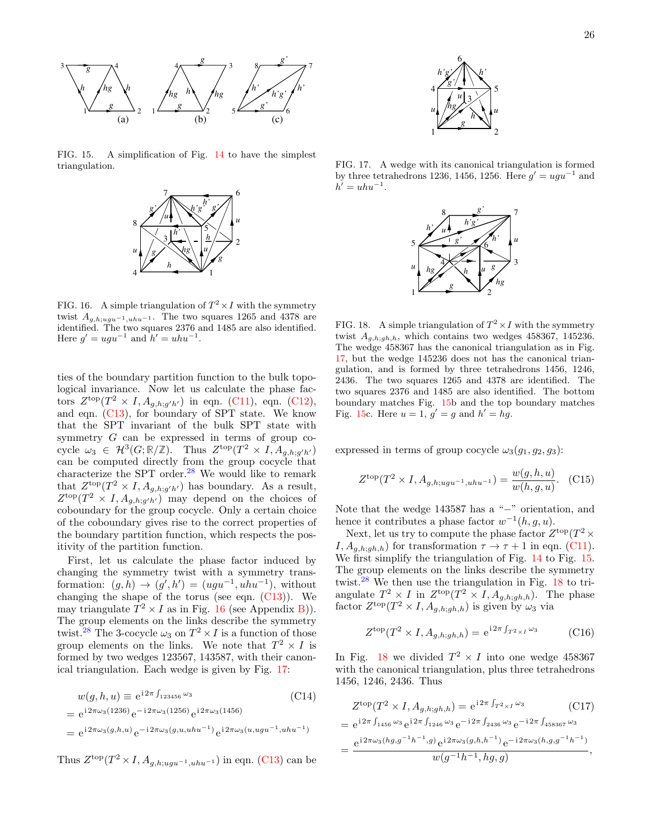

<span id="page-25-2"></span>FIG. 15. A simplification of Fig. [14](#page-24-1) to have the simplest triangulation.



<span id="page-25-0"></span>FIG. 16. A simple triangulation of  $T^2 \times I$  with the symmetry twist  $A_{g,h;ugu^{-1},uhu^{-1}}$ . The two squares 1265 and 4378 are identified. The two squares 2376 and 1485 are also identified. Here  $g' = ugu^{-1}$  and  $h' = uhu^{-1}$ .

ties of the boundary partition function to the bulk topological invariance. Now let us calculate the phase factors  $Z^{\text{top}}(T^2 \times I, A_{g,h;g'h'})$  in eqn. [\(C11\)](#page-24-2), eqn. [\(C12\)](#page-24-3), and eqn. [\(C13\)](#page-24-4), for boundary of SPT state. We know that the SPT invariant of the bulk SPT state with symmetry G can be expressed in terms of group cocycle  $\omega_3 \in \mathcal{H}^3(G;\mathbb{R}/\mathbb{Z})$ . Thus  $Z^{\text{top}}(T^2 \times I, A_{g,h;g'h'})$ can be computed directly from the group cocycle that characterize the SPT order.[28](#page-30-24) We would like to remark that  $Z^{\text{top}}(T^2 \times I, A_{g,h;g'h'})$  has boundary. As a result,  $Z^{\text{top}}(T^2 \times I, A_{g,h;g'h'})$  may depend on the choices of coboundary for the group cocycle. Only a certain choice of the coboundary gives rise to the correct properties of the boundary partition function, which respects the positivity of the partition function.

First, let us calculate the phase factor induced by changing the symmetry twist with a symmetry transformation:  $(g, h) \rightarrow (g', h') = (ugu^{-1}, uhu^{-1}),$  without changing the shape of the torus (see eqn.  $(C13)$ ). We may triangulate  $T^2 \times I$  as in Fig. [16](#page-25-0) (see Appendix [B\)](#page-21-2)). The group elements on the links describe the symmetry twist.<sup>[28](#page-30-24)</sup> The 3-cocycle  $\omega_3$  on  $T^2 \times I$  is a function of those group elements on the links. We note that  $T^2 \times I$  is formed by two wedges 123567, 143587, with their canonical triangulation. Each wedge is given by Fig. [17:](#page-25-1)

$$
w(g, h, u) \equiv e^{i2\pi \int_{123456} \omega_3}
$$
\n(C14)  
\n
$$
= e^{i2\pi \omega_3 (1236)} e^{-i2\pi \omega_3 (1256)} e^{i2\pi \omega_3 (1456)}
$$
\n
$$
= e^{i2\pi \omega_3 (g, h, u)} e^{-i2\pi \omega_3 (g, u, uhu^{-1})} e^{i2\pi \omega_3 (u, ugu^{-1}, uhu^{-1})}
$$

Thus  $Z^{\text{top}}(T^2 \times I, A_{g,h;ugu^{-1},uhu^{-1}})$  in eqn. [\(C13\)](#page-24-4) can be



<span id="page-25-1"></span>FIG. 17. A wedge with its canonical triangulation is formed by three tetrahedrons 1236, 1456, 1256. Here  $g' = ugu^{-1}$  and  $h' = uhu^{-1}.$ 



<span id="page-25-3"></span>FIG. 18. A simple triangulation of  $T^2 \times I$  with the symmetry twist  $A_{g,h;gh,h}$ , which contains two wedges 458367, 145236. The wedge 458367 has the canonical triangulation as in Fig. [17,](#page-25-1) but the wedge 145236 does not has the canonical triangulation, and is formed by three tetrahedrons 1456, 1246, 2436. The two squares 1265 and 4378 are identified. The two squares 2376 and 1485 are also identified. The bottom boundary matches Fig. [15b](#page-25-2) and the top boundary matches Fig. [15c](#page-25-2). Here  $u = 1$ ,  $g' = g$  and  $h' = hg$ .

expressed in terms of group cocycle  $\omega_3(q_1, q_2, q_3)$ :

$$
Z^{\text{top}}(T^2 \times I, A_{g,h; ugu^{-1}, uhu^{-1}}) = \frac{w(g, h, u)}{w(h, g, u)}.
$$
 (C15)

Note that the wedge 143587 has a "−" orientation, and hence it contributes a phase factor  $w^{-1}(h, g, u)$ .

Next, let us try to compute the phase factor  $Z^{\text{top}}(T^2 \times$  $I, A_{q,h;gh,h}$  for transformation  $\tau \to \tau + 1$  in eqn. [\(C11\)](#page-24-2). We first simplify the triangulation of Fig. [14](#page-24-1) to Fig. [15.](#page-25-2) The group elements on the links describe the symmetry twist.<sup>[28](#page-30-24)</sup> We then use the triangulation in Fig.  $18$  to triangulate  $T^2 \times I$  in  $Z^{\text{top}}(T^2 \times I, A_{g,h;gh,h})$ . The phase factor  $Z^{\text{top}}(T^2 \times I, A_{g,h;gh,h})$  is given by  $\omega_3$  via

$$
Z^{\text{top}}(T^2 \times I, A_{g,h;gh,h}) = e^{i2\pi \int_{T^2 \times I} \omega_3} \tag{C16}
$$

In Fig. [18](#page-25-3) we divided  $T^2 \times I$  into one wedge 458367 with the canonical triangulation, plus three tetrahedrons 1456, 1246, 2436. Thus

$$
Z^{\text{top}}(T^2 \times I, A_{g,h;gh,h}) = e^{i2\pi \int_{T^2 \times I} \omega_3} \quad (C17)
$$
  
=  $e^{i2\pi \int_{1456} \omega_3} e^{i2\pi \int_{1246} \omega_3} e^{-i2\pi \int_{2436} \omega_3} e^{-i2\pi \int_{458367} \omega_3}$   
=  $\frac{e^{i2\pi \omega_3(hg,g^{-1}h^{-1},g)} e^{i2\pi \omega_3(g,h,h^{-1})} e^{-i2\pi \omega_3(h,g,g^{-1}h^{-1})}}{w(g^{-1}h^{-1},hg,g)},$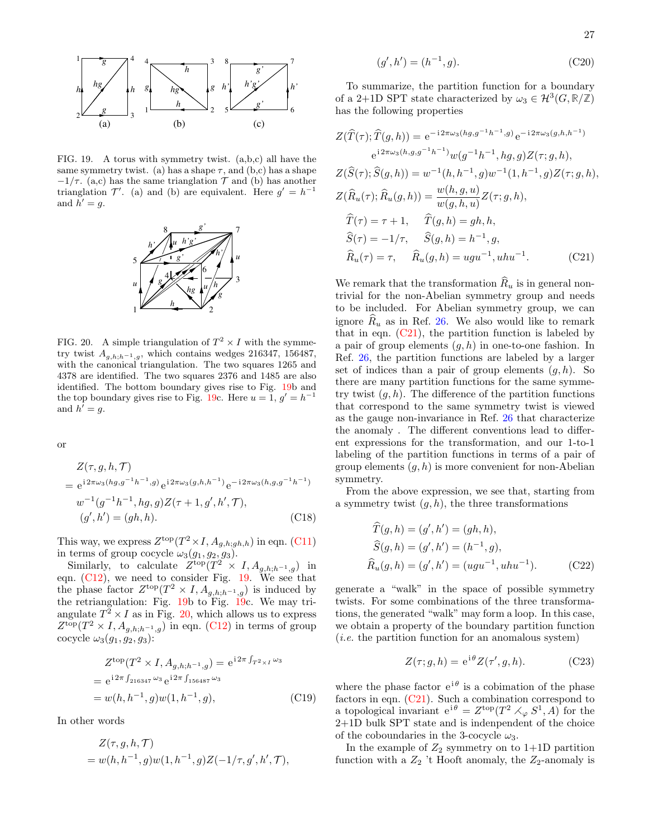

<span id="page-26-0"></span>FIG. 19. A torus with symmetry twist. (a,b,c) all have the same symmetry twist. (a) has a shape  $\tau$ , and (b,c) has a shape  $-1/\tau$ . (a,c) has the same trianglation  $\mathcal T$  and (b) has another trianglation  $\mathcal{T}'$ . (a) and (b) are equivalent. Here  $g' = h^{-1}$ and  $h' = g$ .



<span id="page-26-1"></span>FIG. 20. A simple triangulation of  $T^2 \times I$  with the symmetry twist  $A_{g,h;h^{-1},g}$ , which contains wedges 216347, 156487, with the canonical triangulation. The two squares 1265 and 4378 are identified. The two squares 2376 and 1485 are also identified. The bottom boundary gives rise to Fig. [19b](#page-26-0) and the top boundary gives rise to Fig. [19c](#page-26-0). Here  $u = 1, g' = h^{-1}$ and  $h^{'} = g$ .

or

$$
Z(\tau, g, h, \mathcal{T})
$$
  
=  $e^{i2\pi\omega_3(hg, g^{-1}h^{-1}, g)} e^{i2\pi\omega_3(g, h, h^{-1})} e^{-i2\pi\omega_3(h, g, g^{-1}h^{-1})}$   

$$
w^{-1}(g^{-1}h^{-1}, hg, g)Z(\tau + 1, g', h', \mathcal{T}),
$$
  

$$
(g', h') = (gh, h).
$$
 (C18)

This way, we express  $Z^{\text{top}}(T^2 \times I, A_{g,h;gh,h})$  in eqn. [\(C11\)](#page-24-2) in terms of group cocycle  $\omega_3(g_1, g_2, g_3)$ .

Similarly, to calculate  $Z^{\text{top}}(T^2 \times I, A_{g,h,h^{-1},g})$  in eqn. [\(C12\)](#page-24-3), we need to consider Fig. [19.](#page-26-0) We see that the phase factor  $Z^{\text{top}}(T^2 \times I, A_{g,h,h^{-1},g})$  is induced by the retriangulation: Fig. [19b](#page-26-0) to Fig. [19c](#page-26-0). We may triangulate  $T^2 \times I$  as in Fig. [20,](#page-26-1) which allows us to express  $Z^{\text{top}}(T^2 \times I, A_{g,h,h^{-1},g})$  in eqn. [\(C12\)](#page-24-3) in terms of group cocycle  $\omega_3(g_1, g_2, g_3)$ :

$$
Z^{\text{top}}(T^2 \times I, A_{g,h;h^{-1},g}) = e^{i2\pi \int_{T^2 \times I} \omega_3}
$$
  
=  $e^{i2\pi \int_{216347} \omega_3} e^{i2\pi \int_{156487} \omega_3}$   
=  $w(h, h^{-1}, g)w(1, h^{-1}, g),$  (C19)

In other words

$$
Z(\tau, g, h, \mathcal{T}) = w(h, h^{-1}, g)w(1, h^{-1}, g)Z(-1/\tau, g', h', \mathcal{T}),
$$

$$
(g', h') = (h^{-1}, g). \tag{C20}
$$

To summarize, the partition function for a boundary of a 2+1D SPT state characterized by  $\omega_3 \in \mathcal{H}^3(G,\mathbb{R}/\mathbb{Z})$ has the following properties

$$
Z(\widehat{T}(\tau); \widehat{T}(g, h)) = e^{-i2\pi\omega_3(h, g, g^{-1}h^{-1}, g)} e^{-i2\pi\omega_3(g, h, h^{-1})}
$$
  
\n
$$
e^{i2\pi\omega_3(h, g, g^{-1}h^{-1})} w(g^{-1}h^{-1}, hg, g) Z(\tau; g, h),
$$
  
\n
$$
Z(\widehat{S}(\tau); \widehat{S}(g, h)) = w^{-1}(h, h^{-1}, g) w^{-1}(1, h^{-1}, g) Z(\tau; g, h),
$$
  
\n
$$
Z(\widehat{R}_u(\tau); \widehat{R}_u(g, h)) = \frac{w(h, g, u)}{w(g, h, u)} Z(\tau; g, h),
$$
  
\n
$$
\widehat{T}(\tau) = \tau + 1, \quad \widehat{T}(g, h) = gh, h,
$$
  
\n
$$
\widehat{S}(\tau) = -1/\tau, \quad \widehat{S}(g, h) = h^{-1}, g,
$$
  
\n
$$
\widehat{R}_u(\tau) = \tau, \quad \widehat{R}_u(g, h) = ugu^{-1}, uhu^{-1}.
$$
 (C21)

<span id="page-26-2"></span>We remark that the transformation  $\widehat{R}_u$  is in general nontrivial for the non-Abelian symmetry group and needs to be included. For Abelian symmetry group, we can ignore  $R_u$  as in Ref. [26.](#page-30-20) We also would like to remark that in eqn.  $(C21)$ , the partition function is labeled by a pair of group elements  $(q, h)$  in one-to-one fashion. In Ref. [26,](#page-30-20) the partition functions are labeled by a larger set of indices than a pair of group elements  $(q, h)$ . So there are many partition functions for the same symmetry twist  $(q, h)$ . The difference of the partition functions that correspond to the same symmetry twist is viewed as the gauge non-invariance in Ref. [26](#page-30-20) that characterize the anomaly . The different conventions lead to different expressions for the transformation, and our 1-to-1 labeling of the partition functions in terms of a pair of group elements  $(q, h)$  is more convenient for non-Abelian symmetry.

From the above expression, we see that, starting from a symmetry twist  $(q, h)$ , the three transformations

$$
\widehat{T}(g, h) = (g', h') = (gh, h),\n\widehat{S}(g, h) = (g', h') = (h^{-1}, g),\n\widehat{R}_u(g, h) = (g', h') = (ugu^{-1}, uhu^{-1}).
$$
\n(C22)

generate a "walk" in the space of possible symmetry twists. For some combinations of the three transformations, the generated "walk" may form a loop. In this case, we obtain a property of the boundary partition function (i.e. the partition function for an anomalous system)

$$
Z(\tau; g, h) = e^{i\theta} Z(\tau', g, h).
$$
 (C23)

where the phase factor  $e^{i\theta}$  is a cobimation of the phase factors in eqn. [\(C21\)](#page-26-2). Such a combination correspond to a topological invariant  $e^{i\theta} = Z^{\text{top}}(T^2 \times_{\varphi} S^1, A)$  for the 2+1D bulk SPT state and is indenpendent of the choice of the coboundaries in the 3-cocycle  $\omega_3$ .

In the example of  $Z_2$  symmetry on to 1+1D partition function with a  $Z_2$  't Hooft anomaly, the  $Z_2$ -anomaly is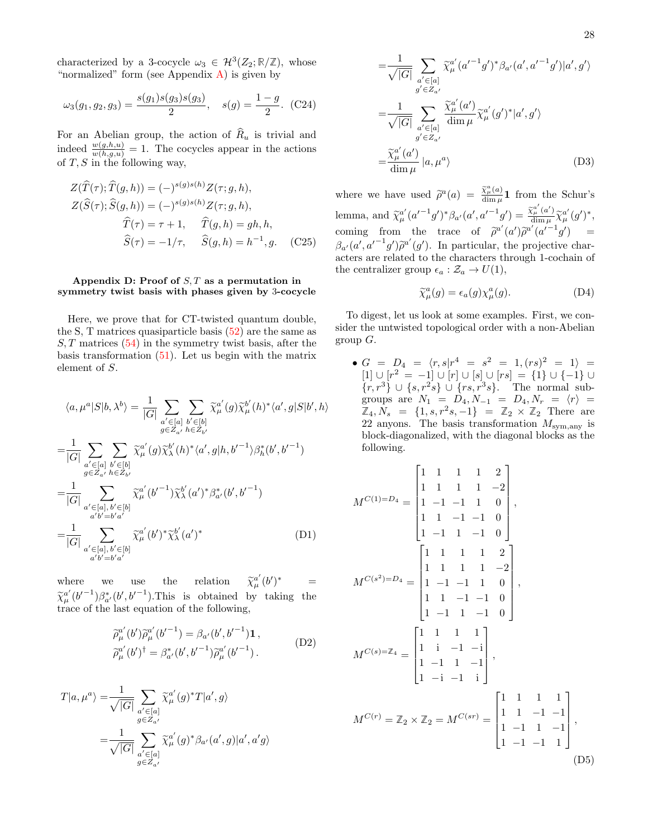characterized by a 3-cocycle  $\omega_3 \in \mathcal{H}^3(Z_2;\mathbb{R}/\mathbb{Z})$ , whose "normalized" form (see Appendix  $\bf{A}$ ) is given by

$$
\omega_3(g_1, g_2, g_3) = \frac{s(g_1)s(g_3)s(g_3)}{2}, \quad s(g) = \frac{1-g}{2}.
$$
 (C24)

For an Abelian group, the action of  $\widehat{R}_u$  is trivial and indeed  $\frac{w(g,h,u)}{w(h,g,u)} = 1$ . The cocycles appear in the actions of  $T, S$  in the following way,

$$
Z(\widehat{T}(\tau); \widehat{T}(g, h)) = (-)^{s(g)s(h)} Z(\tau; g, h),
$$
  
\n
$$
Z(\widehat{S}(\tau); \widehat{S}(g, h)) = (-)^{s(g)s(h)} Z(\tau; g, h),
$$
  
\n
$$
\widehat{T}(\tau) = \tau + 1, \quad \widehat{T}(g, h) = gh, h,
$$
  
\n
$$
\widehat{S}(\tau) = -1/\tau, \quad \widehat{S}(g, h) = h^{-1}, g. \quad (C25)
$$

# <span id="page-27-0"></span>Appendix D: Proof of  $S$ ,  $T$  as a permutation in symmetry twist basis with phases given by 3-cocycle

Here, we prove that for CT-twisted quantum double, the S, T matrices quasiparticle basis  $(52)$  are the same as  $S, T$  matrices  $(54)$  in the symmetry twist basis, after the basis transformation  $(51)$ . Let us begin with the matrix element of S.

$$
\langle a, \mu^{a} | S | b, \lambda^{b} \rangle = \frac{1}{|G|} \sum_{\substack{a' \in [a] \\ g \in Z_{a'}}} \sum_{\substack{b' \in [b] \\ h \in Z_{b'}}} \tilde{\chi}_{\mu}^{a'}(g) \tilde{\chi}_{\mu}^{b'}(h)^{*} \langle a', g | S | b', h \rangle
$$
  
\n
$$
= \frac{1}{|G|} \sum_{\substack{a' \in [a] \\ g \in Z_{a'}}} \sum_{\substack{b' \in [b] \\ h \in Z_{b'}}} \tilde{\chi}_{\mu}^{a'}(g) \tilde{\chi}_{\lambda}^{b'}(h)^{*} \langle a', g | h, b'^{-1} \rangle \beta_{h}^{*}(b', b'^{-1})
$$
  
\n
$$
= \frac{1}{|G|} \sum_{\substack{a' \in [a], b' \in [b] \\ a'b' = b'a'}} \tilde{\chi}_{\mu}^{a'}(b'^{-1}) \tilde{\chi}_{\lambda}^{b'}(a')^{*} \beta_{a'}^{*}(b', b'^{-1})
$$
  
\n
$$
= \frac{1}{|G|} \sum_{\substack{a' \in [a], b' \in [b] \\ a'b' = b'a'}} \tilde{\chi}_{\mu}^{a'}(b')^{*} \tilde{\chi}_{\lambda}^{b'}(a')^{*} \qquad (D1)
$$

where we use the relation  $\widetilde{\chi}$  $_{\mu}^{a^{\prime}}(b^{\prime})$  $=$  $\tilde{\chi}_{\mu}^{a'}(b'^{-1})\beta_{a'}^{*}(b',b'^{-1})$ . This is obtained by taking the trace of the last equation of the following,

$$
\widetilde{\rho}_{\mu}^{a'}(b')\widetilde{\rho}_{\mu}^{a'}(b'^{-1}) = \beta_{a'}(b', b'^{-1})\mathbf{1}, \n\widetilde{\rho}_{\mu}^{a'}(b')^{\dagger} = \beta_{a'}^{*}(b', b'^{-1})\widetilde{\rho}_{\mu}^{a'}(b'^{-1}).
$$
\n(D2)

$$
T|a,\mu^{a}\rangle = \frac{1}{\sqrt{|G|}} \sum_{\substack{a' \in [a] \\ g \in Z_{a'}}} \widetilde{\chi}_{\mu}^{a'}(g)^{*} T|a',g\rangle
$$

$$
= \frac{1}{\sqrt{|G|}} \sum_{\substack{a' \in [a] \\ g \in Z_{a'}}} \widetilde{\chi}_{\mu}^{a'}(g)^{*} \beta_{a'}(a',g)|a',a'g\rangle
$$

$$
=\frac{1}{\sqrt{|G|}}\sum_{\substack{a'\in[a]\\ g'\in Z_{a'}}} \widetilde{\chi}_{\mu}^{a'}(a'^{-1}g')^*\beta_{a'}(a',a'^{-1}g')|a',g'\rangle
$$

$$
=\frac{1}{\sqrt{|G|}}\sum_{\substack{a'\in[a]\\ g'\in Z_{a'}}} \frac{\widetilde{\chi}_{\mu}^{a'}(a')}{\dim\mu} \widetilde{\chi}_{\mu}^{a'}(g')^*|a',g'\rangle
$$

$$
=\frac{\widetilde{\chi}_{\mu}^{a'}(a')}{\dim\mu}|a,\mu^a\rangle
$$
(D3)

where we have used  $\tilde{\rho}^a(a) = \frac{\tilde{\chi}^a_\mu(a)}{\dim \mu} \mathbf{1}$  from the Schur's lemma, and  $\tilde{\chi}_{\mu}^{a'}(a'^{-1}g')^* \beta_{a'}(a',a'^{-1}g') = \frac{\tilde{\chi}_{\mu}^{a'}(a')}{\text{dim }\mu}$  $\frac{\widetilde{\chi}_{\mu}^{a}(a')}{\dim \mu} \widetilde{\chi}_{\mu}^{a'}(g')^{*},$ coming from the trace of  $\tilde{\rho}^{a'}(a')\tilde{\rho}^{a'}(a'^{-1}g')$  =  $\beta_{a'}(a', a'^{-1}g')\tilde{\rho}^{a'}(g')$ . In particular, the projective characters are related to the characters through 1 cochain of acters are related to the characters through 1-cochain of the centralizer group  $\epsilon_a : \mathcal{Z}_a \to U(1)$ ,

$$
\widetilde{\chi}_{\mu}^{a}(g) = \epsilon_{a}(g) \chi_{\mu}^{a}(g). \tag{D4}
$$

To digest, let us look at some examples. First, we consider the untwisted topological order with a non-Abelian group  $G$ .

 $\bullet$   $G$  =  $D_4$  =  $\langle r,s | r^4$  =  $s^2$  = 1,  $(rs)^2$  = 1} =  $[1] \cup [r^2 = -1] \cup [r] \cup [s] \cup [rs] = \{1\} \cup \{-1\} \cup$  $\{r, r^3\} \cup \{s, r^2s\} \cup \{rs, r^3s\}.$  The normal subgroups are  $N_1 = D_4, N_{-1} = D_4, N_r = \langle r \rangle =$  $\mathbb{Z}_4, N_s = \{1, s, r^2 s, -1\} = \mathbb{Z}_2 \times \mathbb{Z}_2$  There are 22 anyons. The basis transformation  $M_{\rm sym, any}$  is block-diagonalized, with the diagonal blocks as the following.

$$
M^{C(1)=D_4} = \begin{bmatrix} 1 & 1 & 1 & 1 & 2 \\ 1 & 1 & 1 & 1 & -2 \\ 1 & -1 & -1 & 1 & 0 \\ 1 & 1 & -1 & -1 & 0 \\ 1 & -1 & 1 & -1 & 0 \end{bmatrix},
$$
  
\n
$$
M^{C(s^2)=D_4} = \begin{bmatrix} 1 & 1 & 1 & 1 & 2 \\ 1 & 1 & 1 & 1 & -2 \\ 1 & -1 & -1 & 1 & 0 \\ 1 & -1 & -1 & 1 & 0 \\ 1 & -1 & 1 & -1 & 0 \end{bmatrix},
$$
  
\n
$$
M^{C(s)=Z_4} = \begin{bmatrix} 1 & 1 & 1 & 1 \\ 1 & 1 & -1 & -1 \\ 1 & -1 & 1 & -1 \\ 1 & -1 & 1 & -1 \\ 1 & -1 & -1 & 1 \end{bmatrix},
$$
  
\n
$$
M^{C(r)} = Z_2 \times Z_2 = M^{C(sr)} = \begin{bmatrix} 1 & 1 & 1 & 1 \\ 1 & 1 & -1 & -1 \\ 1 & -1 & 1 & -1 \\ 1 & -1 & -1 & 1 \end{bmatrix},
$$
  
\n
$$
M^{C(r)} = Z_2 \times Z_2 = M^{C(sr)} = \begin{bmatrix} 1 & 1 & 1 & 1 \\ 1 & 1 & -1 & -1 \\ 1 & -1 & 1 & -1 \\ 1 & -1 & -1 & 1 \end{bmatrix},
$$
  
\n(D5)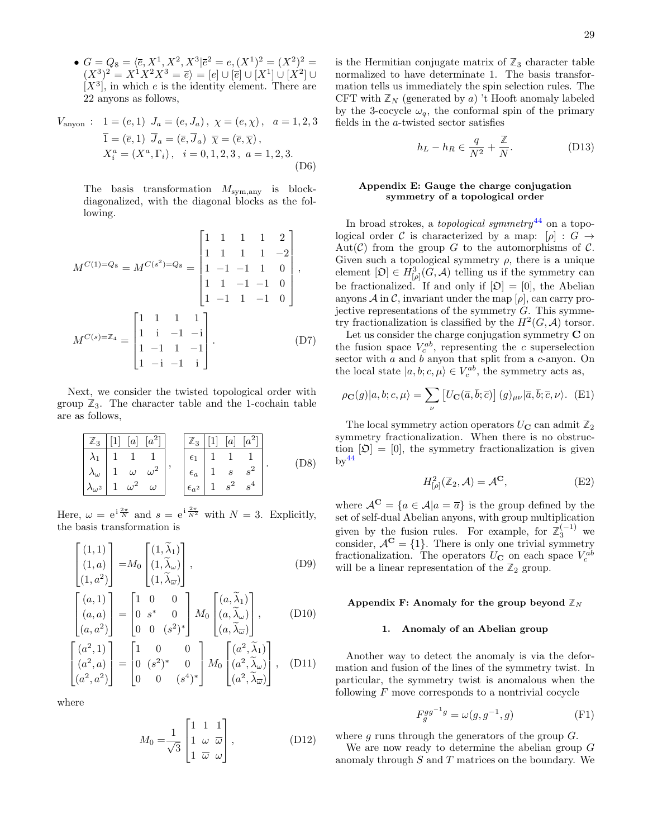•  $G = Q_8 = \langle \overline{e}, X^1, X^2, X^3 | \overline{e}^2 = e, (X^1)^2 = (X^2)^2 =$  $(X^3)^2 = X^1 X^2 X^3 = \overline{e}$  =  $[e] \cup [\overline{e}] \cup [X^1] \cup [X^2] \cup$  $[X^3]$ , in which e is the identity element. There are 22 anyons as follows,

$$
V_{\text{anyon}}: \quad 1 = (e, 1) \quad J_a = (e, J_a), \quad \chi = (e, \chi), \quad a = 1, 2, 3
$$
\n
$$
\bar{1} = (\bar{e}, 1) \quad \bar{J}_a = (\bar{e}, \bar{J}_a) \quad \bar{\chi} = (\bar{e}, \bar{\chi}),
$$
\n
$$
X_i^a = (X^a, \Gamma_i), \quad i = 0, 1, 2, 3, \quad a = 1, 2, 3.
$$
\n
$$
(D6)
$$

The basis transformation  $M_{\text{sym,any}}$  is blockdiagonalized, with the diagonal blocks as the following.

$$
M^{C(1)=Q_8} = M^{C(s^2)=Q_8} = \begin{bmatrix} 1 & 1 & 1 & 1 & 2 \\ 1 & 1 & 1 & 1 & -2 \\ 1 & -1 & -1 & 1 & 0 \\ 1 & 1 & -1 & -1 & 0 \\ 1 & -1 & 1 & -1 & 0 \end{bmatrix},
$$

$$
M^{C(s)=Z_4} = \begin{bmatrix} 1 & 1 & 1 & 1 \\ 1 & 1 & -1 & -1 \\ 1 & -1 & 1 & -1 \\ 1 & -1 & 1 & -1 \\ 1 & -1 & -1 & 1 \end{bmatrix}.
$$
 (D7)

Next, we consider the twisted topological order with group  $\mathbb{Z}_3$ . The character table and the 1-cochain table are as follows,

**Z**<sup>3</sup> [1] [a] [a 2 ] λ<sup>1</sup> 1 1 1 λ<sup>ω</sup> 1 ω ω<sup>2</sup> λω<sup>2</sup> 1 ω <sup>2</sup> ω , **Z**<sup>3</sup> [1] [a] [a 2 ] <sup>1</sup> 1 1 1 <sup>a</sup> 1 s s<sup>2</sup> a<sup>2</sup> 1 s 2 s 4 . (D8)

Here,  $\omega = e^{i \frac{2\pi}{N}}$  and  $s = e^{i \frac{2\pi}{N^2}}$  with  $N = 3$ . Explicitly, the basis transformation is

$$
\begin{bmatrix} (1,1) \\ (1,a) \\ (1,a^2) \end{bmatrix} = M_0 \begin{bmatrix} (1,\widetilde{\lambda}_1) \\ (1,\widetilde{\lambda}_\omega) \\ (1,\widetilde{\lambda}_\overline{\omega}) \end{bmatrix}, \tag{D9}
$$

$$
\begin{bmatrix}\n(a,1) \\
(a,a) \\
(a,a^2)\n\end{bmatrix} =\n\begin{bmatrix}\n1 & 0 & 0 \\
0 & s^* & 0 \\
0 & 0 & (s^2)^*\n\end{bmatrix}\nM_0\n\begin{bmatrix}\n(a,\tilde{\lambda}_1) \\
(a,\tilde{\lambda}_\omega) \\
(a,\tilde{\lambda}_\overline{\omega})\n\end{bmatrix},
$$
\n(D10)

$$
\begin{bmatrix} (a^2, 1) \\ (a^2, a) \\ (a^2, a^2) \end{bmatrix} = \begin{bmatrix} 1 & 0 & 0 \\ 0 & (s^2)^* & 0 \\ 0 & 0 & (s^4)^* \end{bmatrix} M_0 \begin{bmatrix} (a^2, \widetilde{\lambda}_1) \\ (a^2, \widetilde{\lambda}_\omega) \\ (a^2, \widetilde{\lambda}_\omega) \end{bmatrix}, \quad \text{(D11)}
$$

where

$$
M_0 = \frac{1}{\sqrt{3}} \begin{bmatrix} 1 & 1 & 1 \\ 1 & \omega & \overline{\omega} \\ 1 & \overline{\omega} & \omega \end{bmatrix},
$$
 (D12)

is the Hermitian conjugate matrix of  $\mathbb{Z}_3$  character table normalized to have determinate 1. The basis transformation tells us immediately the spin selection rules. The CFT with  $\mathbb{Z}_N$  (generated by a) 't Hooft anomaly labeled by the 3-cocycle  $\omega_q$ , the conformal spin of the primary fields in the a-twisted sector satisfies

$$
h_L - h_R \in \frac{q}{N^2} + \frac{\mathbb{Z}}{N}.
$$
 (D13)

# <span id="page-28-0"></span>Appendix E: Gauge the charge conjugation symmetry of a topological order

In broad strokes, a *topological symmetry*<sup>[44](#page-30-33)</sup> on a topological order C is characterized by a map:  $[\rho] : G \rightarrow$ Aut( $\mathcal{C}$ ) from the group G to the automorphisms of  $\mathcal{C}$ . Given such a topological symmetry  $\rho$ , there is a unique element  $[\mathfrak{O}] \in H^3_{[\rho]}(G, \mathcal{A})$  telling us if the symmetry can be fractionalized. If and only if  $[\mathfrak{O}] = [0]$ , the Abelian anyons  $\mathcal A$  in  $\mathcal C$ , invariant under the map  $[\rho]$ , can carry projective representations of the symmetry  $G$ . This symmetry fractionalization is classified by the  $H^2(G, \mathcal{A})$  torsor.

Let us consider the charge conjugation symmetry  $C$  on the fusion space  $V_c^{ab}$ , representing the c superselection sector with  $a$  and  $b$  anyon that split from a  $c$ -anyon. On the local state  $|a, b; c, \mu\rangle \in V_c^{ab}$ , the symmetry acts as,

$$
\rho_{\mathbf{C}}(g)|a,b;c,\mu\rangle = \sum_{\nu} \left[ U_{\mathbf{C}}(\overline{a},\overline{b};\overline{c}) \right] (g)_{\mu\nu} |\overline{a},\overline{b};\overline{c},\nu\rangle. \tag{E1}
$$

The local symmetry action operators  $U_{\mathbf{C}}$  can admit  $\mathbb{Z}_2$ symmetry fractionalization. When there is no obstruction  $[\mathfrak{O}] = [0]$ , the symmetry fractionalization is given  $\mathrm{bv}^{44}$  $\mathrm{bv}^{44}$  $\mathrm{bv}^{44}$ 

$$
H_{\lbrack\rho\rbrack}^{2}(\mathbb{Z}_{2},\mathcal{A})=\mathcal{A}^{\mathbf{C}},\tag{E2}
$$

where  $A^{\mathbf{C}} = \{a \in \mathcal{A} | a = \overline{a}\}\$ is the group defined by the set of self-dual Abelian anyons, with group multiplication given by the fusion rules. For example, for  $\mathbb{Z}_3^{(-1)}$  we consider,  $A^{\mathbf{C}} = \{1\}$ . There is only one trivial symmetry fractionalization. The operators  $U_{\mathbf{C}}$  on each space  $V_c^{ab}$ will be a linear representation of the  $\mathbb{Z}_2$  group.

### <span id="page-28-1"></span>Appendix F: Anomaly for the group beyond  $\mathbb{Z}_N$

#### <span id="page-28-2"></span>1. Anomaly of an Abelian group

Another way to detect the anomaly is via the deformation and fusion of the lines of the symmetry twist. In particular, the symmetry twist is anomalous when the following  $F$  move corresponds to a nontrivial cocycle

$$
F_g^{gg^{-1}g} = \omega(g, g^{-1}, g)
$$
 (F1)

where g runs through the generators of the group  $G$ .

We are now ready to determine the abelian group G anomaly through S and T matrices on the boundary. We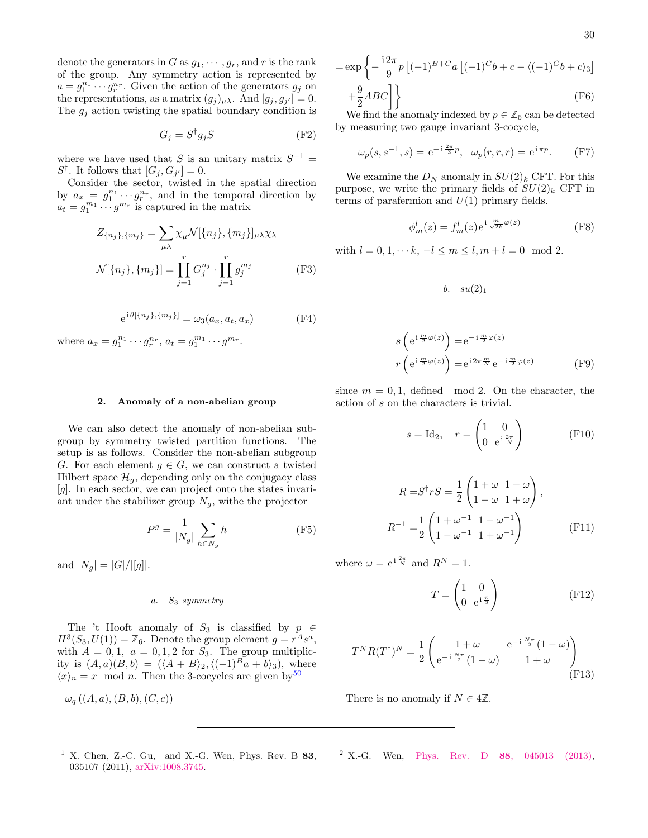1

denote the generators in G as  $g_1, \dots, g_r$ , and r is the rank of the group. Any symmetry action is represented by  $a = g_1^{n_1} \cdots g_r^{n_r}$ . Given the action of the generators  $g_j$  on the representations, as a matrix  $(g_j)_{\mu\lambda}$ . And  $[g_j, g_{j'}] = 0$ . The  $g_i$  action twisting the spatial boundary condition is

$$
G_j = S^{\dagger} g_j S \tag{F2}
$$

where we have used that S is an unitary matrix  $S^{-1}$  =  $S^{\dagger}$ . It follows that  $[G_j, G_{j'}] = 0$ .

Consider the sector, twisted in the spatial direction by  $a_x = g_1^{n_1} \cdots g_r^{n_r}$ , and in the temporal direction by  $a_t = g_1^{m_1} \cdots g^{m_r}$  is captured in the matrix

$$
Z_{\{n_j\},\{m_j\}} = \sum_{\mu\lambda} \overline{\chi}_{\mu} \mathcal{N}[\{n_j\},\{m_j\}]_{\mu\lambda} \chi_{\lambda}
$$

$$
\mathcal{N}[\{n_j\},\{m_j\}] = \prod_{j=1}^r G_j^{n_j} \cdot \prod_{j=1}^r g_j^{m_j}
$$
(F3)

$$
e^{i\theta[\{n_j\},\{m_j\}]} = \omega_3(a_x, a_t, a_x)
$$
 (F4)

where  $a_x = g_1^{n_1} \cdots g_r^{n_r}$ ,  $a_t = g_1^{m_1} \cdots g^{m_r}$ .

#### <span id="page-29-0"></span>2. Anomaly of a non-abelian group

We can also detect the anomaly of non-abelian subgroup by symmetry twisted partition functions. The setup is as follows. Consider the non-abelian subgroup G. For each element  $g \in G$ , we can construct a twisted Hilbert space  $\mathcal{H}_q$ , depending only on the conjugacy class [g]. In each sector, we can project onto the states invariant under the stabilizer group  $N_g$ , withe the projector

$$
P^g = \frac{1}{|N_g|} \sum_{h \in N_g} h \tag{F5}
$$

and  $|N_q| = |G|/||g||$ .

### <span id="page-29-3"></span><span id="page-29-1"></span>a.  $S_3$  symmetry

The 't Hooft anomaly of  $S_3$  is classified by  $p \in$  $H^3(S_3, U(1)) = \mathbb{Z}_6$ . Denote the group element  $g = r^A s^a$ , with  $A = 0, 1, a = 0, 1, 2$  for  $S_3$ . The group multiplicity is  $(A, a)(B, b) = (\langle A + B \rangle_2, \langle (-1)^B a + b \rangle_3)$ , where  $\langle x \rangle_n = x \mod n$ . Then the 3-cocycles are given by  $50$ 

$$
\omega_q((A,a),(B,b),(C,c))
$$

$$
= \exp\left\{-\frac{i2\pi}{9}p\left[(-1)^{B+C}a\left[(-1)^Cb + c - \langle (-1)^Cb + c\rangle_3\right]\right.\right.\left.\frac{9}{2}ABC\right]\right\}
$$
\n(F6)

We find the anomaly indexed by  $p \in \mathbb{Z}_6$  can be detected by measuring two gauge invariant 3-cocycle,

$$
\omega_p(s, s^{-1}, s) = e^{-i\frac{2\pi}{3}p}, \quad \omega_p(r, r, r) = e^{i\pi p}.
$$
 (F7)

We examine the  $D_N$  anomaly in  $SU(2)_k$  CFT. For this purpose, we write the primary fields of  $SU(2)_k$  CFT in terms of parafermion and  $U(1)$  primary fields.

$$
\phi_m^l(z) = f_m^l(z) e^{i \frac{m}{\sqrt{2k}} \varphi(z)} \tag{F8}
$$

with  $l = 0, 1, \dots k, -l \le m \le l, m + l = 0 \mod 2$ .

<span id="page-29-2"></span>
$$
b. \quad su(2)_1
$$

$$
s\left(e^{i\frac{m}{2}\varphi(z)}\right) = e^{-i\frac{m}{2}\varphi(z)}
$$

$$
r\left(e^{i\frac{m}{2}\varphi(z)}\right) = e^{i2\pi\frac{m}{N}}e^{-i\frac{m}{2}\varphi(z)}
$$
(F9)

since  $m = 0, 1$ , defined mod 2. On the character, the action of s on the characters is trivial.

$$
s = \mathrm{Id}_2, \quad r = \begin{pmatrix} 1 & 0 \\ 0 & e^{i\frac{2\pi}{N}} \end{pmatrix} \tag{F10}
$$

$$
R = S^{\dagger} rS = \frac{1}{2} \begin{pmatrix} 1 + \omega & 1 - \omega \\ 1 - \omega & 1 + \omega \end{pmatrix},
$$
  

$$
R^{-1} = \frac{1}{2} \begin{pmatrix} 1 + \omega^{-1} & 1 - \omega^{-1} \\ 1 - \omega^{-1} & 1 + \omega^{-1} \end{pmatrix}
$$
 (F11)

where  $\omega = e^{i \frac{2\pi}{N}}$  and  $R^N = 1$ .

$$
T = \begin{pmatrix} 1 & 0 \\ 0 & e^{i\frac{\pi}{2}} \end{pmatrix}
$$
 (F12)

$$
T^{N}R(T^{\dagger})^{N} = \frac{1}{2} \begin{pmatrix} 1+\omega & e^{-i\frac{N\pi}{2}}(1-\omega) \\ e^{-i\frac{N\pi}{2}}(1-\omega) & 1+\omega \end{pmatrix}
$$
(F13)

There is no anomaly if  $N \in 4\mathbb{Z}$ .

<span id="page-29-4"></span> $1$  X. Chen, Z.-C. Gu, and X.-G. Wen, Phys. Rev. B 83, 035107 (2011), [arXiv:1008.3745.](http://arxiv.org/abs/1008.3745)

<span id="page-29-5"></span><sup>2</sup> X.-G. Wen, Phys. Rev. D 88[, 045013 \(2013\),](http://dx.doi.org/10.1103/physrevd.88.045013)